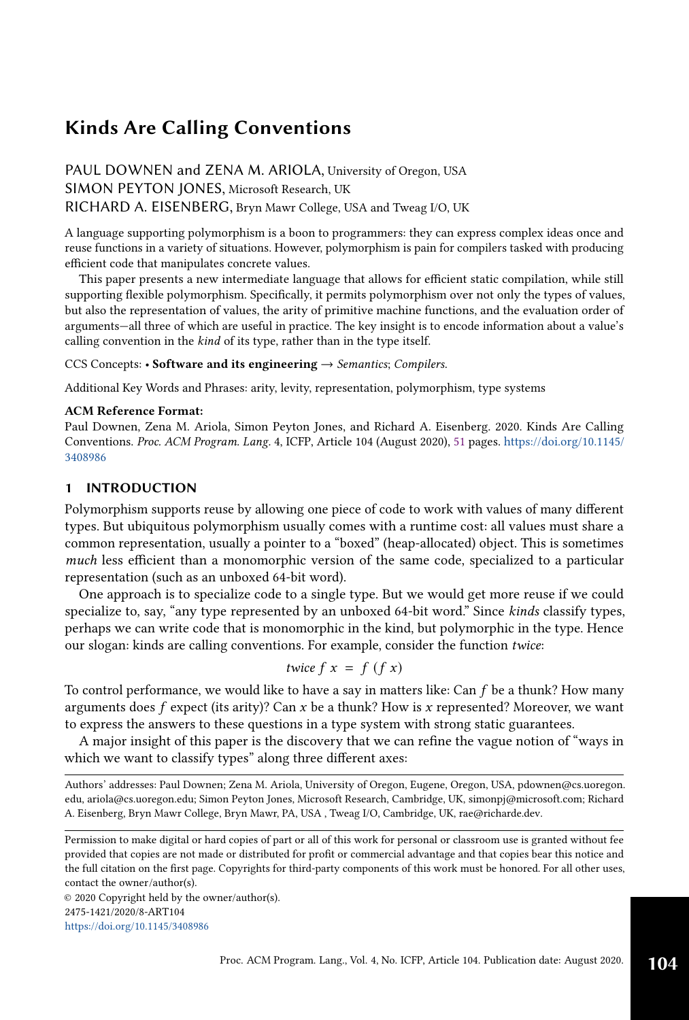# <span id="page-0-0"></span>Kinds Are Calling Conventions

PAUL DOWNEN and ZENA M. ARIOLA, University of Oregon, USA SIMON PEYTON JONES, Microsoft Research, UK RICHARD A. EISENBERG, Bryn Mawr College, USA and Tweag I/O, UK

A language supporting polymorphism is a boon to programmers: they can express complex ideas once and reuse functions in a variety of situations. However, polymorphism is pain for compilers tasked with producing efficient code that manipulates concrete values.

This paper presents a new intermediate language that allows for efficient static compilation, while still supporting flexible polymorphism. Specifically, it permits polymorphism over not only the types of values, but also the representation of values, the arity of primitive machine functions, and the evaluation order of arguments—all three of which are useful in practice. The key insight is to encode information about a value's calling convention in the kind of its type, rather than in the type itself.

CCS Concepts: • Software and its engineering  $\rightarrow$  Semantics; Compilers.

Additional Key Words and Phrases: arity, levity, representation, polymorphism, type systems

#### ACM Reference Format:

Paul Downen, Zena M. Ariola, Simon Peyton Jones, and Richard A. Eisenberg. 2020. Kinds Are Calling Conventions. Proc. ACM Program. Lang. 4, ICFP, Article 104 (August 2020), [51](#page-50-0) pages. [https://doi.org/10.1145/](https://doi.org/10.1145/3408986) [3408986](https://doi.org/10.1145/3408986)

## 1 INTRODUCTION

Polymorphism supports reuse by allowing one piece of code to work with values of many different types. But ubiquitous polymorphism usually comes with a runtime cost: all values must share a common representation, usually a pointer to a "boxed" (heap-allocated) object. This is sometimes much less efficient than a monomorphic version of the same code, specialized to a particular representation (such as an unboxed 64-bit word).

One approach is to specialize code to a single type. But we would get more reuse if we could specialize to, say, "any type represented by an unboxed 64-bit word." Since *kinds* classify types, perhaps we can write code that is monomorphic in the kind, but polymorphic in the type. Hence our slogan: kinds are calling conventions. For example, consider the function twice:

$$
twice f x = f (f x)
$$

To control performance, we would like to have a say in matters like: Can  $f$  be a thunk? How many arguments does  $f$  expect (its arity)? Can  $x$  be a thunk? How is  $x$  represented? Moreover, we want to express the answers to these questions in a type system with strong static guarantees.

A major insight of this paper is the discovery that we can refine the vague notion of "ways in which we want to classify types" along three different axes:

Authors' addresses: Paul Downen; Zena M. Ariola, University of Oregon, Eugene, Oregon, USA, pdownen@cs.uoregon. edu, ariola@cs.uoregon.edu; Simon Peyton Jones, Microsoft Research, Cambridge, UK, simonpj@microsoft.com; Richard A. Eisenberg, Bryn Mawr College, Bryn Mawr, PA, USA , Tweag I/O, Cambridge, UK, rae@richarde.dev.

Permission to make digital or hard copies of part or all of this work for personal or classroom use is granted without fee provided that copies are not made or distributed for profit or commercial advantage and that copies bear this notice and the full citation on the first page. Copyrights for third-party components of this work must be honored. For all other uses, contact the owner/author(s).

© 2020 Copyright held by the owner/author(s). 2475-1421/2020/8-ART104 <https://doi.org/10.1145/3408986>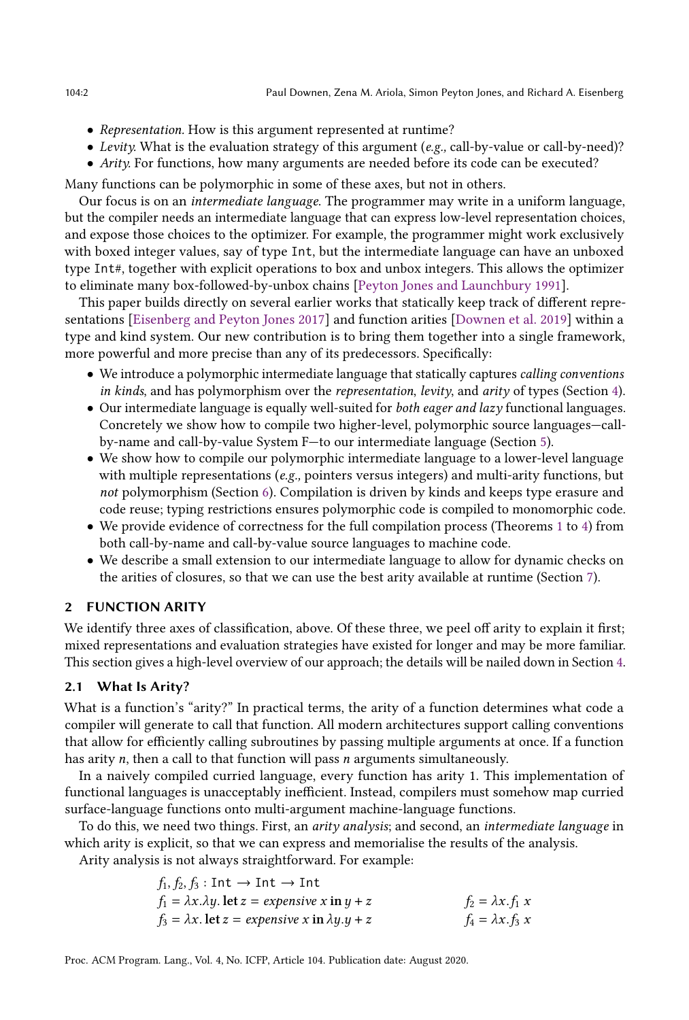- Representation. How is this argument represented at runtime?
- Levity. What is the evaluation strategy of this argument (e.g., call-by-value or call-by-need)?
- Arity. For functions, how many arguments are needed before its code can be executed?

Many functions can be polymorphic in some of these axes, but not in others.

Our focus is on an intermediate language. The programmer may write in a uniform language, but the compiler needs an intermediate language that can express low-level representation choices, and expose those choices to the optimizer. For example, the programmer might work exclusively with boxed integer values, say of type Int, but the intermediate language can have an unboxed type Int#, together with explicit operations to box and unbox integers. This allows the optimizer to eliminate many box-followed-by-unbox chains [\[Peyton Jones and Launchbury](#page-27-0) [1991\]](#page-27-0).

This paper builds directly on several earlier works that statically keep track of different representations [\[Eisenberg and Peyton Jones](#page-27-1) [2017\]](#page-27-1) and function arities [\[Downen et al.](#page-27-2) [2019\]](#page-27-2) within a type and kind system. Our new contribution is to bring them together into a single framework, more powerful and more precise than any of its predecessors. Specifically:

- We introduce a polymorphic intermediate language that statically captures calling conventions in kinds, and has polymorphism over the *representation*, levity, and arity of types (Section [4\)](#page-8-0).
- Our intermediate language is equally well-suited for *both eager and lazy* functional languages. Concretely we show how to compile two higher-level, polymorphic source languages—callby-name and call-by-value System F—to our intermediate language (Section [5\)](#page-17-0).
- We show how to compile our polymorphic intermediate language to a lower-level language with multiple representations  $(e.g.,$  pointers versus integers) and multi-arity functions, but not polymorphism (Section [6\)](#page-18-0). Compilation is driven by kinds and keeps type erasure and code reuse; typing restrictions ensures polymorphic code is compiled to monomorphic code.
- We provide evidence of correctness for the full compilation process (Theorems [1](#page-18-1) to [4\)](#page-23-0) from both call-by-name and call-by-value source languages to machine code.
- We describe a small extension to our intermediate language to allow for dynamic checks on the arities of closures, so that we can use the best arity available at runtime (Section [7\)](#page-23-1).

# <span id="page-1-0"></span>2 FUNCTION ARITY

We identify three axes of classification, above. Of these three, we peel off arity to explain it first; mixed representations and evaluation strategies have existed for longer and may be more familiar. This section gives a high-level overview of our approach; the details will be nailed down in Section [4.](#page-8-0)

## 2.1 What Is Arity?

What is a function's "arity?" In practical terms, the arity of a function determines what code a compiler will generate to call that function. All modern architectures support calling conventions that allow for efficiently calling subroutines by passing multiple arguments at once. If a function has arity  $n$ , then a call to that function will pass  $n$  arguments simultaneously.

In a naively compiled curried language, every function has arity 1. This implementation of functional languages is unacceptably inefficient. Instead, compilers must somehow map curried surface-language functions onto multi-argument machine-language functions.

To do this, we need two things. First, an arity analysis; and second, an intermediate language in which arity is explicit, so that we can express and memorialise the results of the analysis.

Arity analysis is not always straightforward. For example:

| $f_1, f_2, f_3 : \text{Int} \to \text{Int} \to \text{Int}$           |                         |
|----------------------------------------------------------------------|-------------------------|
| $f_1 = \lambda x \cdot \lambda y$ . let $z =$ expensive x in $y + z$ | $f_2 = \lambda x.f_1 x$ |
| $f_3 = \lambda x$ . let $z =$ expensive x in $\lambda y \cdot y + z$ | $f_4 = \lambda x.f_3 x$ |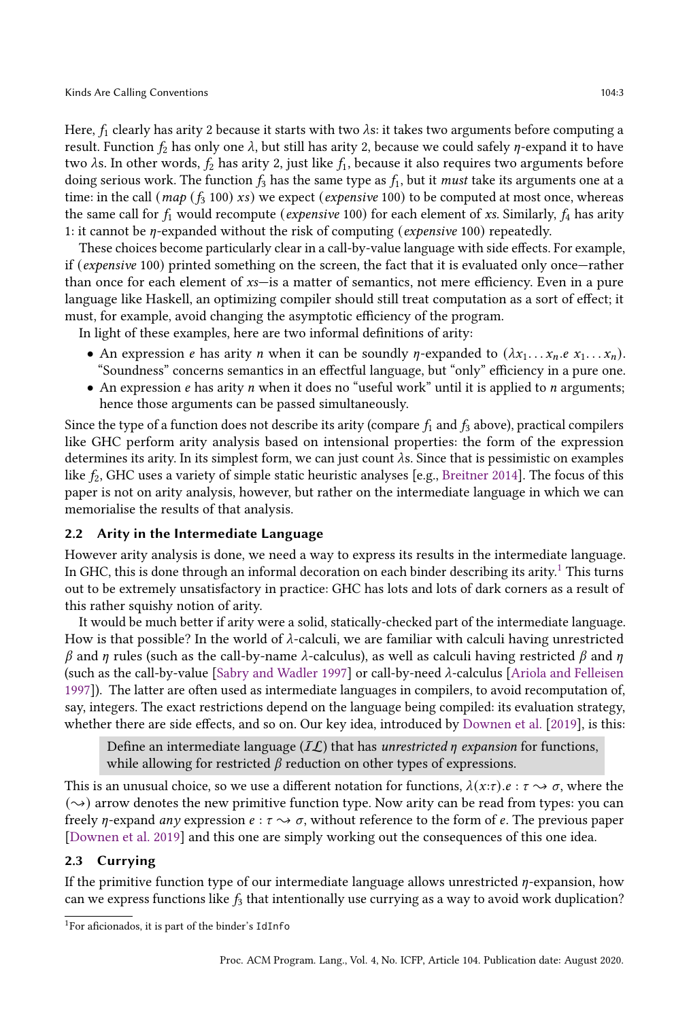Here,  $f_1$  clearly has arity 2 because it starts with two  $\lambda$ s: it takes two arguments before computing a result. Function  $f_2$  has only one  $\lambda$ , but still has arity 2, because we could safely  $\eta$ -expand it to have two  $\lambda$ s. In other words,  $f_2$  has arity 2, just like  $f_1$ , because it also requires two arguments before doing serious work. The function  $f_3$  has the same type as  $f_1$ , but it *must* take its arguments one at a time: in the call (map  $(f_3 100)$  xs) we expect (expensive 100) to be computed at most once, whereas the same call for  $f_1$  would recompute (*expensive* 100) for each element of xs. Similarly,  $f_4$  has arity 1: it cannot be  $\eta$ -expanded without the risk of computing (*expensive* 100) repeatedly.

These choices become particularly clear in a call-by-value language with side effects. For example, if (expensive 100) printed something on the screen, the fact that it is evaluated only once—rather than once for each element of xs—is a matter of semantics, not mere efficiency. Even in a pure language like Haskell, an optimizing compiler should still treat computation as a sort of effect; it must, for example, avoid changing the asymptotic efficiency of the program.

In light of these examples, here are two informal definitions of arity:

- An expression *e* has arity *n* when it can be soundly *n*-expanded to  $(\lambda x_1 \dots x_n \cdot e x_1 \dots x_n)$ . "Soundness" concerns semantics in an effectful language, but "only" efficiency in a pure one.
- An expression  $e$  has arity  $n$  when it does no "useful work" until it is applied to  $n$  arguments; hence those arguments can be passed simultaneously.

Since the type of a function does not describe its arity (compare  $f_1$  and  $f_3$  above), practical compilers like GHC perform arity analysis based on intensional properties: the form of the expression determines its arity. In its simplest form, we can just count  $\lambda$ s. Since that is pessimistic on examples like  $f_2$ , GHC uses a variety of simple static heuristic analyses [e.g., [Breitner](#page-27-3) [2014\]](#page-27-3). The focus of this paper is not on arity analysis, however, but rather on the intermediate language in which we can memorialise the results of that analysis.

# <span id="page-2-0"></span>2.2 Arity in the Intermediate Language

However arity analysis is done, we need a way to express its results in the intermediate language. In GHC, this is done through an informal decoration on each binder describing its arity.<sup>[1](#page-0-0)</sup> This turns out to be extremely unsatisfactory in practice: GHC has lots and lots of dark corners as a result of this rather squishy notion of arity.

It would be much better if arity were a solid, statically-checked part of the intermediate language. How is that possible? In the world of  $\lambda$ -calculi, we are familiar with calculi having unrestricted  $\beta$  and  $\eta$  rules (such as the call-by-name  $\lambda$ -calculus), as well as calculi having restricted  $\beta$  and  $\eta$ (such as the call-by-value [\[Sabry and Wadler](#page-28-0) [1997\]](#page-28-0) or call-by-need  $\lambda$ -calculus [\[Ariola and Felleisen](#page-27-4) [1997\]](#page-27-4)). The latter are often used as intermediate languages in compilers, to avoid recomputation of, say, integers. The exact restrictions depend on the language being compiled: its evaluation strategy, whether there are side effects, and so on. Our key idea, introduced by [Downen et al.](#page-27-2) [\[2019\]](#page-27-2), is this:

Define an intermediate language  $(\overline{I\mathcal{L}})$  that has unrestricted  $\eta$  expansion for functions, while allowing for restricted  $\beta$  reduction on other types of expressions.

This is an unusual choice, so we use a different notation for functions,  $\lambda(x:\tau) \cdot e : \tau \to \sigma$ , where the  $({\sim})$  arrow denotes the new primitive function type. Now arity can be read from types: you can freely  $\eta$ -expand *any* expression  $e : \tau \to \sigma$ , without reference to the form of e. The previous paper [\[Downen et al.](#page-27-2) [2019\]](#page-27-2) and this one are simply working out the consequences of this one idea.

## 2.3 Currying

If the primitive function type of our intermediate language allows unrestricted  $\eta$ -expansion, how can we express functions like  $f_3$  that intentionally use currying as a way to avoid work duplication?

<sup>1</sup>For aficionados, it is part of the binder's IdInfo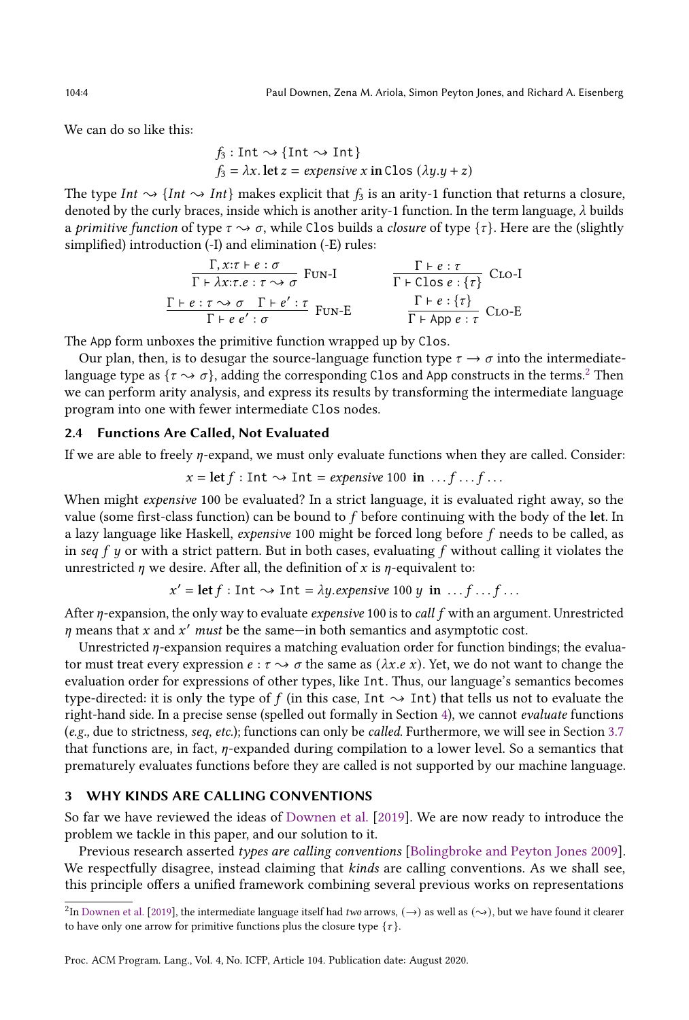We can do so like this:

$$
f_3
$$
: Int  $\sim$  {Int  $\sim$  Int}  
 $f_3 = \lambda x$ . let  $z =$  *expensive* x in Clos ( $\lambda y.y + z$ )

The type  $Int \rightarrow \{ Int \}$  makes explicit that  $f_3$  is an arity-1 function that returns a closure, denoted by the curly braces, inside which is another arity-1 function. In the term language,  $\lambda$  builds a *primitive function* of type  $\tau \rightarrow \sigma$ , while Clos builds a *closure* of type  $\{\tau\}$ . Here are the (slightly simplified) introduction (-I) and elimination (-E) rules:

| $\Gamma, x: \tau \vdash e : \sigma$ | $\Gamma \vdash e : \tau$ | $\Gamma \vdash e : \tau$ | $\Gamma \vdash e : \tau$ | $\Gamma \vdash e : \tau$ | $\Gamma \vdash \text{close} : \{\tau\}$ | $\Gamma \vdash e : \tau$ | $\Gamma \vdash e : \tau \rightarrow \sigma$ | $\Gamma \vdash e' : \tau$ | $\Gamma \vdash e : \{\tau\}$ | $\Gamma \vdash e : \{\tau\}$ | $\Gamma \vdash e e' : \sigma$ | $\Gamma \vdash e : \{\tau\}$ | $\Gamma \vdash \text{app} e : \tau$ | $\Gamma \vdash \text{app} e : \tau$ |
|-------------------------------------|--------------------------|--------------------------|--------------------------|--------------------------|-----------------------------------------|--------------------------|---------------------------------------------|---------------------------|------------------------------|------------------------------|-------------------------------|------------------------------|-------------------------------------|-------------------------------------|
|-------------------------------------|--------------------------|--------------------------|--------------------------|--------------------------|-----------------------------------------|--------------------------|---------------------------------------------|---------------------------|------------------------------|------------------------------|-------------------------------|------------------------------|-------------------------------------|-------------------------------------|

The App form unboxes the primitive function wrapped up by Clos.

Our plan, then, is to desugar the source-language function type  $\tau \to \sigma$  into the intermediatelanguage type as  $\{\tau \leadsto \sigma\}$ , adding the corresponding Clos and App constructs in the terms.<sup>[2](#page-0-0)</sup> Then we can perform arity analysis, and express its results by transforming the intermediate language program into one with fewer intermediate Clos nodes.

## <span id="page-3-0"></span>2.4 Functions Are Called, Not Evaluated

If we are able to freely  $\eta$ -expand, we must only evaluate functions when they are called. Consider:

 $x = \text{let } f : \text{Int } \rightarrow \text{Int } = \text{expensive } 100 \text{ in } \dots f \dots f \dots$ 

When might expensive 100 be evaluated? In a strict language, it is evaluated right away, so the value (some first-class function) can be bound to  $f$  before continuing with the body of the let. In a lazy language like Haskell, *expensive* 100 might be forced long before  $f$  needs to be called, as in seq  $f$  y or with a strict pattern. But in both cases, evaluating  $f$  without calling it violates the unrestricted  $\eta$  we desire. After all, the definition of  $x$  is  $\eta$ -equivalent to:

$$
x' =
$$
let  $f :$  Int  $\sim$  Int =  $\lambda y$ .*expensive* 100  $y$  in ...  $f ... f ...$ 

After  $\eta$ -expansion, the only way to evaluate *expensive* 100 is to *call f* with an argument. Unrestricted  $\eta$  means that x and x' must be the same-in both semantics and asymptotic cost.

Unrestricted  $\eta$ -expansion requires a matching evaluation order for function bindings; the evaluator must treat every expression  $e : \tau \rightarrow \sigma$  the same as  $(\lambda x. e x)$ . Yet, we do not want to change the evaluation order for expressions of other types, like Int. Thus, our language's semantics becomes type-directed: it is only the type of f (in this case, Int  $\sim$  Int) that tells us not to evaluate the right-hand side. In a precise sense (spelled out formally in Section [4\)](#page-8-0), we cannot evaluate functions (e.g., due to strictness, seq, etc.); functions can only be called. Furthermore, we will see in Section [3.7](#page-7-0) that functions are, in fact,  $\eta$ -expanded during compilation to a lower level. So a semantics that prematurely evaluates functions before they are called is not supported by our machine language.

#### 3 WHY KINDS ARE CALLING CONVENTIONS

So far we have reviewed the ideas of [Downen et al.](#page-27-2) [\[2019\]](#page-27-2). We are now ready to introduce the problem we tackle in this paper, and our solution to it.

Previous research asserted types are calling conventions [\[Bolingbroke and Peyton Jones](#page-27-5) [2009\]](#page-27-5). We respectfully disagree, instead claiming that kinds are calling conventions. As we shall see, this principle offers a unified framework combining several previous works on representations

Proc. ACM Program. Lang., Vol. 4, No. ICFP, Article 104. Publication date: August 2020.

 $^2$ In [Downen et al.](#page-27-2) [\[2019\]](#page-27-2), the intermediate language itself had *two* arrows,  $(\to)$  as well as  $(\sim)$ , but we have found it clearer to have only one arrow for primitive functions plus the closure type  $\{\tau\}$ .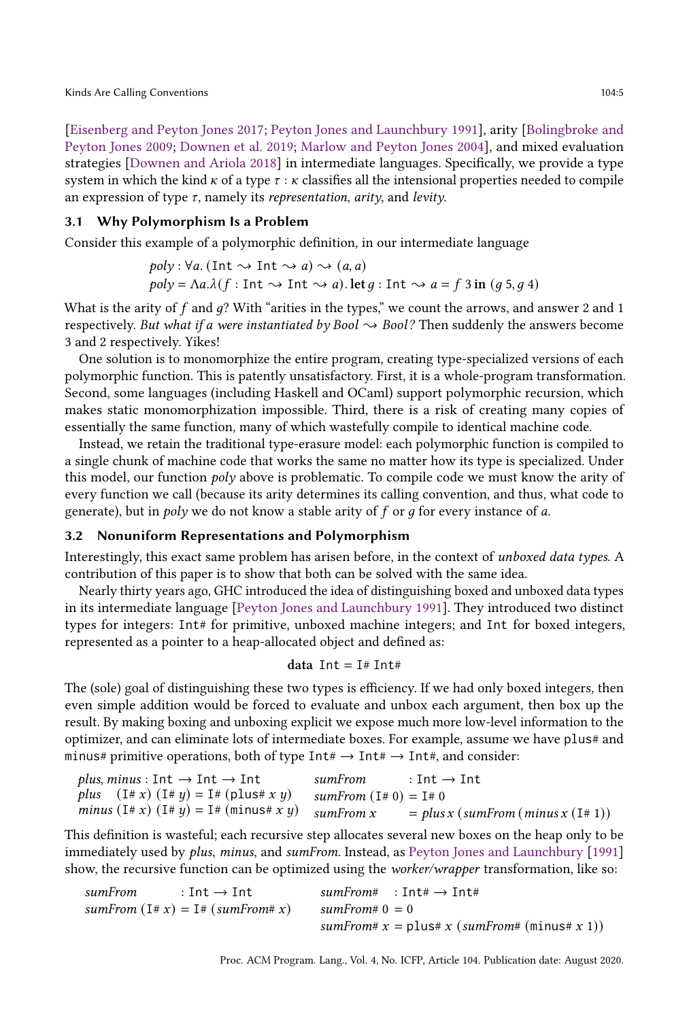[\[Eisenberg and Peyton Jones](#page-27-1) [2017;](#page-27-1) [Peyton Jones and Launchbury](#page-27-0) [1991\]](#page-27-0), arity [\[Bolingbroke and](#page-27-5) [Peyton Jones](#page-27-5) [2009;](#page-27-5) [Downen et al.](#page-27-2) [2019;](#page-27-2) [Marlow and Peyton Jones](#page-27-6) [2004\]](#page-27-6), and mixed evaluation strategies [\[Downen and Ariola](#page-27-7) [2018\]](#page-27-7) in intermediate languages. Specifically, we provide a type system in which the kind  $\kappa$  of a type  $\tau : \kappa$  classifies all the intensional properties needed to compile an expression of type  $\tau$ , namely its *representation*, *arity*, and *levity*.

## <span id="page-4-0"></span>3.1 Why Polymorphism Is a Problem

Consider this example of a polymorphic definition, in our intermediate language

$$
poly: \forall a. (\text{Int } \rightsquigarrow \text{Int } \rightsquigarrow a) \rightsquigarrow (a, a)
$$
  

$$
poly = \Lambda a.\lambda(f: \text{Int } \rightsquigarrow \text{Int } \rightsquigarrow a). \text{let } g: \text{Int } \rightsquigarrow a = f \text{ 3 in } (g \text{ 5}, g \text{ 4})
$$

What is the arity of  $f$  and  $q$ ? With "arities in the types," we count the arrows, and answer 2 and 1 respectively. But what if a were instantiated by Bool  $\sim$  Bool? Then suddenly the answers become 3 and 2 respectively. Yikes!

One solution is to monomorphize the entire program, creating type-specialized versions of each polymorphic function. This is patently unsatisfactory. First, it is a whole-program transformation. Second, some languages (including Haskell and OCaml) support polymorphic recursion, which makes static monomorphization impossible. Third, there is a risk of creating many copies of essentially the same function, many of which wastefully compile to identical machine code.

Instead, we retain the traditional type-erasure model: each polymorphic function is compiled to a single chunk of machine code that works the same no matter how its type is specialized. Under this model, our function poly above is problematic. To compile code we must know the arity of every function we call (because its arity determines its calling convention, and thus, what code to generate), but in *poly* we do not know a stable arity of  $f$  or  $g$  for every instance of  $a$ .

## <span id="page-4-1"></span>3.2 Nonuniform Representations and Polymorphism

Interestingly, this exact same problem has arisen before, in the context of unboxed data types. A contribution of this paper is to show that both can be solved with the same idea.

Nearly thirty years ago, GHC introduced the idea of distinguishing boxed and unboxed data types in its intermediate language [\[Peyton Jones and Launchbury](#page-27-0) [1991\]](#page-27-0). They introduced two distinct types for integers: Int# for primitive, unboxed machine integers; and Int for boxed integers, represented as a pointer to a heap-allocated object and defined as:

#### data  $Int = I# Int#$

The (sole) goal of distinguishing these two types is efficiency. If we had only boxed integers, then even simple addition would be forced to evaluate and unbox each argument, then box up the result. By making boxing and unboxing explicit we expose much more low-level information to the optimizer, and can eliminate lots of intermediate boxes. For example, assume we have plus# and minus# primitive operations, both of type  $Int# \rightarrow Int# \rightarrow Int#,$  and consider:

| <i>plus, minus</i> : Int $\rightarrow$ Int $\rightarrow$ Int                                    | sumFrom | : Int $\rightarrow$ Int               |
|-------------------------------------------------------------------------------------------------|---------|---------------------------------------|
| <i>plus</i> $(I \# x) (I \# y) = I \# (p \text{lus} \# x y)$ <i>sumFrom</i> $(I \# 0) = I \# 0$ |         |                                       |
| minus $(I# x) (I# y) = I# (minus# x y)$ sumFrom x                                               |         | $= plus x (sumFrom (minus x (I# 1)))$ |

This definition is wasteful; each recursive step allocates several new boxes on the heap only to be immediately used by *plus, minus, and sumFrom.* Instead, as [Peyton Jones and Launchbury](#page-27-0) [\[1991\]](#page-27-0) show, the recursive function can be optimized using the worker/wrapper transformation, like so:

 $sumFrom$  : Int  $\rightarrow$  Int sumFrom  $(I# x) = I# (sumFrom# x)$  $sumFrom\#$  : Int#  $\rightarrow$  Int#  $sumFrom# 0 = 0$ sumFrom#  $x =$  plus#  $x$  (sumFrom# (minus#  $x$  1))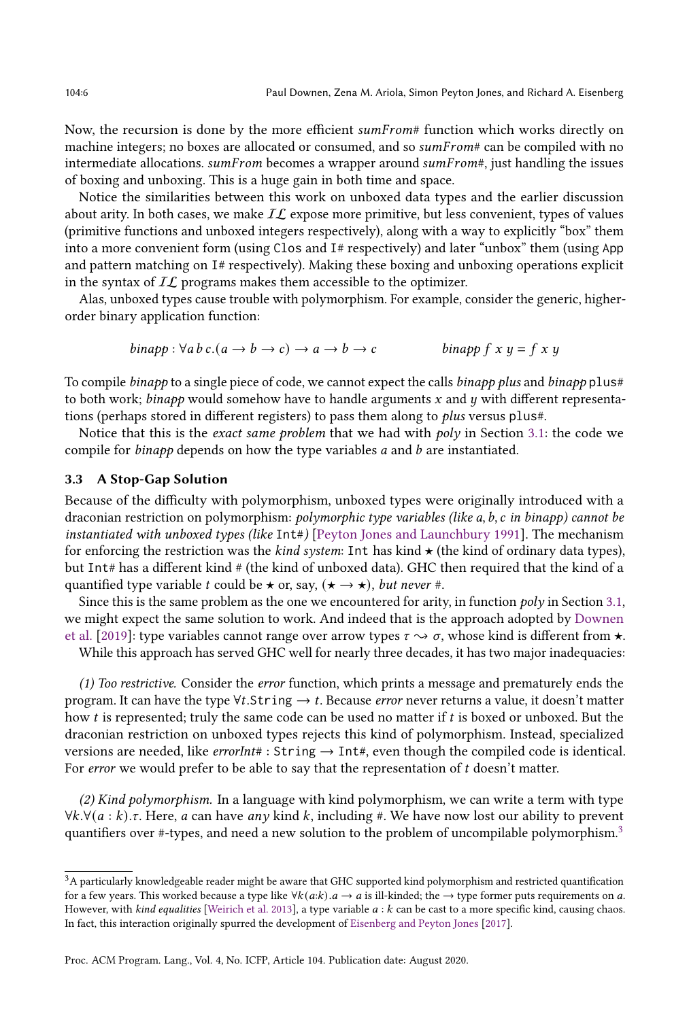Now, the recursion is done by the more efficient  $sumFrom#$  function which works directly on machine integers; no boxes are allocated or consumed, and so  $sumFrom\#$  can be compiled with no intermediate allocations.  $sumFrom$  becomes a wrapper around  $sumFrom\#$ , just handling the issues of boxing and unboxing. This is a huge gain in both time and space.

Notice the similarities between this work on unboxed data types and the earlier discussion about arity. In both cases, we make  $I\mathcal{L}$  expose more primitive, but less convenient, types of values (primitive functions and unboxed integers respectively), along with a way to explicitly "box" them into a more convenient form (using Clos and I# respectively) and later "unbox" them (using App and pattern matching on I# respectively). Making these boxing and unboxing operations explicit in the syntax of  $IL$  programs makes them accessible to the optimizer.

Alas, unboxed types cause trouble with polymorphism. For example, consider the generic, higherorder binary application function:

$$
binapp: \forall ab \ c. (a \rightarrow b \rightarrow c) \rightarrow a \rightarrow b \rightarrow c
$$
 *binapp f x y = f x y*

To compile *binapp* to a single piece of code, we cannot expect the calls *binapp plus* and *binapp* plus# to both work; *binapp* would somehow have to handle arguments  $x$  and  $y$  with different representations (perhaps stored in different registers) to pass them along to plus versus plus#.

Notice that this is the *exact same problem* that we had with *poly* in Section [3.1:](#page-4-0) the code we compile for *binapp* depends on how the type variables  $a$  and  $b$  are instantiated.

# 3.3 A Stop-Gap Solution

Because of the difficulty with polymorphism, unboxed types were originally introduced with a draconian restriction on polymorphism: *polymorphic type variables (like a, b, c in binapp)* cannot be instantiated with unboxed types (like  $Int$ ) [\[Peyton Jones and Launchbury](#page-27-0) [1991\]](#page-27-0). The mechanism for enforcing the restriction was the *kind system*: Int has kind  $\star$  (the kind of ordinary data types), but Int# has a different kind # (the kind of unboxed data). GHC then required that the kind of a quantified type variable *t* could be  $\star$  or, say, ( $\star \rightarrow \star$ ), *but never* #.

Since this is the same problem as the one we encountered for arity, in function poly in Section [3.1,](#page-4-0) we might expect the same solution to work. And indeed that is the approach adopted by [Downen](#page-27-2) [et al.](#page-27-2) [\[2019\]](#page-27-2): type variables cannot range over arrow types  $\tau \rightarrow \sigma$ , whose kind is different from  $\star$ .

While this approach has served GHC well for nearly three decades, it has two major inadequacies:

(1) Too restrictive. Consider the error function, which prints a message and prematurely ends the program. It can have the type  $\forall t$ . String  $\rightarrow t$ . Because error never returns a value, it doesn't matter how  $t$  is represented; truly the same code can be used no matter if  $t$  is boxed or unboxed. But the draconian restriction on unboxed types rejects this kind of polymorphism. Instead, specialized versions are needed, like *errorInt#* : String  $\rightarrow$  Int#, even though the compiled code is identical. For error we would prefer to be able to say that the representation of  $t$  doesn't matter.

(2) Kind polymorphism. In a language with kind polymorphism, we can write a term with type  $\forall k.\forall (a:k)$ . Here, a can have any kind k, including #. We have now lost our ability to prevent quantifiers over #-types, and need a new solution to the problem of uncompilable polymorphism.<sup>[3](#page-0-0)</sup>

 $^3\rm{A}$  particularly knowledgeable reader might be aware that GHC supported kind polymorphism and restricted quantification for a few years. This worked because a type like  $\forall k(a:k) \ldots a \rightarrow a$  is ill-kinded; the  $\rightarrow$  type former puts requirements on a. However, with kind equalities [\[Weirich et al.](#page-28-1) [2013\]](#page-28-1), a type variable  $a : k$  can be cast to a more specific kind, causing chaos. In fact, this interaction originally spurred the development of [Eisenberg and Peyton Jones](#page-27-1) [\[2017\]](#page-27-1).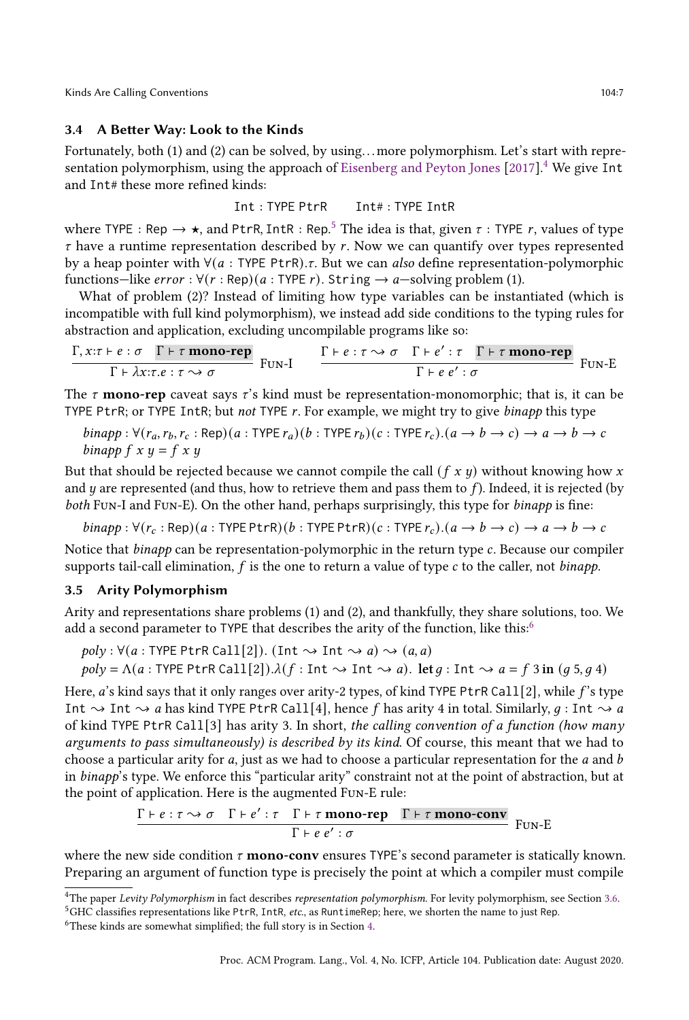Kinds Are Calling Conventions **104:7** and the set of the set of the set of the set of the set of the set of the set of the set of the set of the set of the set of the set of the set of the set of the set of the set of the

## 3.4 A Better Way: Look to the Kinds

Fortunately, both (1) and (2) can be solved, by using. . .more polymorphism. Let's start with repre-sentation polymorphism, using the approach of [Eisenberg and Peyton Jones](#page-27-1)  $[2017]$ .<sup>[4](#page-0-0)</sup> We give Int and Int# these more refined kinds:

Int : TYPE PtrR Int# : TYPE IntR

where TYPE : Rep  $\rightarrow \star$ , and P<code>trR</code>, <code>IntR</code> : Rep. $^5$  $^5$  The idea is that, given  $\tau$  : TYPE  $r$ , values of type  $\tau$  have a runtime representation described by r. Now we can quantify over types represented by a heap pointer with  $\forall (a : \text{TYPE} \text{ PtrR}).\tau$ . But we can *also* define representation-polymorphic functions—like error:  $\forall (r : \text{Rep})(a : \text{Type } r)$ . String  $\rightarrow a$ —solving problem (1).

What of problem (2)? Instead of limiting how type variables can be instantiated (which is incompatible with full kind polymorphism), we instead add side conditions to the typing rules for abstraction and application, excluding uncompilable programs like so:

$$
\frac{\Gamma, x{:}\tau \vdash e : \sigma \quad \Gamma \vdash \tau \text{ mono-rep}}{\Gamma \vdash \lambda x{:}\tau.e : \tau \leadsto \sigma} \quad \text{Fun-I} \qquad \frac{\Gamma \vdash e : \tau \leadsto \sigma \quad \Gamma \vdash e' : \tau \quad \Gamma \vdash \tau \text{ mono-rep}}{\Gamma \vdash e e' : \sigma} \quad \text{Fun-E}
$$

The  $\tau$  mono-rep caveat says  $\tau$ 's kind must be representation-monomorphic; that is, it can be TYPE PtrR; or TYPE IntR; but not TYPE  $r$ . For example, we might try to give *binapp* this type

binapp :  $\forall (r_a, r_b, r_c : \text{Rep})(a : \text{TYPE } r_a)(b : \text{TYPE } r_b)(c : \text{TYPE } r_c)(a \rightarrow b \rightarrow c) \rightarrow a \rightarrow b \rightarrow c$ binapp  $f x y = f x y$ 

But that should be rejected because we cannot compile the call  $(f \times y)$  without knowing how x and  $y$  are represented (and thus, how to retrieve them and pass them to  $f$ ). Indeed, it is rejected (by both Fun-I and Fun-E). On the other hand, perhaps surprisingly, this type for binapp is fine:

 $\phi$  binapp :  $\forall (r_c : \text{Rep})(a : \text{TYPE} \text{PtrR})(b : \text{TYPE} \text{ptrR})(c : \text{TYPE} \text{Fr}_c) \cdot (a \rightarrow b \rightarrow c) \rightarrow a \rightarrow b \rightarrow c$ 

Notice that  $binapp$  can be representation-polymorphic in the return type  $c$ . Because our compiler supports tail-call elimination,  $f$  is the one to return a value of type  $c$  to the caller, not *binapp*.

# <span id="page-6-0"></span>3.5 Arity Polymorphism

Arity and representations share problems (1) and (2), and thankfully, they share solutions, too. We add a second parameter to TYPE that describes the arity of the function, like this: $6$ 

 $poly : \forall (a : \text{TYPE} \text{ PtrR Call}[2])$ . (Int  $\leadsto \text{Int} \leadsto a) \leadsto (a, a)$  $poly = \Lambda(a : \text{TYPE} \text{ PtrR Call}[2]).\lambda(f : \text{Int} \rightsquigarrow \text{Int} \rightsquigarrow a)$ . let  $q : \text{Int} \rightsquigarrow a = f 3$  in  $(q 5, q 4)$ 

Here,  $a$ 's kind says that it only ranges over arity-2 types, of kind TYPE PtrR Call[2], while  $f$ 's type Int  $\rightsquigarrow$  Int  $\rightsquigarrow$  a has kind TYPE PtrR Call[4], hence f has arity 4 in total. Similarly, g: Int  $\rightsquigarrow$  a of kind TYPE PtrR Call[3] has arity 3. In short, the calling convention of a function (how many arguments to pass simultaneously) is described by its kind. Of course, this meant that we had to choose a particular arity for  $a$ , just as we had to choose a particular representation for the  $a$  and  $b$ in binapp's type. We enforce this "particular arity" constraint not at the point of abstraction, but at the point of application. Here is the augmented Fun-E rule:

$$
\frac{\Gamma \vdash e : \tau \leadsto \sigma \quad \Gamma \vdash e' : \tau \quad \Gamma \vdash \tau \text{ mono-rep} \quad \Gamma \vdash \tau \text{ mono-conv}}{\Gamma \vdash e \ e' : \sigma} \text{ Fun-Em
$$

where the new side condition  $\tau$  mono-conv ensures TYPE's second parameter is statically known. Preparing an argument of function type is precisely the point at which a compiler must compile

<sup>4</sup>The paper Levity Polymorphism in fact describes representation polymorphism. For levity polymorphism, see Section [3.6.](#page-7-1)

<sup>&</sup>lt;sup>5</sup>GHC classifies representations like PtrR, IntR, etc., as RuntimeRep; here, we shorten the name to just Rep.

<sup>6</sup>These kinds are somewhat simplified; the full story is in Section [4.](#page-8-0)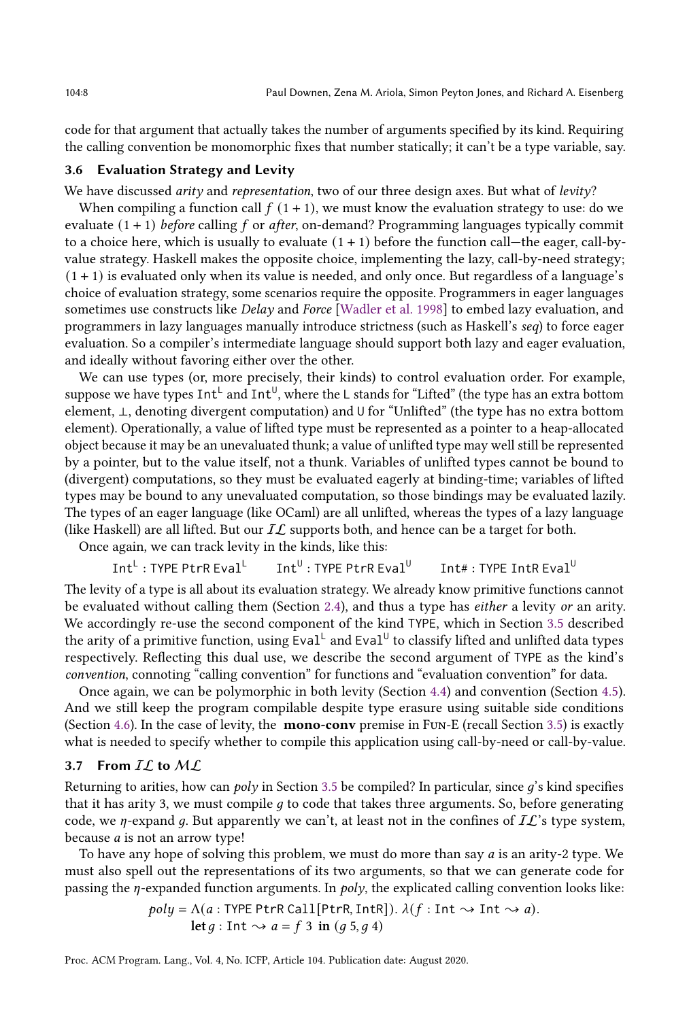code for that argument that actually takes the number of arguments specified by its kind. Requiring the calling convention be monomorphic fixes that number statically; it can't be a type variable, say.

# <span id="page-7-1"></span>3.6 Evaluation Strategy and Levity

We have discussed *arity* and *representation*, two of our three design axes. But what of *levity*?

When compiling a function call  $f(1 + 1)$ , we must know the evaluation strategy to use: do we evaluate  $(1 + 1)$  before calling f or after, on-demand? Programming languages typically commit to a choice here, which is usually to evaluate  $(1 + 1)$  before the function call—the eager, call-byvalue strategy. Haskell makes the opposite choice, implementing the lazy, call-by-need strategy;  $(1 + 1)$  is evaluated only when its value is needed, and only once. But regardless of a language's choice of evaluation strategy, some scenarios require the opposite. Programmers in eager languages sometimes use constructs like Delay and Force [\[Wadler et al.](#page-28-2) [1998\]](#page-28-2) to embed lazy evaluation, and programmers in lazy languages manually introduce strictness (such as Haskell's seq) to force eager evaluation. So a compiler's intermediate language should support both lazy and eager evaluation, and ideally without favoring either over the other.

We can use types (or, more precisely, their kinds) to control evaluation order. For example, suppose we have types  $Int^L$  and  $Int^U$ , where the L stands for "Lifted" (the type has an extra bottom element, ⊥, denoting divergent computation) and U for "Unlifted" (the type has no extra bottom element). Operationally, a value of lifted type must be represented as a pointer to a heap-allocated object because it may be an unevaluated thunk; a value of unlifted type may well still be represented by a pointer, but to the value itself, not a thunk. Variables of unlifted types cannot be bound to (divergent) computations, so they must be evaluated eagerly at binding-time; variables of lifted types may be bound to any unevaluated computation, so those bindings may be evaluated lazily. The types of an eager language (like OCaml) are all unlifted, whereas the types of a lazy language (like Haskell) are all lifted. But our  $I\mathcal{L}$  supports both, and hence can be a target for both.

Once again, we can track levity in the kinds, like this:

```
Int<sup>L</sup>: TYPE PtrR Eval<sup>L</sup>
                                                 Int^{\textsf{U}} : TYPE PtrR Eval^{\textsf{U}}Int#: TYPE IntR Eval<sup>U</sup>
```
The levity of a type is all about its evaluation strategy. We already know primitive functions cannot be evaluated without calling them (Section [2.4\)](#page-3-0), and thus a type has either a levity or an arity. We accordingly re-use the second component of the kind TYPE, which in Section [3.5](#page-6-0) described the arity of a primitive function, using  $\text{Eval}^{\perp}$  and  $\text{Eval}^{\perp}$  to classify lifted and unlifted data types respectively. Reflecting this dual use, we describe the second argument of TYPE as the kind's convention, connoting "calling convention" for functions and "evaluation convention" for data.

Once again, we can be polymorphic in both levity (Section [4.4\)](#page-12-0) and convention (Section [4.5\)](#page-13-0). And we still keep the program compilable despite type erasure using suitable side conditions (Section [4.6\)](#page-13-1). In the case of levity, the **mono-conv** premise in Fun-E (recall Section [3.5\)](#page-6-0) is exactly what is needed to specify whether to compile this application using call-by-need or call-by-value.

# <span id="page-7-0"></span>3.7 From  $IL$  to  $ML$

Returning to arities, how can *poly* in Section [3.5](#page-6-0) be compiled? In particular, since  $q$ 's kind specifies that it has arity 3, we must compile  $q$  to code that takes three arguments. So, before generating code, we  $\eta$ -expand q. But apparently we can't, at least not in the confines of  $IL$ 's type system, because  $a$  is not an arrow type!

To have any hope of solving this problem, we must do more than say  $a$  is an arity-2 type. We must also spell out the representations of its two arguments, so that we can generate code for passing the  $\eta$ -expanded function arguments. In *poly*, the explicated calling convention looks like:

$$
poly = \Lambda(a : \text{TYPE PtrR Call[PtrR, IntR]). }\lambda(f : \text{Int } \sim \text{Int } \sim a).
$$
  
let  $g : \text{Int } \sim a = f \cdot 3 \text{ in } (g \cdot 5, g \cdot 4)$ 

Proc. ACM Program. Lang., Vol. 4, No. ICFP, Article 104. Publication date: August 2020.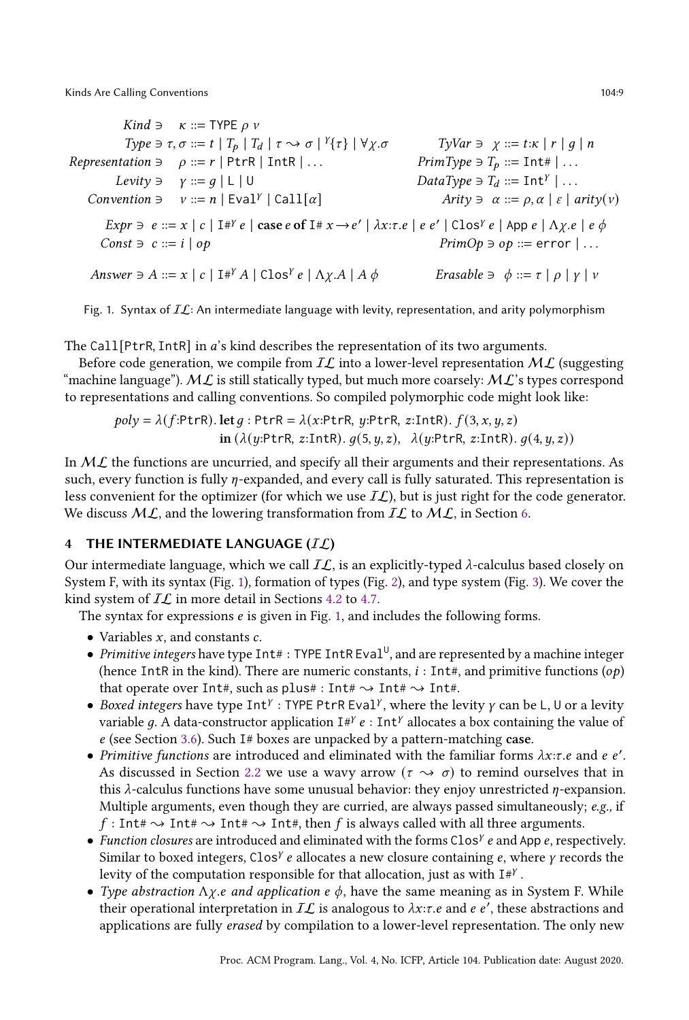Kinds Are Calling Conventions **104:9** 104:9

<span id="page-8-1"></span> $Kind \ni \kappa ::=$  TYPE  $\rho$  v  $Type \ni \tau, \sigma ::= t \mid T_p \mid T_d \mid \tau \rightarrow \sigma \mid$ <sup>y</sup>  $TyVar \ni \chi ::= t:\kappa | r | q | n$ Representation  $\exists \rho ::= r \mid \text{PtrR} \mid \text{IntR} \mid \dots$  PrimType  $\exists T_p ::= \text{Int#} \mid \dots$ Levity  $\exists$   $\gamma ::= g \mid L \mid U$  DataType  $\exists$   $T_a ::= \text{Int}^{\gamma} \mid ...$ Convention  $\exists v ::= n | \text{Eval}^{\gamma} | \text{Call}[\alpha]$  $Arity \ni \alpha ::= \rho, \alpha \mid \varepsilon \mid arity(v)$  $\textit{Expr } \ni e ::= x \mid c \mid \textit{I#Y } e \mid \textit{case } e \textit{ of } \textit{I#} x \rightarrow e' \mid \lambda x : \tau.e \mid e \mid e' \mid \textit{Clos}^{\gamma} e \mid \textit{App } e \mid \Lambda \chi.e \mid e \phi$  $Const \ni c ::= i \mid op$   $PrimOp \ni op ::= error \mid ...$ Answer  $\ni A ::= x \mid c \mid I \#^Y A \mid \text{Clos}^Y$  $Erasable \ni \phi ::= \tau \mid \rho \mid \gamma \mid \nu$ 

Fig. 1. Syntax of  $IL:$  An intermediate language with levity, representation, and arity polymorphism

The Call [PtrR, IntR] in  $a$ 's kind describes the representation of its two arguments.

Before code generation, we compile from  $I\mathcal{L}$  into a lower-level representation  $\mathcal{ML}$  (suggesting "machine language").  $ML$  is still statically typed, but much more coarsely:  $ML$ 's types correspond to representations and calling conventions. So compiled polymorphic code might look like:

 $poly = \lambda(f:PrR)$ . let  $q:PrR = \lambda(x:PrR, y:PrR, z:IntR)$ .  $f(3, x, y, z)$ in  $(\lambda(y:PrR, z:IntR), q(5, y, z), \lambda(y:PrR, z:IntR), q(4, y, z))$ 

In  $ML$  the functions are uncurried, and specify all their arguments and their representations. As such, every function is fully  $\eta$ -expanded, and every call is fully saturated. This representation is less convenient for the optimizer (for which we use  $I\mathcal{L}$ ), but is just right for the code generator. We discuss  $ML$ , and the lowering transformation from  $IL$  to  $ML$ , in Section [6.](#page-18-0)

# <span id="page-8-0"></span>4 THE INTERMEDIATE LANGUAGE  $(I\mathcal{L})$

Our intermediate language, which we call  $IL$ , is an explicitly-typed  $\lambda$ -calculus based closely on System F, with its syntax (Fig. [1\)](#page-8-1), formation of types (Fig. [2\)](#page-9-0), and type system (Fig. [3\)](#page-10-0). We cover the kind system of  $IL$  in more detail in Sections [4.2](#page-11-0) to [4.7.](#page-15-0)

The syntax for expressions  $e$  is given in Fig. [1,](#page-8-1) and includes the following forms.

- Variables  $x$ , and constants  $c$ .
- $\bullet$  Primitive integers have type Int#: TYPE IntR Eval<sup>U</sup>, and are represented by a machine integer (hence IntR in the kind). There are numeric constants,  $i : Int\#$ , and primitive functions ( $op$ ) that operate over Int#, such as plus# : Int#  $\sim$  Int#  $\sim$  Int#.
- Boxed integers have type Int<sup>y</sup>: TYPE PtrR Eval<sup>y</sup>, where the levity  $\gamma$  can be L, U or a levity variable g. A data-constructor application  $I#Y e$ : Int<sup>y</sup> allocates a box containing the value of  $e$  (see Section [3.6\)](#page-7-1). Such I# boxes are unpacked by a pattern-matching case.
- Primitive functions are introduced and eliminated with the familiar forms  $\lambda x$ : $\tau$ .e and  $e$  e'. As discussed in Section [2.2](#page-2-0) we use a wavy arrow ( $\tau \rightarrow \sigma$ ) to remind ourselves that in this  $\lambda$ -calculus functions have some unusual behavior: they enjoy unrestricted  $\eta$ -expansion. Multiple arguments, even though they are curried, are always passed simultaneously;  $e.g.,$  if  $f:$  Int#  $\sim$  Int#  $\sim$  Int#  $\sim$  Int#, then f is always called with all three arguments.
- $\bullet$  Function closures are introduced and eliminated with the forms Clos<sup>y</sup> e and App e, respectively. Similar to boxed integers, Clos<sup>y</sup> e allocates a new closure containing e, where  $\gamma$  records the levity of the computation responsible for that allocation, just as with  $I#Y$ .
- Type abstraction  $\Lambda \chi$  and application  $e \phi$ , have the same meaning as in System F. While their operational interpretation in  $IL$  is analogous to  $\lambda x$ :  $\tau$ .  $e$  and  $e$   $e'$ , these abstractions and applications are fully erased by compilation to a lower-level representation. The only new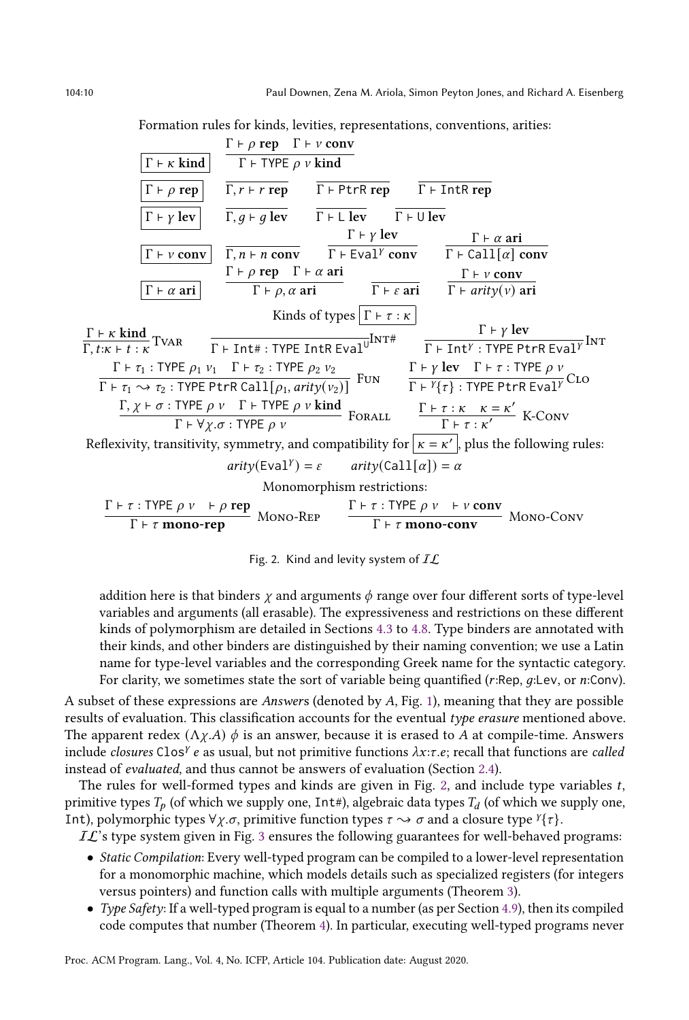Formation rules for kinds, levities, representations, conventions, arities:

<span id="page-9-0"></span>

Fig. 2. Kind and levity system of  $IL$ 

addition here is that binders  $\chi$  and arguments  $\phi$  range over four different sorts of type-level variables and arguments (all erasable). The expressiveness and restrictions on these different kinds of polymorphism are detailed in Sections [4.3](#page-12-1) to [4.8.](#page-15-1) Type binders are annotated with their kinds, and other binders are distinguished by their naming convention; we use a Latin name for type-level variables and the corresponding Greek name for the syntactic category. For clarity, we sometimes state the sort of variable being quantified ( $r:Rep, g:Lev$ , or  $n:Conv$ ).

A subset of these expressions are Answers (denoted by  $A$ , Fig. [1\)](#page-8-1), meaning that they are possible results of evaluation. This classification accounts for the eventual type erasure mentioned above. The apparent redex  $(\Lambda \chi \cdot A) \phi$  is an answer, because it is erased to A at compile-time. Answers include *closures* Clos<sup>Y</sup> e as usual, but not primitive functions  $\lambda x$ :*t.e*; recall that functions are *called* instead of evaluated, and thus cannot be answers of evaluation (Section [2.4\)](#page-3-0).

The rules for well-formed types and kinds are given in Fig. [2,](#page-9-0) and include type variables  $t$ , primitive types  $T_p$  (of which we supply one, Int#), algebraic data types  $T_d$  (of which we supply one, Int), polymorphic types  $\forall \chi. \sigma$ , primitive function types  $\tau \rightarrow \sigma$  and a closure type  $\gamma_{\tau}$ .

 $IL$ 's type system given in Fig. [3](#page-10-0) ensures the following guarantees for well-behaved programs:

- Static Compilation: Every well-typed program can be compiled to a lower-level representation for a monomorphic machine, which models details such as specialized registers (for integers versus pointers) and function calls with multiple arguments (Theorem [3\)](#page-22-0).
- Type Safety: If a well-typed program is equal to a number (as per Section [4.9\)](#page-16-0), then its compiled code computes that number (Theorem [4\)](#page-23-0). In particular, executing well-typed programs never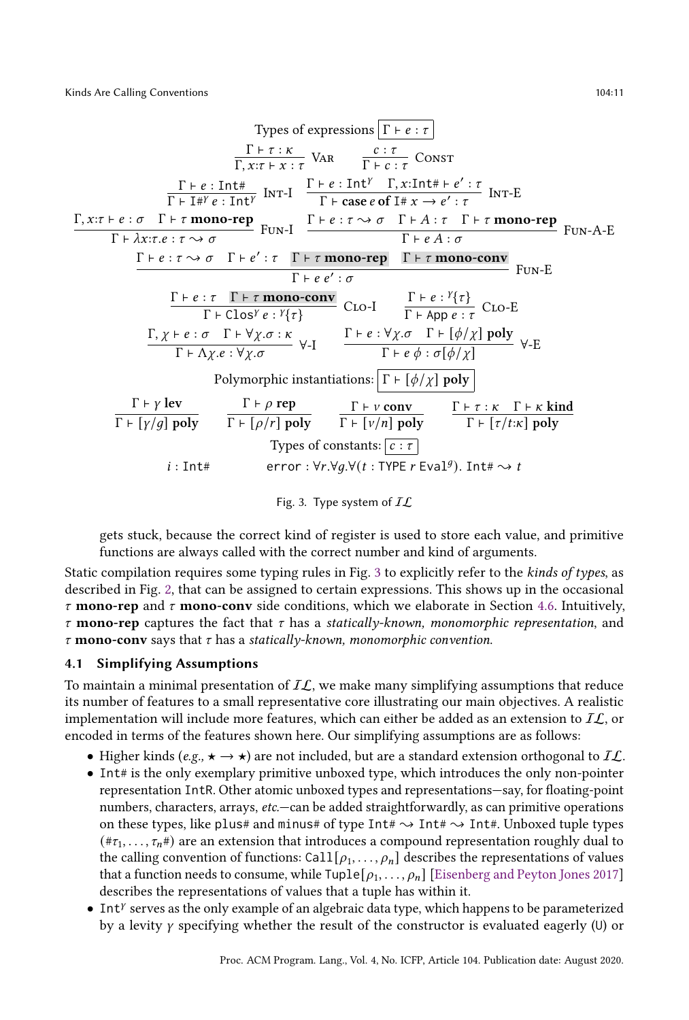<span id="page-10-0"></span>

Fig. 3. Type system of  $IL$ 

gets stuck, because the correct kind of register is used to store each value, and primitive functions are always called with the correct number and kind of arguments.

Static compilation requires some typing rules in Fig. [3](#page-10-0) to explicitly refer to the kinds of types, as described in Fig. [2,](#page-9-0) that can be assigned to certain expressions. This shows up in the occasional  $\tau$  mono-rep and  $\tau$  mono-conv side conditions, which we elaborate in Section [4.6.](#page-13-1) Intuitively,  $\tau$  mono-rep captures the fact that  $\tau$  has a statically-known, monomorphic representation, and  $\tau$  mono-conv says that  $\tau$  has a statically-known, monomorphic convention.

#### <span id="page-10-1"></span>4.1 Simplifying Assumptions

To maintain a minimal presentation of  $IL$ , we make many simplifying assumptions that reduce its number of features to a small representative core illustrating our main objectives. A realistic implementation will include more features, which can either be added as an extension to  $IL$ , or encoded in terms of the features shown here. Our simplifying assumptions are as follows:

- Higher kinds (e.g.,  $\star \to \star$ ) are not included, but are a standard extension orthogonal to  $IL$ .
- Int# is the only exemplary primitive unboxed type, which introduces the only non-pointer representation IntR. Other atomic unboxed types and representations—say, for floating-point numbers, characters, arrays, etc.—can be added straightforwardly, as can primitive operations on these types, like plus# and minus# of type Int#  $\sim$  Int#  $\sim$  Int#. Unboxed tuple types  $(\text{#}\tau_1, \ldots, \tau_n\text{#})$  are an extension that introduces a compound representation roughly dual to the calling convention of functions: Call $[\rho_1, \ldots, \rho_n]$  describes the representations of values that a function needs to consume, while  $\text{Tuple}[\rho_1, \ldots, \rho_n]$  [\[Eisenberg and Peyton Jones](#page-27-1) [2017\]](#page-27-1) describes the representations of values that a tuple has within it.
- $\bullet$  Int<sup>y</sup> serves as the only example of an algebraic data type, which happens to be parameterized by a levity  $\gamma$  specifying whether the result of the constructor is evaluated eagerly (U) or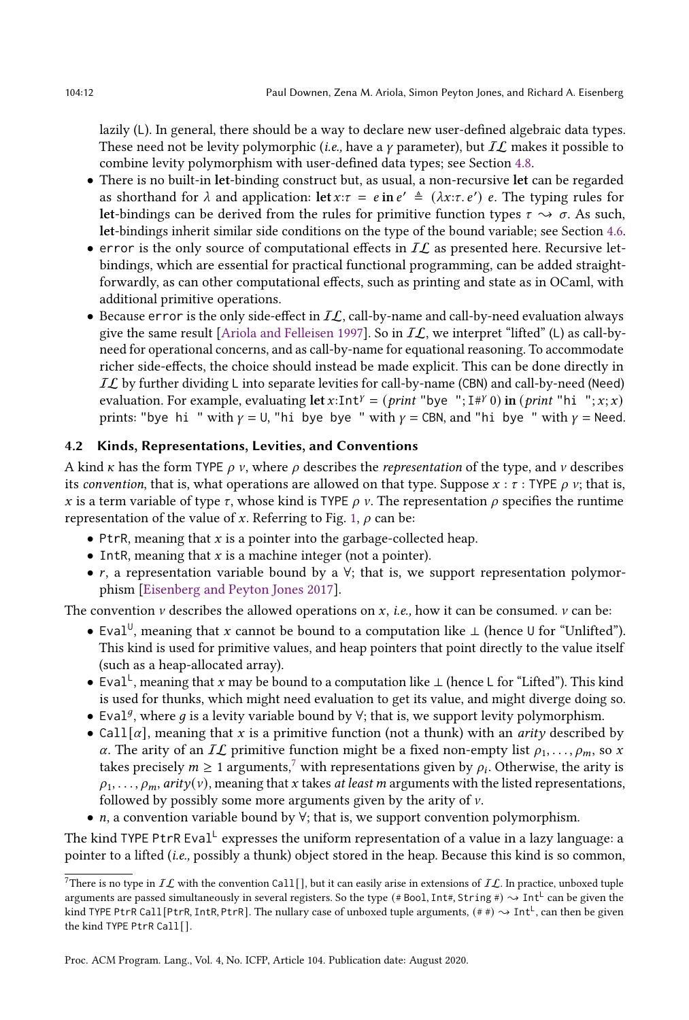lazily (L). In general, there should be a way to declare new user-defined algebraic data types. These need not be levity polymorphic (i.e., have a  $\gamma$  parameter), but  $I\mathcal{L}$  makes it possible to combine levity polymorphism with user-defined data types; see Section [4.8.](#page-15-1)

- There is no built-in let-binding construct but, as usual, a non-recursive let can be regarded as shorthand for  $\lambda$  and application: let  $x:\tau = e$  in  $e' \triangleq (\lambda x:\tau,e')$  e. The typing rules for let-bindings can be derived from the rules for primitive function types  $\tau \rightarrow \sigma$ . As such, let-bindings inherit similar side conditions on the type of the bound variable; see Section [4.6.](#page-13-1)
- error is the only source of computational effects in  $IL$  as presented here. Recursive letbindings, which are essential for practical functional programming, can be added straightforwardly, as can other computational effects, such as printing and state as in OCaml, with additional primitive operations.
- Because error is the only side-effect in  $IL$ , call-by-name and call-by-need evaluation always give the same result [\[Ariola and Felleisen](#page-27-4) [1997\]](#page-27-4). So in  $IL$ , we interpret "lifted" (L) as call-byneed for operational concerns, and as call-by-name for equational reasoning. To accommodate richer side-effects, the choice should instead be made explicit. This can be done directly in  $IL$  by further dividing L into separate levities for call-by-name (CBN) and call-by-need (Need) evaluation. For example, evaluating let x:Int<sup>y</sup> = (print "bye "; I#<sup>y</sup> 0) in (print "hi "; x; x) prints: "bye hi " with  $\gamma = \cup$ , "hi bye bye " with  $\gamma = CBN$ , and "hi bye " with  $\gamma = N$ eed.

# <span id="page-11-0"></span>4.2 Kinds, Representations, Levities, and Conventions

A kind  $\kappa$  has the form TYPE  $\rho$  v, where  $\rho$  describes the *representation* of the type, and v describes its convention, that is, what operations are allowed on that type. Suppose  $x : \tau : \text{Type } \rho y$ ; that is, x is a term variable of type  $\tau$ , whose kind is TYPE  $\rho$  v. The representation  $\rho$  specifies the runtime representation of the value of x. Referring to Fig. [1,](#page-8-1)  $\rho$  can be:

- PtrR, meaning that  $x$  is a pointer into the garbage-collected heap.
- IntR, meaning that  $x$  is a machine integer (not a pointer).
- $r$ , a representation variable bound by a  $\forall$ ; that is, we support representation polymorphism [\[Eisenberg and Peyton Jones](#page-27-1) [2017\]](#page-27-1).

The convention  $\nu$  describes the allowed operations on  $x$ , *i.e.*, how it can be consumed.  $\nu$  can be:

- Eval<sup>U</sup>, meaning that x cannot be bound to a computation like  $\perp$  (hence U for "Unlifted"). This kind is used for primitive values, and heap pointers that point directly to the value itself (such as a heap-allocated array).
- Eval<sup>L</sup>, meaning that x may be bound to a computation like  $\perp$  (hence L for "Lifted"). This kind is used for thunks, which might need evaluation to get its value, and might diverge doing so.
- Eval<sup>9</sup>, where *g* is a levity variable bound by  $\forall$ ; that is, we support levity polymorphism.
- Call[ $\alpha$ ], meaning that x is a primitive function (not a thunk) with an *arity* described by  $\alpha$ . The arity of an IL primitive function might be a fixed non-empty list  $\rho_1, \ldots, \rho_m$ , so x takes precisely  $m \geq 1$  arguments,<sup>[7](#page-0-0)</sup> with representations given by  $\rho_i$ . Otherwise, the arity is  $\rho_1, \ldots, \rho_m$ , arity(v), meaning that x takes at least m arguments with the listed representations, followed by possibly some more arguments given by the arity of  $\nu$ .
- $n$ , a convention variable bound by  $\forall$ ; that is, we support convention polymorphism.

The kind TYPE <code>PtrR</code> Eval $^{\mathsf{L}}$  expresses the uniform representation of a value in a lazy language: a pointer to a lifted (i.e., possibly a thunk) object stored in the heap. Because this kind is so common,

<sup>&</sup>lt;sup>7</sup>There is no type in  $IL$  with the convention Call [], but it can easily arise in extensions of  $IL$ . In practice, unboxed tuple arguments are passed simultaneously in several registers. So the type (# Boo1, Int#, String #)  $\sim$  Int<sup>L</sup> can be given the kind TYPE PtrR Call[PtrR, IntR, PtrR]. The nullary case of unboxed tuple arguments,  $(\# \#) \sim \text{Int}^{\mathbb{L}},$  can then be given the kind TYPE PtrR Call[ ].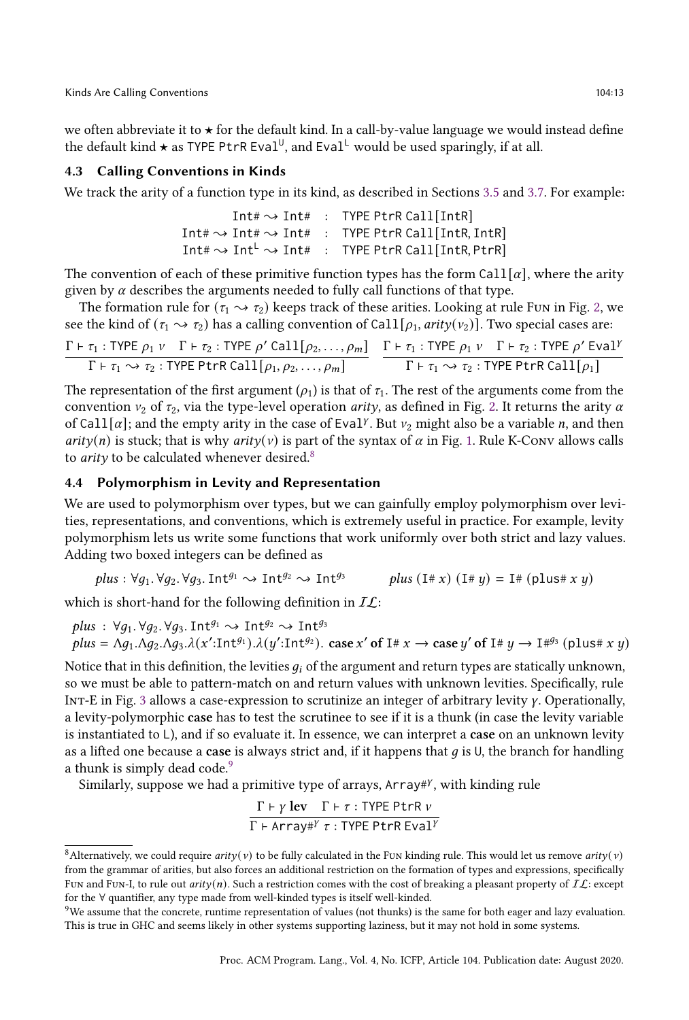we often abbreviate it to  $\star$  for the default kind. In a call-by-value language we would instead define the default kind  $\star$  as TYPE PtrR Eval<sup>U</sup>, and Eval<sup>L</sup> would be used sparingly, if at all.

# <span id="page-12-1"></span>4.3 Calling Conventions in Kinds

We track the arity of a function type in its kind, as described in Sections [3.5](#page-6-0) and [3.7.](#page-7-0) For example:

```
Int# \rightsquigarrow Int# : Type PtrR Call[IntR]Int# \rightsquigarrow Int# \rightsquigarrow Int# : TYPE PtrR Call[IntR, IntR]
Int\# \rightsquigarrow Int^{\mathbb{L}} \rightsquigarrow Int\# : TYPE PtrR Call[IntR, PtrR]
```
The convention of each of these primitive function types has the form Call[ $\alpha$ ], where the arity given by  $\alpha$  describes the arguments needed to fully call functions of that type.

The formation rule for  $(\tau_1 \rightsquigarrow \tau_2)$  keeps track of these arities. Looking at rule Fun in Fig. [2,](#page-9-0) we see the kind of ( $\tau_1 \rightarrow \tau_2$ ) has a calling convention of Call[ $\rho_1$ , arity( $\nu_2$ )]. Two special cases are:

$$
\frac{\Gamma \vdash \tau_1 : \text{TYPE } \rho_1 \vee \Gamma \vdash \tau_2 : \text{TYPE } \rho' \text{Call}[\rho_2, \dots, \rho_m]}{\Gamma \vdash \tau_1 \leadsto \tau_2 : \text{TYPE } \text{PtrR Call}[\rho_1, \rho_2, \dots, \rho_m]} \quad \frac{\Gamma \vdash \tau_1 : \text{TYPE } \rho_1 \vee \Gamma \vdash \tau_2 : \text{TYPE } \rho' \text{Eval}^{\gamma}}{\Gamma \vdash \tau_1 \leadsto \tau_2 : \text{TYPE } \text{PtrR Call}[\rho_1]}
$$

The representation of the first argument  $(\rho_1)$  is that of  $\tau_1$ . The rest of the arguments come from the convention  $v_2$  of  $\tau_2$ , via the type-level operation *arity*, as defined in Fig. [2.](#page-9-0) It returns the arity  $\alpha$ of Call[ $\alpha$ ]; and the empty arity in the case of Eval<sup>y</sup>. But  $v_2$  might also be a variable *n*, and then  $arity(n)$  is stuck; that is why  $arity(v)$  is part of the syntax of  $\alpha$  in Fig. [1.](#page-8-1) Rule K-Conv allows calls to *arity* to be calculated whenever desired.<sup>[8](#page-0-0)</sup>

## <span id="page-12-0"></span>4.4 Polymorphism in Levity and Representation

We are used to polymorphism over types, but we can gainfully employ polymorphism over levities, representations, and conventions, which is extremely useful in practice. For example, levity polymorphism lets us write some functions that work uniformly over both strict and lazy values. Adding two boxed integers can be defined as

$$
plus : \forall g_1. \forall g_2. \forall g_3. \text{Int}^{g_1} \rightsquigarrow \text{Int}^{g_2} \rightsquigarrow \text{Int}^{g_3} \qquad plus (\text{I} \# x) (\text{I} \# y) = \text{I} \# (\text{plus} \# x \ y)
$$

which is short-hand for the following definition in  $IL$ :

*plus* : 
$$
\forall g_1 \ldotp \forall g_2 \ldotp \forall g_3
$$
. Int<sup>g\_1</sup>  $\sim$  Int<sup>g\_2</sup>  $\sim$  Int<sup>g\_3</sup>  
*plus* =  $\Lambda g_1 \Lambda g_2 \Lambda g_3 \Lambda(x':\text{Int}^{g_1}) \Lambda(y':\text{Int}^{g_2})$ . case  $x'$  of  $\text{I# } x \rightarrow \text{case } y'$  of  $\text{I# } y \rightarrow \text{I#}^{g_3}$  (plus#  $x y$ )

Notice that in this definition, the levities  $q_i$  of the argument and return types are statically unknown, so we must be able to pattern-match on and return values with unknown levities. Specifically, rule INT-E in Fig. [3](#page-10-0) allows a case-expression to scrutinize an integer of arbitrary levity  $\gamma$ . Operationally, a levity-polymorphic case has to test the scrutinee to see if it is a thunk (in case the levity variable is instantiated to L), and if so evaluate it. In essence, we can interpret a case on an unknown levity as a lifted one because a case is always strict and, if it happens that  $q$  is U, the branch for handling a thunk is simply dead code.<sup>[9](#page-0-0)</sup>

Similarly, suppose we had a primitive type of arrays,  $Array#Y$ , with kinding rule

$$
\frac{\Gamma\vdash\gamma\;lev\quad\Gamma\vdash\tau:\text{TYPE PtrR}\; \nu}{\Gamma\vdash\text{Array}\;\#\gamma:\text{TYPE PtrR}\;Eval^{\gamma}}
$$

<sup>&</sup>lt;sup>8</sup> Alternatively, we could require  $arity(v)$  to be fully calculated in the Fun kinding rule. This would let us remove  $arity(v)$ from the grammar of arities, but also forces an additional restriction on the formation of types and expressions, specifically Fun and Fun-I, to rule out arity (n). Such a restriction comes with the cost of breaking a pleasant property of  $IL$ : except for the ∀ quantifier, any type made from well-kinded types is itself well-kinded.

 $9$ We assume that the concrete, runtime representation of values (not thunks) is the same for both eager and lazy evaluation. This is true in GHC and seems likely in other systems supporting laziness, but it may not hold in some systems.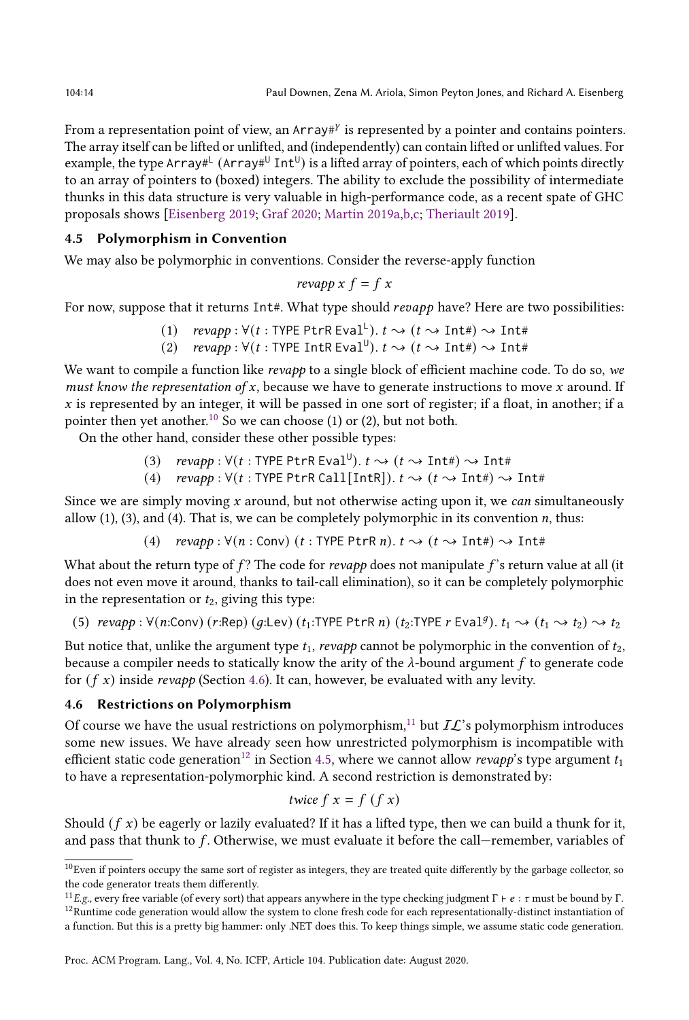From a representation point of view, an  $Array\#Y$  is represented by a pointer and contains pointers. The array itself can be lifted or unlifted, and (independently) can contain lifted or unlifted values. For example, the type Array#  $($  Array# $^{\text{U}}$  Int $^{\text{U}}$ ) is a lifted array of pointers, each of which points directly to an array of pointers to (boxed) integers. The ability to exclude the possibility of intermediate thunks in this data structure is very valuable in high-performance code, as a recent spate of GHC proposals shows [\[Eisenberg](#page-27-8) [2019;](#page-27-8) [Graf](#page-27-9) [2020;](#page-27-9) [Martin](#page-27-10) [2019a,](#page-27-10)[b](#page-27-11)[,c;](#page-27-12) [Theriault](#page-28-3) [2019\]](#page-28-3).

# <span id="page-13-0"></span>4.5 Polymorphism in Convention

We may also be polymorphic in conventions. Consider the reverse-apply function

$$
revapp x f = f x
$$

For now, suppose that it returns  $Int$ #. What type should  $revapp$  have? Here are two possibilities:

(1) 
$$
revapp : \forall (t : \text{TYPE } \text{Ptr } \text{Eval}^{\perp}) \text{ . } t \rightarrow (t \rightarrow \text{Int#}) \rightarrow \text{Int#}
$$

(2)  $\text{revapp}: \forall (t : \text{TYPE} \text{ Int } \text{Eval}^{\text{U}}). t \rightsquigarrow (t \rightsquigarrow \text{Int#}) \rightsquigarrow \text{Int#}$ 

We want to compile a function like revapp to a single block of efficient machine code. To do so, we must know the representation of  $x$ , because we have to generate instructions to move  $x$  around. If  $\dot{x}$  is represented by an integer, it will be passed in one sort of register; if a float, in another; if a pointer then yet another.<sup>[10](#page-0-0)</sup> So we can choose (1) or (2), but not both.

On the other hand, consider these other possible types:

(3)  $\textit{revapp}: \forall (t : \text{TYPE} \ \text{Ptr}\ \text{Eval}^{\text{U}}). t \rightsquigarrow (t \rightsquigarrow \text{Int#}) \rightsquigarrow \text{Int#}$ (4)  $revapp : \forall (t : \text{TYPE} \text{ PtrR Call}[\text{IntR}]). t \rightarrow (t \rightarrow \text{Int#}) \rightarrow \text{Int#}$ 

Since we are simply moving  $x$  around, but not otherwise acting upon it, we can simultaneously allow  $(1)$ ,  $(3)$ , and  $(4)$ . That is, we can be completely polymorphic in its convention *n*, thus:

(4) revapp:  $\forall (n : Conv)$  (*t*: TYPE PtrR *n*).  $t \rightsquigarrow (t \rightsquigarrow \text{Int#}) \rightsquigarrow \text{Int#}$ 

What about the return type of  $f$ ? The code for *revapp* does not manipulate  $f$ 's return value at all (it does not even move it around, thanks to tail-call elimination), so it can be completely polymorphic in the representation or  $t_2$ , giving this type:

(5) *revapp*: 
$$
\forall
$$
(*n*:Conv) (*r*:Rep) (*g*:Lev) (*t*<sub>1</sub>:TYPE PLTR *n*) (*t*<sub>2</sub>:TYPE *r* Eva1<sup>g</sup>). *t*<sub>1</sub>  $\rightarrow$  (*t*<sub>1</sub>  $\rightarrow$  *t*<sub>2</sub>)  $\rightarrow$  *t*<sub>2</sub>

But notice that, unlike the argument type  $t_1$ , revapp cannot be polymorphic in the convention of  $t_2$ , because a compiler needs to statically know the arity of the  $\lambda$ -bound argument f to generate code for  $(f \, x)$  inside *revapp* (Section [4.6\)](#page-13-1). It can, however, be evaluated with any levity.

## <span id="page-13-1"></span>4.6 Restrictions on Polymorphism

Of course we have the usual restrictions on polymorphism,<sup>[11](#page-0-0)</sup> but  $IL$ 's polymorphism introduces some new issues. We have already seen how unrestricted polymorphism is incompatible with efficient static code generation<sup>[12](#page-0-0)</sup> in Section [4.5,](#page-13-0) where we cannot allow *revapp*'s type argument  $t_1$ to have a representation-polymorphic kind. A second restriction is demonstrated by:

$$
twice\, f\, x = f\, (f\, x)
$$

Should  $(f \, x)$  be eagerly or lazily evaluated? If it has a lifted type, then we can build a thunk for it, and pass that thunk to f. Otherwise, we must evaluate it before the call—remember, variables of

<sup>&</sup>lt;sup>10</sup>Even if pointers occupy the same sort of register as integers, they are treated quite differently by the garbage collector, so the code generator treats them differently.

<sup>&</sup>lt;sup>11</sup>E.g., every free variable (of every sort) that appears anywhere in the type checking judgment  $\Gamma \vdash e : \tau$  must be bound by  $\Gamma$ .

 $12$ Runtime code generation would allow the system to clone fresh code for each representationally-distinct instantiation of a function. But this is a pretty big hammer: only .NET does this. To keep things simple, we assume static code generation.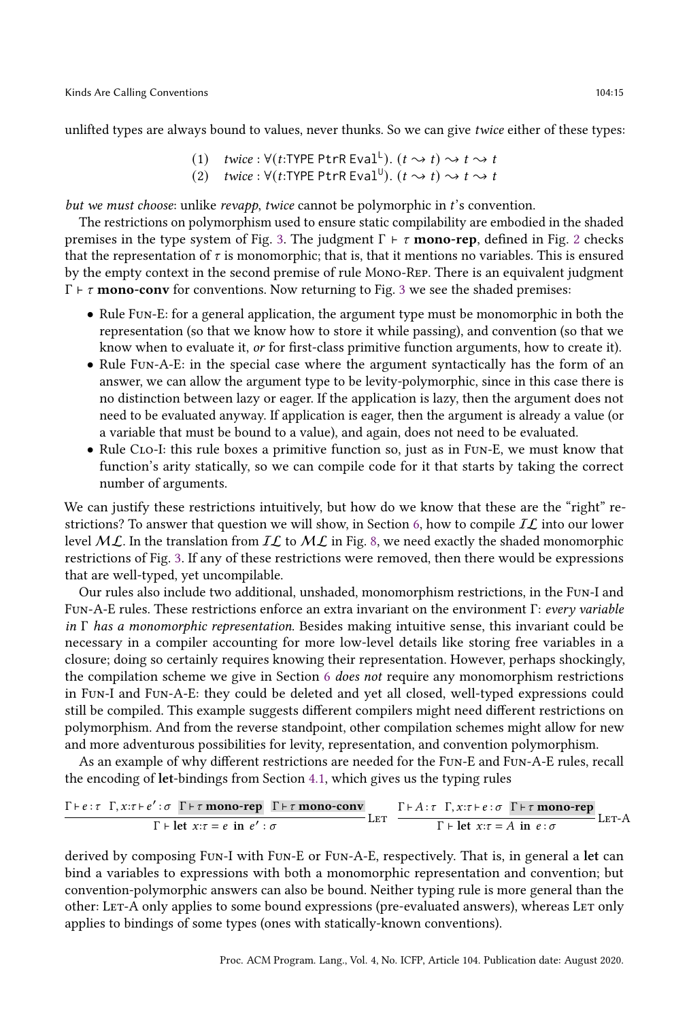unlifted types are always bound to values, never thunks. So we can give twice either of these types:

(1) twice :  $\forall$ (t:TYPE PtrR Eval<sup>L</sup>).  $(t \rightsquigarrow t) \rightsquigarrow t \rightsquigarrow t$ (2) twice :  $\forall$ (t:TYPE PtrR Eval<sup>U</sup>).  $(t \rightsquigarrow t) \rightsquigarrow t \rightsquigarrow t$ 

but we must choose: unlike revapp, twice cannot be polymorphic in  $t$ 's convention.

The restrictions on polymorphism used to ensure static compilability are embodied in the shaded premises in the type system of Fig. [3.](#page-10-0) The judgment  $\Gamma \vdash \tau$  **mono-rep**, defined in Fig. [2](#page-9-0) checks that the representation of  $\tau$  is monomorphic; that is, that it mentions no variables. This is ensured by the empty context in the second premise of rule Mono-Rep. There is an equivalent judgment  $Γ$  + τ mono-conv for conventions. Now returning to Fig. [3](#page-10-0) we see the shaded premises:

- Rule Fun-E: for a general application, the argument type must be monomorphic in both the representation (so that we know how to store it while passing), and convention (so that we know when to evaluate it, or for first-class primitive function arguments, how to create it).
- Rule Fun-A-E: in the special case where the argument syntactically has the form of an answer, we can allow the argument type to be levity-polymorphic, since in this case there is no distinction between lazy or eager. If the application is lazy, then the argument does not need to be evaluated anyway. If application is eager, then the argument is already a value (or a variable that must be bound to a value), and again, does not need to be evaluated.
- Rule CLO-I: this rule boxes a primitive function so, just as in Fun-E, we must know that function's arity statically, so we can compile code for it that starts by taking the correct number of arguments.

We can justify these restrictions intuitively, but how do we know that these are the "right" re-strictions? To answer that question we will show, in Section [6,](#page-18-0) how to compile  $I\mathcal{L}$  into our lower level  $ML$ . In the translation from  $IL$  to  $ML$  in Fig. [8,](#page-21-0) we need exactly the shaded monomorphic restrictions of Fig. [3.](#page-10-0) If any of these restrictions were removed, then there would be expressions that are well-typed, yet uncompilable.

Our rules also include two additional, unshaded, monomorphism restrictions, in the Fun-I and Fun-A-E rules. These restrictions enforce an extra invariant on the environment Γ: every variable in  $\Gamma$  has a monomorphic representation. Besides making intuitive sense, this invariant could be necessary in a compiler accounting for more low-level details like storing free variables in a closure; doing so certainly requires knowing their representation. However, perhaps shockingly, the compilation scheme we give in Section [6](#page-18-0) does not require any monomorphism restrictions in Fun-I and Fun-A-E: they could be deleted and yet all closed, well-typed expressions could still be compiled. This example suggests different compilers might need different restrictions on polymorphism. And from the reverse standpoint, other compilation schemes might allow for new and more adventurous possibilities for levity, representation, and convention polymorphism.

As an example of why different restrictions are needed for the Fun-E and Fun-A-E rules, recall the encoding of let-bindings from Section [4.1,](#page-10-1) which gives us the typing rules

$$
\frac{\Gamma + e : \tau \quad \Gamma, x : \tau + e' : \sigma \quad \Gamma + \tau \text{ mono-rep} \quad \Gamma + \tau \text{ mono-conv}}{\Gamma + \text{let } x : \tau = e \text{ in } e' : \sigma} \text{LET } \frac{\Gamma + A : \tau \quad \Gamma, x : \tau + e : \sigma \quad \Gamma + \tau \text{ mono-rep}}{\Gamma + \text{let } x : \tau = A \text{ in } e : \sigma} \text{LET-A}
$$

derived by composing Fun-I with Fun-E or Fun-A-E, respectively. That is, in general a let can bind a variables to expressions with both a monomorphic representation and convention; but convention-polymorphic answers can also be bound. Neither typing rule is more general than the other: LET-A only applies to some bound expressions (pre-evaluated answers), whereas LET only applies to bindings of some types (ones with statically-known conventions).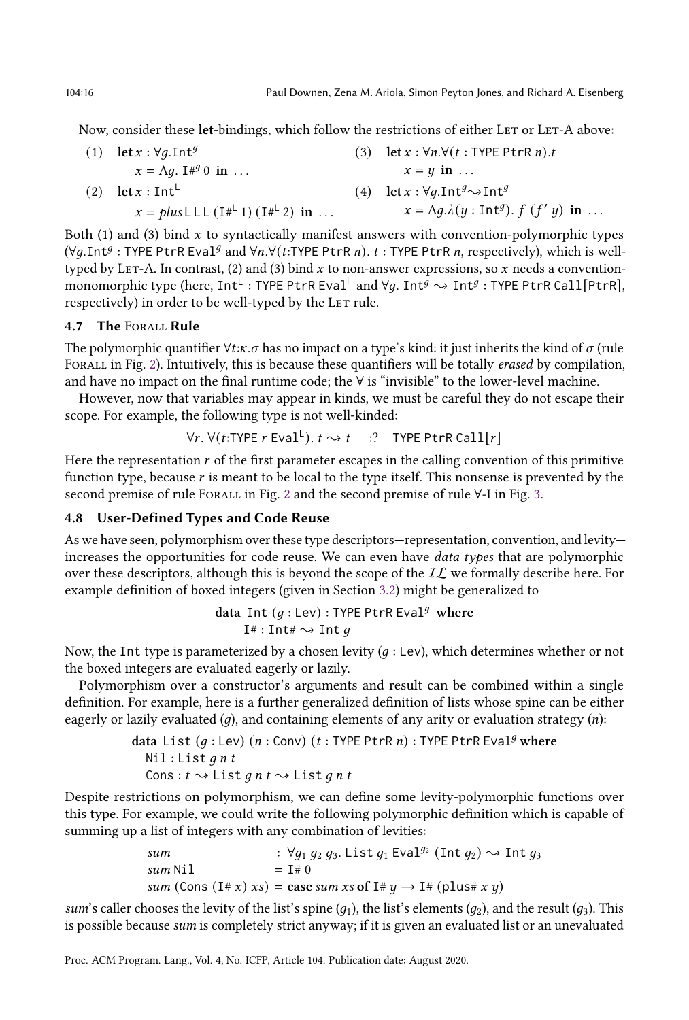Now, consider these let-bindings, which follow the restrictions of either LET or LET-A above:

(1)  $\text{let } x : \forall q \text{.} \text{Int}^g$  $x = \Lambda g$ . I#<sup>9</sup> 0 in ... (3) let  $x : \forall n. \forall (t : \text{TYPE} \text{ PtrR } n).t$  $x = y$  in ... (2)  $\text{let } x : \text{Int}^{\perp}$  $x = plus \text{LL} (\text{I}^{\#L} 1) (\text{I}^{\#L} 2) \text{ in} ...$ (4) let  $x : \forall q$ . Int<sup> $\mathcal{Y} \rightarrow \text{Int}^g$ </sup>  $x = \Lambda g \cdot \lambda (y : \text{Int}^g)$ .  $f(f' y)$  in ...

Both (1) and (3) bind  $x$  to syntactically manifest answers with convention-polymorphic types  $(\forall g.\text{Int}^g : \text{TYPE} \text{ Ptr } \text{R} \text{Eval}^g \text{ and } \forall n. \forall (t:\text{TYPE} \text{ Ptr } \text{R} n). t : \text{TYPE} \text{ Ptr } \text{R} n, \text{ respectively}), \text{ which is well-}$ typed by LET-A. In contrast, (2) and (3) bind x to non-answer expressions, so x needs a conventionmonomorphic type (here,  $Int^{\downarrow}$ : TYPE PtrR Eval<sup>L</sup> and  $\forall g$ . Int $\overline{g} \rightsquigarrow$  Int $\overline{g}$ : TYPE PtrR Call[PtrR], respectively) in order to be well-typed by the LET rule.

# <span id="page-15-0"></span>4.7 The FORALL Rule

The polymorphic quantifier  $\forall t:\mathbf{x}.\sigma$  has no impact on a type's kind: it just inherits the kind of  $\sigma$  (rule FORALL in Fig. [2\)](#page-9-0). Intuitively, this is because these quantifiers will be totally *erased* by compilation, and have no impact on the final runtime code; the ∀ is "invisible" to the lower-level machine.

However, now that variables may appear in kinds, we must be careful they do not escape their scope. For example, the following type is not well-kinded:

$$
\forall r. \ \forall (t: \mathsf{TYPE}\ r \ \mathsf{Eval}^{\perp}), \ t \rightsquigarrow t \quad :? \quad \mathsf{TYPE}\ \mathsf{Ptr}\ \mathsf{Call}[r]
$$

Here the representation  $r$  of the first parameter escapes in the calling convention of this primitive function type, because  $r$  is meant to be local to the type itself. This nonsense is prevented by the second premise of rule FORALL in Fig. [2](#page-9-0) and the second premise of rule ∀-I in Fig. [3.](#page-10-0)

# <span id="page-15-1"></span>4.8 User-Defined Types and Code Reuse

As we have seen, polymorphism over these type descriptors—representation, convention, and levity increases the opportunities for code reuse. We can even have data types that are polymorphic over these descriptors, although this is beyond the scope of the  $IL$  we formally describe here. For example definition of boxed integers (given in Section [3.2\)](#page-4-1) might be generalized to

# data Int  $(q : \text{Lev})$ : TYPE PtrR Eval<sup>9</sup> where I# : Int#  $\rightsquigarrow$  Int q

Now, the Int type is parameterized by a chosen levity  $(q : \text{Lev})$ , which determines whether or not the boxed integers are evaluated eagerly or lazily.

Polymorphism over a constructor's arguments and result can be combined within a single definition. For example, here is a further generalized definition of lists whose spine can be either eagerly or lazily evaluated  $(q)$ , and containing elements of any arity or evaluation strategy  $(n)$ :

data List 
$$
(g : \text{Lev})
$$
  $(n : \text{Conv})$   $(t : \text{TYPE } \text{PtrR } n)$ : \n $\text{TYPE } \text{PtrR } \text{Eval}^g \text{ where }$ \n $\text{Nil} : \text{List } g \text{ nt}$ \n $\text{Cons} : t \rightarrow \text{List } g \text{ nt} \rightarrow \text{List } g \text{ nt}$ \nOutput:

\nOutput:

\n $\text{This is a set of the set of vertices in the image.}$ 

Despite restrictions on polymorphism, we can define some levity-polymorphic functions over this type. For example, we could write the following polymorphic definition which is capable of summing up a list of integers with any combination of levities:

```
sum : \forall g_1 \ g_2 \ g_3. List g_1 Evalg_2 (Int g_2) \rightsquigarrow Int g_3sum Nil = I# 0
sum (Cons (I# x) xs) = case sum xs of I# y \rightarrow I# (plus# x y)
```
sum's caller chooses the levity of the list's spine  $(q_1)$ , the list's elements  $(q_2)$ , and the result  $(q_3)$ . This is possible because sum is completely strict anyway; if it is given an evaluated list or an unevaluated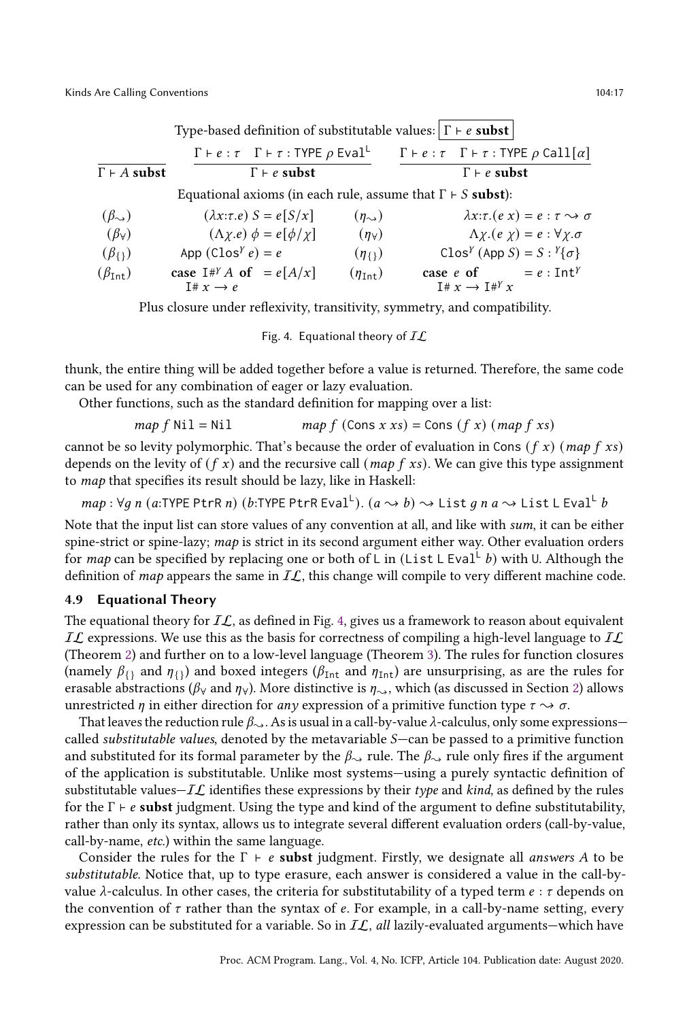Type-based definition of substitutable values:  $\Gamma \vdash e$  subst

<span id="page-16-1"></span>

|                         | $\Gamma \vdash e : \tau \quad \Gamma \vdash \tau : \text{TYPE} \; \rho \; \text{Eval}^{\perp}$ |                       |                           | $\Gamma \vdash e : \tau \quad \Gamma \vdash \tau : \text{TYPE} \; \rho \; \text{Call}[\alpha]$ |
|-------------------------|------------------------------------------------------------------------------------------------|-----------------------|---------------------------|------------------------------------------------------------------------------------------------|
| $\Gamma \vdash A$ subst | $\Gamma \vdash e$ subst                                                                        |                       | $\Gamma \vdash e$ subst   |                                                                                                |
|                         | Equational axioms (in each rule, assume that $\Gamma \vdash S$ subst):                         |                       |                           |                                                                                                |
| $(\beta_{\sim})$        | $(\lambda x:\tau.e) S = e[S/x]$                                                                | $(\eta_{\infty})$     |                           | $\lambda x : \tau \cdot (e x) = e : \tau \rightarrow \sigma$                                   |
| $(\beta_{\forall})$     | $(\Lambda \chi \cdot e)$ $\phi = e[\phi/\chi]$                                                 | $(\eta_{\forall})$    |                           | $\Lambda \chi.(e \chi) = e : \forall \chi. \sigma$                                             |
| $(\beta_{\{\}})$        | App $(\text{Clos}^{\gamma} e) = e$                                                             | $(\eta_{\{1\}})$      |                           | Clos <sup>Y</sup> (App S) = $S:$ <sup>Y</sup> { $\sigma$ }                                     |
| $(\beta_{\text{Int}})$  | case $I#^{\gamma} A$ of $= e[A/x]$                                                             | $(\eta_{\text{Int}})$ |                           | case e of $= e : Int^{\gamma}$                                                                 |
|                         | $I# x \rightarrow e$                                                                           |                       | $I# x \rightarrow I#^y x$ |                                                                                                |

Plus closure under reflexivity, transitivity, symmetry, and compatibility.

Fig. 4. Equational theory of  $IL$ 

thunk, the entire thing will be added together before a value is returned. Therefore, the same code can be used for any combination of eager or lazy evaluation.

Other functions, such as the standard definition for mapping over a list:

 $map f$  Nil = Nil map  $f$  (Cons  $x$   $xs$ ) = Cons  $(f x)$  (map  $f xs$ )

cannot be so levity polymorphic. That's because the order of evaluation in Cons  $(f x)$  (map  $f xs$ ) depends on the levity of  $(f x)$  and the recursive call  $(map\ f xs)$ . We can give this type assignment to map that specifies its result should be lazy, like in Haskell:

 $map: \forall g \; n \; (a:\text{TYPE} \; \text{PtrR} \; n) \; (b:\text{TYPE} \; \text{PtrR} \; \text{Eval}^{\perp}). \; (a \leadsto b) \leadsto \text{List} \; g \; n \; a \leadsto \text{List} \; \text{Eval}^{\perp} \; b$ 

Note that the input list can store values of any convention at all, and like with sum, it can be either spine-strict or spine-lazy; map is strict in its second argument either way. Other evaluation orders for map can be specified by replacing one or both of L in (List L Eval<sup>L</sup> b) with U. Although the definition of *map* appears the same in  $IL$ , this change will compile to very different machine code.

## <span id="page-16-0"></span>4.9 Equational Theory

The equational theory for  $IL$ , as defined in Fig. [4,](#page-16-1) gives us a framework to reason about equivalent IL expressions. We use this as the basis for correctness of compiling a high-level language to  $I\mathcal{L}$ (Theorem [2\)](#page-18-2) and further on to a low-level language (Theorem [3\)](#page-22-0). The rules for function closures (namely  $\beta_{\Omega}$  and  $\eta_{\Omega}$ ) and boxed integers ( $\beta_{\text{Int}}$  and  $\eta_{\text{Int}}$ ) are unsurprising, as are the rules for erasable abstractions ( $\beta_{\rm V}$  and  $\eta_{\rm V}$ ). More distinctive is  $\eta_{\sim}$ , which (as discussed in Section [2\)](#page-1-0) allows unrestricted  $\eta$  in either direction for *any* expression of a primitive function type  $\tau \rightarrow \sigma$ .

That leaves the reduction rule  $\beta_{\sim}$ . As is usual in a call-by-value  $\lambda$ -calculus, only some expressions called *substitutable values*, denoted by the metavariable *S*-can be passed to a primitive function and substituted for its formal parameter by the  $\beta_{\sim}$  rule. The  $\beta_{\sim}$  rule only fires if the argument of the application is substitutable. Unlike most systems—using a purely syntactic definition of substitutable values— $I\mathcal{L}$  identifies these expressions by their type and kind, as defined by the rules for the  $\Gamma \vdash e$  subst judgment. Using the type and kind of the argument to define substitutability, rather than only its syntax, allows us to integrate several different evaluation orders (call-by-value, call-by-name, etc.) within the same language.

Consider the rules for the  $\Gamma \vdash e$  subst judgment. Firstly, we designate all *answers* A to be substitutable. Notice that, up to type erasure, each answer is considered a value in the call-byvalue  $\lambda$ -calculus. In other cases, the criteria for substitutability of a typed term  $e : \tau$  depends on the convention of  $\tau$  rather than the syntax of  $e$ . For example, in a call-by-name setting, every expression can be substituted for a variable. So in  $IL$ , all lazily-evaluated arguments—which have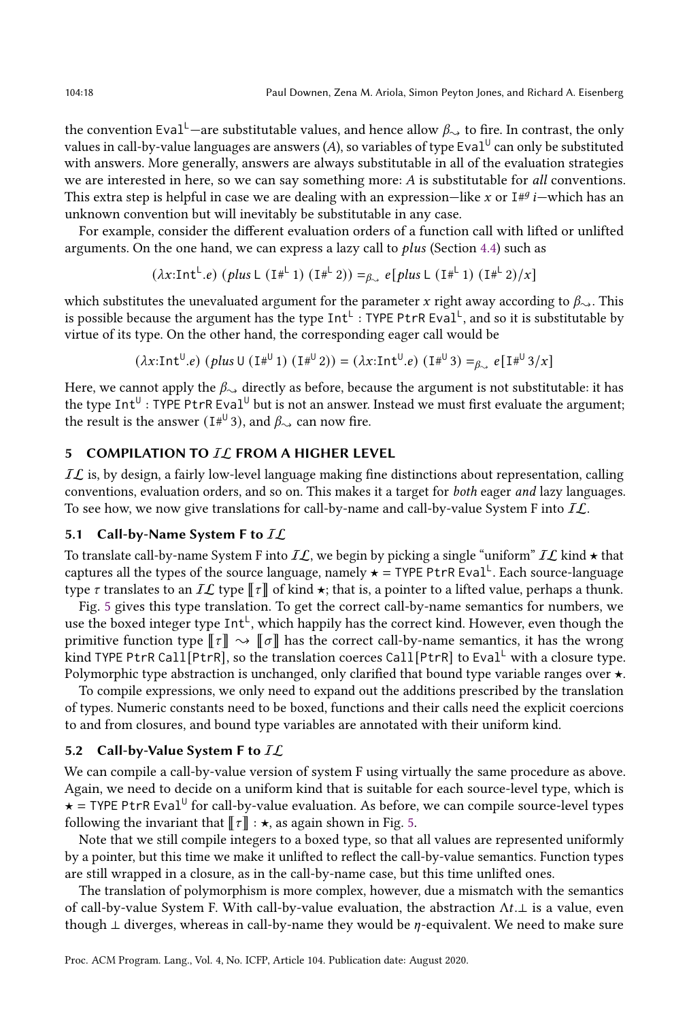the convention Eval<sup>L</sup>—are substitutable values, and hence allow  $\beta_{\sim}$ , to fire. In contrast, the only values in call-by-value languages are answers (A), so variables of type Eva $1^\text{U}$  can only be substituted with answers. More generally, answers are always substitutable in all of the evaluation strategies we are interested in here, so we can say something more:  $A$  is substitutable for all conventions. This extra step is helpful in case we are dealing with an expression—like x or I#9 *i*—which has an unknown convention but will inevitably be substitutable in any case.

For example, consider the different evaluation orders of a function call with lifted or unlifted arguments. On the one hand, we can express a lazy call to  $plus$  (Section [4.4\)](#page-12-0) such as

$$
(\lambda x:\text{Int}^{\perp}.e) \ (plus \ \text{L} \ (1^{\#^{\perp}}\ 1) \ (1^{\#^{\perp}}\ 2)) =_{\beta_{\sim}} e[\text{plus L} \ (1^{\#^{\perp}}\ 1) \ (1^{\#^{\perp}}\ 2)/x]
$$

which substitutes the unevaluated argument for the parameter x right away according to  $\beta_{\infty}$ . This is possible because the argument has the type  $Int^L :$  TYPE PtrR Eval<sup>L</sup>, and so it is substitutable by virtue of its type. On the other hand, the corresponding eager call would be

$$
(\lambda x:\text{Int}^{\cup}e) \ (plus \cup (\text{I}^{\#^{\cup} 1}) \ (\text{I}^{\#^{\cup} 2})) = (\lambda x:\text{Int}^{\cup}e) \ (\text{I}^{\#^{\cup} 3}) =_{\beta_{\sim}} e[\text{I}^{\#^{\cup} 3}/x]
$$

Here, we cannot apply the  $\beta_{\sim}$  directly as before, because the argument is not substitutable: it has the type Int<sup>U</sup>: TYPE PtrR Eval<sup>U</sup> but is not an answer. Instead we must first evaluate the argument; the result is the answer (I#<sup>U</sup> 3), and  $\beta_{\sim}$  can now fire.

# <span id="page-17-0"></span>5 COMPILATION TO IL FROM A HIGHER LEVEL

 $I\mathcal{L}$  is, by design, a fairly low-level language making fine distinctions about representation, calling conventions, evaluation orders, and so on. This makes it a target for *both* eager and lazy languages. To see how, we now give translations for call-by-name and call-by-value System F into  $IL$ .

# 5.1 Call-by-Name System F to  $IL$

To translate call-by-name System F into  $\mathcal{IL}$ , we begin by picking a single "uniform"  $IL$  kind  $\star$  that captures all the types of the source language, namely  $\star$  = TYPE PtrR Eval<sup>L</sup>. Each source-language type  $\tau$  translates to an  $\mathcal{IL}$  type  $\llbracket \tau \rrbracket$  of kind  $\star$ ; that is, a pointer to a lifted value, perhaps a thunk.

Fig. [5](#page-18-3) gives this type translation. To get the correct call-by-name semantics for numbers, we use the boxed integer type  $Int^{\perp}$ , which happily has the correct kind. However, even though the primitive function type  $\llbracket \tau \rrbracket \rightarrow \llbracket \sigma \rrbracket$  has the correct call-by-name semantics, it has the wrong kind TYPE PtrR Call [PtrR], so the translation coerces Call [PtrR] to Eval<sup>L</sup> with a closure type. Polymorphic type abstraction is unchanged, only clarified that bound type variable ranges over ★.

To compile expressions, we only need to expand out the additions prescribed by the translation of types. Numeric constants need to be boxed, functions and their calls need the explicit coercions to and from closures, and bound type variables are annotated with their uniform kind.

## 5.2 Call-by-Value System F to  $IL$

We can compile a call-by-value version of system F using virtually the same procedure as above. Again, we need to decide on a uniform kind that is suitable for each source-level type, which is  $\star$  = TYPE PtrR Eval<sup>U</sup> for call-by-value evaluation. As before, we can compile source-level types following the invariant that  $\llbracket \tau \rrbracket : \star$ , as again shown in Fig. [5.](#page-18-3)

Note that we still compile integers to a boxed type, so that all values are represented uniformly by a pointer, but this time we make it unlifted to reflect the call-by-value semantics. Function types are still wrapped in a closure, as in the call-by-name case, but this time unlifted ones.

The translation of polymorphism is more complex, however, due a mismatch with the semantics of call-by-value System F. With call-by-value evaluation, the abstraction  $\Lambda t$ . $\perp$  is a value, even though  $\perp$  diverges, whereas in call-by-name they would be  $\eta$ -equivalent. We need to make sure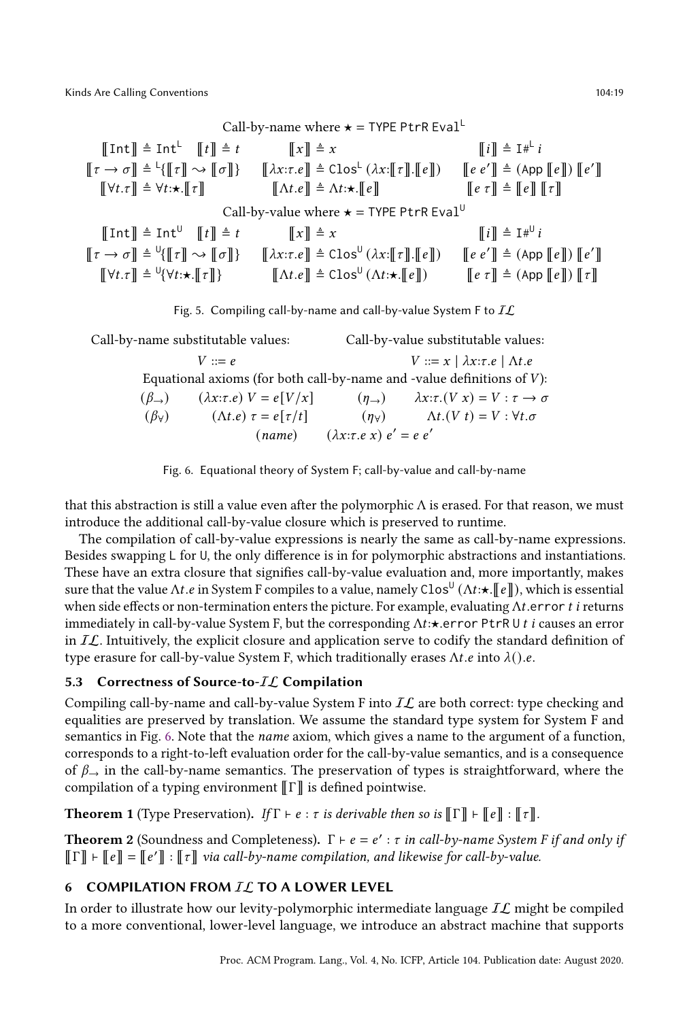<span id="page-18-3"></span>Call-by-name where  $\star$  = TYPE PtrR Eval<sup>L</sup>  $\llbracket \text{Int} \rrbracket \triangleq \text{Int} \llbracket t \rrbracket \triangleq t$   $\llbracket x \rrbracket \triangleq x$   $\llbracket i \rrbracket \triangleq \text{Int}$  $\mathsf{L}_i$  $\llbracket \tau \to \sigma \rrbracket \triangleq \{ \llbracket \tau \rrbracket, \llbracket \sigma \rrbracket \} \quad \llbracket \lambda x : \tau.e \rrbracket \triangleq \text{Clos}^{\perp}(\lambda x : \llbracket \tau \rrbracket . \llbracket e \rrbracket) \quad \llbracket e e' \rrbracket \triangleq (\text{App } \llbracket e \rrbracket) \llbracket e' \rrbracket$  $\llbracket \forall t. \tau \rrbracket \triangleq \forall t: \star. \llbracket \tau \rrbracket$   $\land$   $\llbracket \Lambda t. e \rrbracket \triangleq \Lambda t: \star. \llbracket e \rrbracket$   $\llbracket e \tau \rrbracket \triangleq \llbracket e \rrbracket \llbracket \tau \rrbracket$ Call-by-value where  $\star$  = TYPE PtrR Eval<sup>U</sup>  $\llbracket \text{Int} \rrbracket \triangleq \text{Int}^{\cup}$   $\llbracket t \rrbracket \triangleq t$   $\llbracket x \rrbracket \triangleq x$   $\llbracket i \rrbracket \triangleq \text{I#}$  $\mathsf{U}_i$  $\llbracket \tau \to \sigma \rrbracket \triangleq \mathbb{V} \llbracket \tau \rrbracket \sim \llbracket \sigma \rrbracket$   $\rrbracket$   $\llbracket \lambda x : \tau e \rrbracket \triangleq \text{Clos}^{\text{U}}(\lambda x : \llbracket \tau \rrbracket \cdot \llbracket e \rrbracket)$   $\llbracket e e' \rrbracket \triangleq (\text{App } \llbracket e \rrbracket) \llbracket e' \rrbracket$  $\llbracket \forall t. \tau \rrbracket \triangleq^{\cup}$  $\llbracket \Lambda t.e \rrbracket \triangleq \text{Clos}^{\text{U}}(\Lambda t: \star \llbracket e \rrbracket)$  $\llbracket e \tau \rrbracket \triangleq (\text{App } \llbracket e \rrbracket) \llbracket \tau \rrbracket$ 



<span id="page-18-4"></span>Call-by-name substitutable values:  $V ::= e$ Call-by-value substitutable values:  $V ::= x \mid \lambda x : \tau.e \mid \Lambda t.e$ Equational axioms (for both call-by-name and -value definitions of  $V$ ):  $(\beta_{\rightarrow})$   $(\lambda x:\tau.e)$   $V = e[V/x]$   $(\eta_{\rightarrow})$   $\lambda x:\tau.(V x) = V : \tau \rightarrow \sigma$ (β<sub>V</sub>)  $(\Lambda t.e) \tau = e[\tau/t]$   $(\eta_V)$   $\Lambda t.(V t) = V : \forall t.\sigma$  $(name) \qquad (\lambda x{:}\tau.e \ x) \ e' = e \ e'$ 

# Fig. 6. Equational theory of System F; call-by-value and call-by-name

that this abstraction is still a value even after the polymorphic  $\Lambda$  is erased. For that reason, we must introduce the additional call-by-value closure which is preserved to runtime.

The compilation of call-by-value expressions is nearly the same as call-by-name expressions. Besides swapping L for U, the only difference is in for polymorphic abstractions and instantiations. These have an extra closure that signifies call-by-value evaluation and, more importantly, makes sure that the value Λt. $e$  in System F compiles to a value, namely C $\text{los}^\textsf{U}(\Lambda t\star\bar{\star}$  [e]]), which is essential when side effects or non-termination enters the picture. For example, evaluating  $\Lambda t$  error t i returns immediately in call-by-value System F, but the corresponding  $\Lambda t$ : $\star$ .error PtrR U t i causes an error in  $IL$ . Intuitively, the explicit closure and application serve to codify the standard definition of type erasure for call-by-value System F, which traditionally erases  $\Lambda t.e$  into  $\lambda(.).e$ .

# 5.3 Correctness of Source-to- $IL$  Compilation

Compiling call-by-name and call-by-value System F into  $I\mathcal{L}$  are both correct: type checking and equalities are preserved by translation. We assume the standard type system for System F and semantics in Fig. [6.](#page-18-4) Note that the name axiom, which gives a name to the argument of a function, corresponds to a right-to-left evaluation order for the call-by-value semantics, and is a consequence of  $\beta_{\rightarrow}$  in the call-by-name semantics. The preservation of types is straightforward, where the compilation of a typing environment  $\llbracket \Gamma \rrbracket$  is defined pointwise.

<span id="page-18-1"></span>**Theorem 1** (Type Preservation). If  $\Gamma \vdash e : \tau$  is derivable then so is  $\llbracket \Gamma \rrbracket \vdash \llbracket e \rrbracket : \llbracket \tau \rrbracket$ .

<span id="page-18-2"></span>Theorem 2 (Soundness and Completeness).  $\Gamma \vdash e = e' : \tau$  in call-by-name System F if and only if  $\llbracket \Gamma \rrbracket \vdash \llbracket e \rrbracket = \llbracket e' \rrbracket : \llbracket \tau \rrbracket$  via call-by-name compilation, and likewise for call-by-value.

# <span id="page-18-0"></span>6 COMPILATION FROM IL TO A LOWER LEVEL

In order to illustrate how our levity-polymorphic intermediate language  $I\mathcal{L}$  might be compiled to a more conventional, lower-level language, we introduce an abstract machine that supports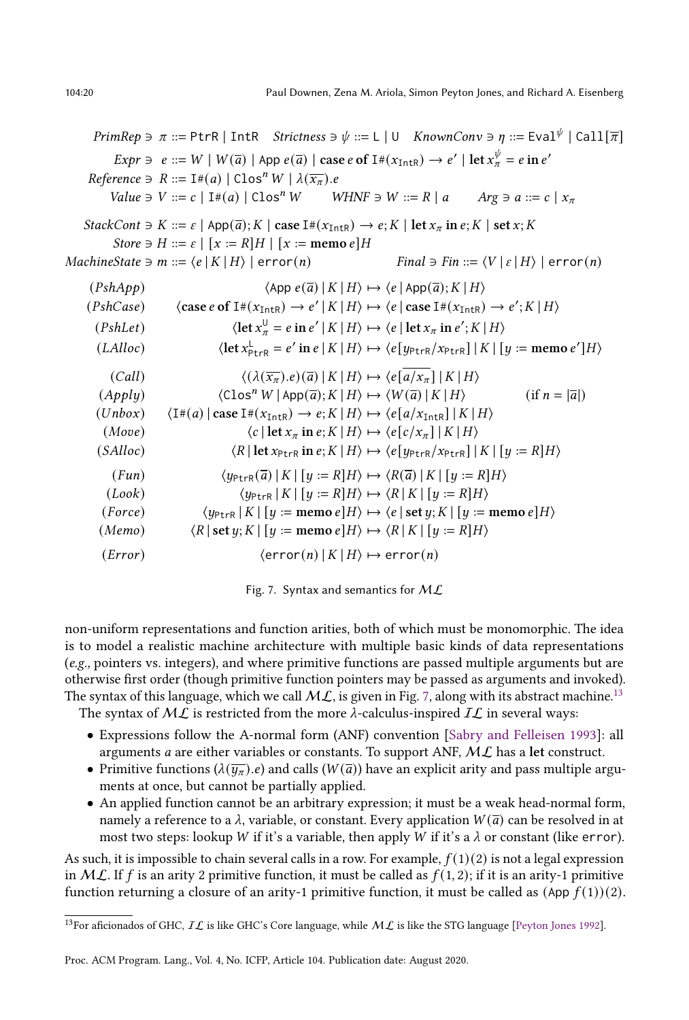<span id="page-19-0"></span> $\mathit{PrimRep}\ni\pi::=\mathsf{PtrR}\mid\mathsf{IntR}\quad\mathit{Strictness}\ni\psi::=\mathsf{L}\mid\mathsf{U}\quad\mathit{KnownConv}\ni\eta::=\mathsf{Eval}^\psi\mid\mathsf{Call}[\overline{\pi}]$  $\textit{Expr } \ni e ::= W \mid W(\overline{a}) \mid \text{App } e(\overline{a}) \mid \text{case } e \text{ of } \text{I#}(x_{\text{Intr}}) \rightarrow e' \mid \text{let } x^{\psi}_{\pi} = e \text{ in } e'$  $Reference \ni R ::= \mathbb{I} \#(a) | \mathbb{C} \log^n W | \lambda(\overline{x_{\pi}}).e$ Value  $\Rightarrow V ::= c | \text{I} \#(a) | \text{Clos}^n W$  WHNF  $\Rightarrow W ::= R | a$  Arg  $\Rightarrow a ::= c | x_{\pi}$  $StackCont \ni K ::= \varepsilon \mid \text{App}(\overline{a}); K \mid \text{case I#}(x_{\text{Int}R}) \rightarrow e; K \mid \text{let } x_{\pi} \text{ in } e; K \mid \text{set } x; K$ Store  $\ni H ::= \varepsilon \mid [x := R]H \mid [x := \text{memo } e]H$  $MachineState \ni m ::= \langle e | K | H \rangle \mid error(n)$  Final  $\ni Fin ::= \langle V | \varepsilon | H \rangle \mid error(n)$  $(PshApp)$   $\langle App \ e(\overline{a}) | K | H \rangle \mapsto \langle e | App(\overline{a}); K | H \rangle$  $(PshCase)$   $\langle \text{case } e \text{ of } \text{I} \#(x_{\text{IntR}}) \rightarrow e' | K | H \rangle \mapsto \langle e | \text{case } \text{I} \#(x_{\text{IntR}}) \rightarrow e'; K | H \rangle$  $(PshLet)$  $\mathcal{L}_{\pi}^{\mathsf{U}} = e$  in  $e' | K | H \rangle \mapsto \langle e | \det x_{\pi}$  in  $e' ; K | H \rangle$  $(LAlloc)$  $L_{\text{ptrR}} = e'$  in  $e \mid K \mid H$   $\rangle \mapsto \langle e[y_{\text{ptrR}}/x_{\text{ptrR}}] \mid K \mid [y := \text{memo } e']H \rangle$ (Call)  $\langle (\lambda(\overline{x_{\pi}}).e)(\overline{a}) | K | H \rangle \mapsto \langle e[\overline{a/x_{\pi}}] | K | H \rangle$  $(Apply)$   $\langle \text{Clos}^n W | \text{App}(\overline{a}); K | H \rangle \mapsto \langle W(\overline{a}) | K | H \rangle$   $(if n = |\overline{a}|)$  $(Unbox)$   $\langle I \#(a) | \text{case } I \#(x_{\text{Intr}}) \rightarrow e; K | H \rangle \mapsto \langle e[a/x_{\text{Intr}}] | K | H \rangle$ (*Move*)  $\langle c | \text{let } x_{\pi} \text{ in } e; K | H \rangle \mapsto \langle e [c / x_{\pi}] | K | H \rangle$ (SAlloc)  $\langle R | \text{let } x_{\text{PtrR}} \text{ in } e; K | H \rangle \mapsto \langle e [y_{\text{PtrR}} / x_{\text{PtrR}}] | K | [y := R] H \rangle$  $(Fun)$   $\langle \psi_{\text{PrrR}}(\overline{a}) | K | [\psi := R] H \rangle \mapsto \langle R(\overline{a}) | K | [\psi := R] H \rangle$  $(Look)$   $\langle y_{\text{ptrR}} | K | [ y := R] H \rangle \mapsto \langle R | K | [ y := R] H \rangle$ (Force)  $\langle y_{\text{PtrR}} | K | [y := \text{memo } e] H \rangle \mapsto \langle e | \text{set } y; K | [y := \text{memo } e] H \rangle$  $(Memo)$   $\langle R | \text{set } y; K | [y := \text{memo } e] H \rangle \mapsto \langle R | K | [y := R] H \rangle$  $(\text{Error}) | K | H \rangle \mapsto \text{error}(n)$ 

Fig. 7. Syntax and semantics for  $ML$ 

non-uniform representations and function arities, both of which must be monomorphic. The idea is to model a realistic machine architecture with multiple basic kinds of data representations (e.g., pointers vs. integers), and where primitive functions are passed multiple arguments but are otherwise first order (though primitive function pointers may be passed as arguments and invoked). The syntax of this language, which we call  $ML$ , is given in Fig. [7,](#page-19-0) along with its abstract machine.<sup>[13](#page-0-0)</sup>

The syntax of  $ML$  is restricted from the more  $\lambda$ -calculus-inspired  $IL$  in several ways:

- Expressions follow the A-normal form (ANF) convention [\[Sabry and Felleisen](#page-28-4) [1993\]](#page-28-4): all arguments *a* are either variables or constants. To support ANF,  $ML$  has a let construct.
- Primitive functions  $(\lambda(\overline{\eta_{\pi}}).e)$  and calls  $(W(\overline{a}))$  have an explicit arity and pass multiple arguments at once, but cannot be partially applied.
- An applied function cannot be an arbitrary expression; it must be a weak head-normal form, namely a reference to a  $\lambda$ , variable, or constant. Every application  $W(\overline{a})$  can be resolved in at most two steps: lookup W if it's a variable, then apply W if it's a  $\lambda$  or constant (like error).

As such, it is impossible to chain several calls in a row. For example,  $f(1)(2)$  is not a legal expression in  $ML$ . If f is an arity 2 primitive function, it must be called as  $f(1, 2)$ ; if it is an arity-1 primitive function returning a closure of an arity-1 primitive function, it must be called as  $(\text{App } f(1))(2)$ .

<sup>&</sup>lt;sup>13</sup>For aficionados of GHC,  $IL$  is like GHC's Core language, while  $ML$  is like the STG language [\[Peyton Jones](#page-27-13) [1992\]](#page-27-13).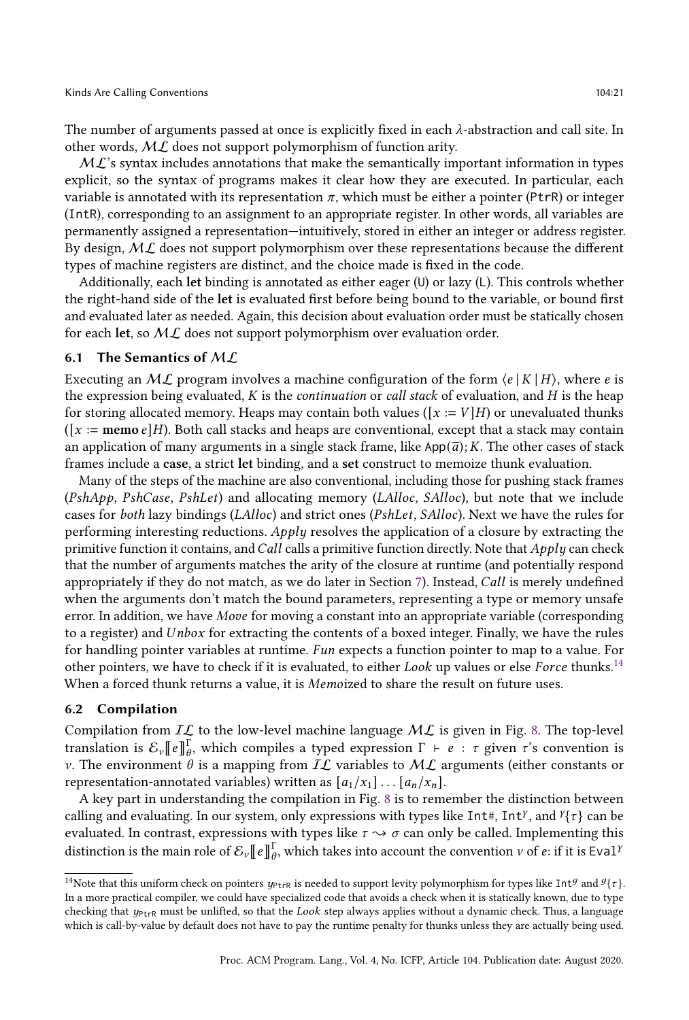The number of arguments passed at once is explicitly fixed in each  $\lambda$ -abstraction and call site. In other words,  $ML$  does not support polymorphism of function arity.

 $ML$ 's syntax includes annotations that make the semantically important information in types explicit, so the syntax of programs makes it clear how they are executed. In particular, each variable is annotated with its representation  $\pi$ , which must be either a pointer (PtrR) or integer (IntR), corresponding to an assignment to an appropriate register. In other words, all variables are permanently assigned a representation—intuitively, stored in either an integer or address register. By design,  $ML$  does not support polymorphism over these representations because the different types of machine registers are distinct, and the choice made is fixed in the code.

Additionally, each let binding is annotated as either eager (U) or lazy (L). This controls whether the right-hand side of the let is evaluated first before being bound to the variable, or bound first and evaluated later as needed. Again, this decision about evaluation order must be statically chosen for each let, so  $ML$  does not support polymorphism over evaluation order.

#### 6.1 The Semantics of  $ML$

Executing an  $ML$  program involves a machine configuration of the form  $\langle e | K | H \rangle$ , where e is the expression being evaluated,  $K$  is the *continuation* or *call stack* of evaluation, and  $H$  is the heap for storing allocated memory. Heaps may contain both values ( $[x := V]$ H) or unevaluated thunks ( $[x := \text{memo } e]$ H). Both call stacks and heaps are conventional, except that a stack may contain an application of many arguments in a single stack frame, like  $App(\overline{a}); K$ . The other cases of stack frames include a case, a strict let binding, and a set construct to memoize thunk evaluation.

Many of the steps of the machine are also conventional, including those for pushing stack frames (PshApp, PshCase, PshLet) and allocating memory (LAlloc, SAlloc), but note that we include cases for both lazy bindings (LAlloc) and strict ones (PshLet, SAlloc). Next we have the rules for performing interesting reductions.  $Apply$  resolves the application of a closure by extracting the primitive function it contains, and Call calls a primitive function directly. Note that  $Apply$  can check that the number of arguments matches the arity of the closure at runtime (and potentially respond appropriately if they do not match, as we do later in Section [7\)](#page-23-1). Instead, *Call* is merely undefined when the arguments don't match the bound parameters, representing a type or memory unsafe error. In addition, we have Move for moving a constant into an appropriate variable (corresponding to a register) and  $Unbox$  for extracting the contents of a boxed integer. Finally, we have the rules for handling pointer variables at runtime. Fun expects a function pointer to map to a value. For other pointers, we have to check if it is evaluated, to either Look up values or else Force thunks.<sup>[14](#page-0-0)</sup> When a forced thunk returns a value, it is *Memoized* to share the result on future uses.

#### 6.2 Compilation

Compilation from  $IL$  to the low-level machine language  $ML$  is given in Fig. [8.](#page-21-0) The top-level translation is  ${\cal E}_{\nu}[\![\ell]\!]_{\theta}^{\Gamma},$  which compiles a typed expression  $\Gamma$  ⊦  $e$  :  $\tau$  given  $\tau$ 's convention is v. The environment  $\theta$  is a mapping from IL variables to ML arguments (either constants or representation-annotated variables) written as  $[a_1/x_1] \dots [a_n/x_n]$ .

A key part in understanding the compilation in Fig. [8](#page-21-0) is to remember the distinction between calling and evaluating. In our system, only expressions with types like Int#, Int<sup>y</sup>, and  $Y\{\tau\}$  can be evaluated. In contrast, expressions with types like  $\tau \rightarrow \sigma$  can only be called. Implementing this distinction is the main role of  $\mathcal{E}_{v}[[e]]_{\theta}^{\Gamma}$ , which takes into account the convention v of e: if it is Eval<sup>y</sup>

<sup>&</sup>lt;sup>14</sup>Note that this uniform check on pointers  $y_{\text{ptrR}}$  is needed to support levity polymorphism for types like Int<sup>g</sup> and  $^g{\{\tau\}}$ . In a more practical compiler, we could have specialized code that avoids a check when it is statically known, due to type checking that  $\psi_{\text{trR}}$  must be unlifted, so that the *Look* step always applies without a dynamic check. Thus, a language which is call-by-value by default does not have to pay the runtime penalty for thunks unless they are actually being used.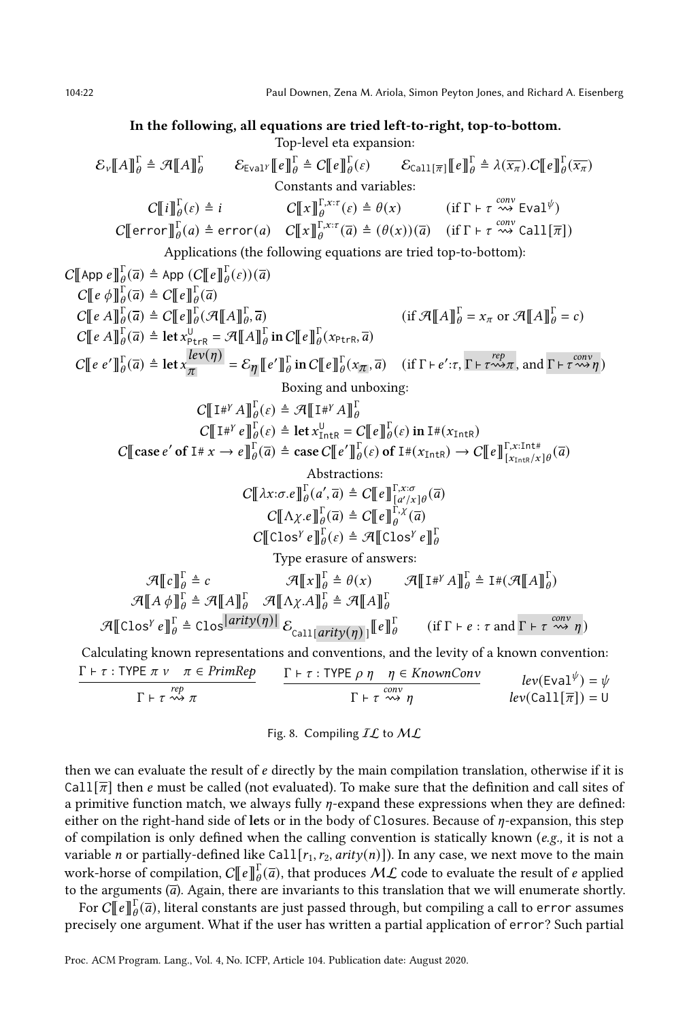# <span id="page-21-0"></span>In the following, all equations are tried left-to-right, top-to-bottom. Top-level eta expansion:  $\mathcal{E}_{\nu}\llbracket A\rrbracket_{\theta}^{\Gamma} \triangleq \mathcal{A}\llbracket A\rrbracket_{\theta}^{\Gamma} \qquad \mathcal{E}_{\text{Eval}^{\gamma}}\llbracket e \rrbracket_{\theta}^{\Gamma} \triangleq C\llbracket e \rrbracket_{\theta}^{\Gamma}(\varepsilon) \qquad \mathcal{E}_{\text{Call}\llbracket\overline{\pi}\rrbracket}\llbracket e \rrbracket_{\theta}^{\Gamma} \triangleq \lambda(\overline{x_{\pi}}).C\llbracket e \rrbracket_{\theta}^{\Gamma}(\overline{x_{\pi}})$ Constants and variables:  $C[[i]]_\theta^{\Gamma}(\varepsilon) \triangleq i$   $C[[x]]_\theta^{\Gamma,x:\tau}(\varepsilon) \triangleq \theta(x)$   $(i\text{f }\Gamma \vdash \tau \stackrel{conv}{\leadsto} \text{Eval}^{\psi})$  $C[\![\text{error}]\!]_{{\theta}}^{\Gamma}(a) \triangleq \text{error}(a) \quad C[\![x]\!]_{{\theta}}^{\Gamma,x:\tau}(\overline{a}) \triangleq ({\theta}(x))(\overline{a}) \quad (\text{if $\Gamma \vdash \tau \overset{conv}{\leadsto} \text{Call}[\overline{\pi}]$})$ Applications (the following equations are tried top-to-bottom):  $C[\![ \text{App } e \!]\!]_{\theta}^{\Gamma}(\overline{a}) \triangleq \text{App } (C[\![ e ]\!]_{\theta}^{\Gamma}(\varepsilon))(\overline{a})$  $C[\![e\phi]\!]_{{\theta}}^{\Gamma}(\overline{a}) \triangleq C[\![e]\!]_{{\theta}}^{\Gamma}(\overline{a})$  $C[\![e\ A]\!]_{\theta}^{\Gamma}(\overline{a}) \triangleq C[\![e]\!]_{\theta}^{\Gamma}(\mathcal{A}[\![A]\!]_{\theta}^{\Gamma})$  $\overline{a}$ ,  $\overline{a}$ ) (if  $\mathcal{A} \llbracket A \rrbracket_{\theta}^{\Gamma} = x_{\pi}$  or  $\mathcal{A} \llbracket A \rrbracket_{\theta}^{\Gamma} = c$ )  $C[\![e\ A]\!]_{{\theta}}^{\Gamma}(\overline{a}) \triangleq \textbf{let } x_{\text{ptrR}}^{\text{U}} = \mathcal{A}[\![A]\!]_{{\theta}}^{\Gamma} \textbf{in } C[\![e]\!]_{{\theta}}^{\Gamma}(x_{\text{ptrR}},\overline{a})$  $C \llbracket e \, e' \rrbracket^{\Gamma}_{\theta}(\overline{a}) \triangleq \text{let } x \frac{lev(\eta)}{\pi}$  $\frac{lev(\eta)}{\pi} = \mathcal{E}_{\eta}[[e']_{\theta}^{\Gamma} \text{ in } C[[e]]_{\theta}^{\Gamma}(x_{\pi}, \overline{a}) \text{ (if } \Gamma \vdash e':\tau, \Gamma \vdash \tau \leadsto \pi, \text{ and } \Gamma \vdash \tau \leadsto \eta)$ Boxing and unboxing:  $C[\![\mathbf{I} \#^{\gamma} A \!]\!]_{\theta}^{\Gamma}(\varepsilon) \triangleq \mathcal{A}[\![\mathbf{I} \#^{\gamma} A \!]\!]_{\theta}^{\Gamma}$  $C[\![\mathbf{I} \#^{\gamma} e]\!]_{\theta}^{\Gamma}(\varepsilon) \triangleq \mathbf{let} x_{\text{Intr}}^{\mathsf{U}} = C[\![\![e]\!]_{\theta}^{\Gamma}(\varepsilon) \mathbf{in} \mathbf{I}^{\#}(x_{\text{Intr}})$ C[[case e' of I #  $x \to e \cdot \int_0^{\Gamma} (\overline{a})^{\Delta} \triangleq$  case  $C \cdot \int_0^{\Gamma} e' \cdot \int_0^{\Gamma} (\overline{e})^{\Delta} f(x) dx \to C \cdot \int_0^{\Gamma} e \cdot \int_0^{\Gamma} f(x) dx$  $\frac{\Gamma, x: \text{Int}\#}{[x_{\text{IntR}}/x]\theta}(\overline{a})$ Abstractions:  $C[\![\lambda x:\sigma.e]\!]_{{\theta}}^{\Gamma}(a',\overline{a}) \triangleq C[\![\![e]\!]_{{\lceil a'/x \rceil}{\theta}}^{\Gamma,x:\sigma}(\overline{a})$  $C[\![\Lambda \chi \cdot e]\!]_{\theta}^{\Gamma}(\overline{a}) \triangleq C[\![e]\!]_{\theta}^{\Gamma,\chi}(\overline{a})$  $C[\![\mathsf{Clos}^{\gamma} e]\!]_{\theta}^{\Gamma}(\varepsilon) \triangleq \mathcal{A}[\![\mathsf{Clos}^{\gamma} e]\!]_{\theta}^{\Gamma}$ Type erasure of answers:  $\mathcal{A}[\![c]\!]_{\theta}^{\Gamma} \triangleq c$   $\mathcal{A}[\![x]\!]_{\theta}^{\Gamma} \triangleq \theta(x)$   $\mathcal{A}[\![I\#^{\gamma}A]\!]_{\theta}^{\Gamma} \triangleq I\#(\mathcal{A}[\![A]\!]_{\theta}^{\Gamma})$  $\mathcal{A} \llbracket A \phi \rrbracket_\theta^\Gamma \triangleq \mathcal{A} \llbracket A \rrbracket_\theta^\Gamma \quad \mathcal{A} \llbracket \Lambda \chi . A \rrbracket_\theta^\Gamma \triangleq \mathcal{A} \llbracket A \rrbracket_\theta^\Gamma$  $\mathcal{A}[\![\texttt{Clos}^y \, e]\!]_{{\theta}}^{\Gamma} \triangleq \texttt{Clos}^{|\textit{arity}(\eta)|} \mathcal{E}_{\texttt{Call}|\textit{arity}(\eta)} [\![e]\!]_{{\theta}}^{\Gamma}$ (if  $\Gamma \vdash e : \tau$  and  $\Gamma \vdash \tau \stackrel{conv}{\leadsto} \eta$ ) Calculating known representations and conventions, and the levity of a known convention:

$$
\frac{\Gamma \vdash \tau : \text{TYPE } \pi \vee \pi \in \text{PrimRep}}{\Gamma \vdash \tau \leadsto \pi} \qquad \frac{\Gamma \vdash \tau : \text{TYPE } \rho \eta \quad \eta \in \text{KnownConv} \qquad \text{lev}(\text{Eval}^{\psi}) = \psi}{\Gamma \vdash \tau \leadsto \pi} \qquad \frac{\Gamma \vdash \tau : \text{TYPE } \rho \eta \quad \eta \in \text{KnownConv} \qquad \text{lev}(\text{Call}[\overline{\pi}]) = \psi}{\Gamma \vdash \tau \leadsto \pi}
$$

Fig. 8. Compiling  $IL$  to  $ML$ 

then we can evaluate the result of  $e$  directly by the main compilation translation, otherwise if it is Call $[\overline{\pi}]$  then e must be called (not evaluated). To make sure that the definition and call sites of a primitive function match, we always fully  $\eta$ -expand these expressions when they are defined: either on the right-hand side of lets or in the body of Closures. Because of  $\eta$ -expansion, this step of compilation is only defined when the calling convention is statically known ( $e.g.,$  it is not a variable *n* or partially-defined like Call $[r_1, r_2, arity(n)]$ ). In any case, we next move to the main work-horse of compilation,  $C[\![e]\!]_{\theta}^\Gamma(\overline{a})$ , that produces  $\mathcal{ML}$  code to evaluate the result of  $e$  applied to the arguments  $(\overline{a})$ . Again, there are invariants to this translation that we will enumerate shortly.

For  $C[\![e]\!]_{{\theta}}^{\Gamma}(\overline{a})$ , literal constants are just passed through, but compiling a call to error assumes precisely one argument. What if the user has written a partial application of error? Such partial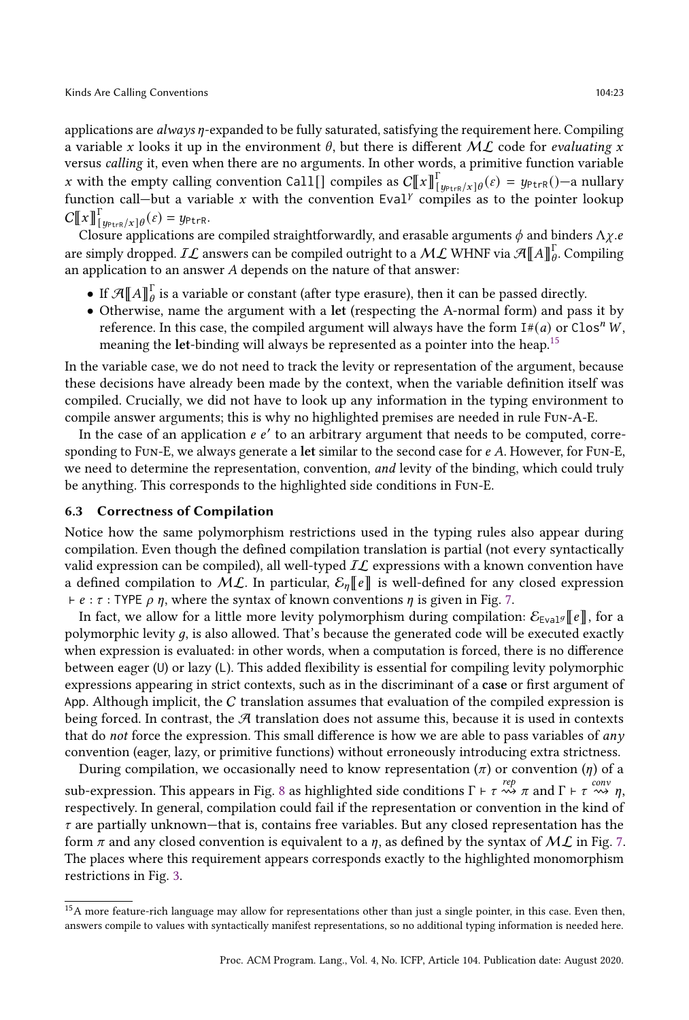applications are  $always\eta$ -expanded to be fully saturated, satisfying the requirement here. Compiling a variable x looks it up in the environment  $\theta$ , but there is different ML code for *evaluating* x versus calling it, even when there are no arguments. In other words, a primitive function variable x with the empty calling convention Call [] compiles as  $C[\![x]\!]_{\{y_{\text{ptrR}}/x\mid\theta}^{\Gamma}(\varepsilon)=y_{\text{ptrR}}()$ —a nullary function call—but a variable x with the convention Eval<sup>y</sup> compiles as to the pointer lookup  $C[\![x]\!]_{\{y_{\text{PtrR}}/x\mid\theta}^{ \Gamma}(\varepsilon)=y_{\text{PtrR}}.}^{ \Gamma}$ 

Closure applications are compiled straightforwardly, and erasable arguments  $\phi$  and binders  $\Lambda \chi$ .e are simply dropped.  $I\mathcal L$  answers can be compiled outright to a  $\mathcal {ML}$  WHNF via  $\mathcal A\llbracket A \rrbracket^{\Gamma}$ . Compiling an application to an answer  ${\cal A}$  depends on the nature of that answer:

- If  $\mathcal{A}(\llbracket A \rrbracket_\theta^{\Gamma}$  is a variable or constant (after type erasure), then it can be passed directly.
- Otherwise, name the argument with a let (respecting the A-normal form) and pass it by reference. In this case, the compiled argument will always have the form  $I \#(a)$  or Clos<sup>n</sup> W, meaning the let-binding will always be represented as a pointer into the heap.<sup>[15](#page-0-0)</sup>

In the variable case, we do not need to track the levity or representation of the argument, because these decisions have already been made by the context, when the variable definition itself was compiled. Crucially, we did not have to look up any information in the typing environment to compile answer arguments; this is why no highlighted premises are needed in rule Fun-A-E.

In the case of an application  $e e'$  to an arbitrary argument that needs to be computed, corresponding to Fun-E, we always generate a let similar to the second case for  $e$  A. However, for Fun-E, we need to determine the representation, convention, *and* levity of the binding, which could truly be anything. This corresponds to the highlighted side conditions in Fun-E.

#### 6.3 Correctness of Compilation

Notice how the same polymorphism restrictions used in the typing rules also appear during compilation. Even though the defined compilation translation is partial (not every syntactically valid expression can be compiled), all well-typed  $IL$  expressions with a known convention have a defined compilation to  $ML$ . In particular,  $\mathcal{E}_{\eta}[\![e]\!]$  is well-defined for any closed expression  $\vdash e : \tau : \text{TYPE } \rho \eta$ , where the syntax of known conventions  $\eta$  is given in Fig. [7.](#page-19-0)

In fact, we allow for a little more levity polymorphism during compilation:  $\mathcal{E}_{Eval}$  | e||, for a polymorphic levity  $g$ , is also allowed. That's because the generated code will be executed exactly when expression is evaluated: in other words, when a computation is forced, there is no difference between eager (U) or lazy (L). This added flexibility is essential for compiling levity polymorphic expressions appearing in strict contexts, such as in the discriminant of a case or first argument of App. Although implicit, the C translation assumes that evaluation of the compiled expression is being forced. In contrast, the  $A$  translation does not assume this, because it is used in contexts that do *not* force the expression. This small difference is how we are able to pass variables of  $any$ convention (eager, lazy, or primitive functions) without erroneously introducing extra strictness.

During compilation, we occasionally need to know representation  $(\pi)$  or convention  $(\eta)$  of a sub-expression. This appears in Fig. [8](#page-21-0) as highlighted side conditions  $\Gamma \vdash \tau \stackrel{rep}{\leadsto} \pi$  and  $\Gamma \vdash \tau \stackrel{conv}{\leadsto} \eta$ , respectively. In general, compilation could fail if the representation or convention in the kind of  $\tau$  are partially unknown—that is, contains free variables. But any closed representation has the form  $\pi$  and any closed convention is equivalent to a  $\eta$ , as defined by the syntax of  $\mathcal{ML}$  in Fig. [7.](#page-19-0) The places where this requirement appears corresponds exactly to the highlighted monomorphism restrictions in Fig. [3.](#page-10-0)

<span id="page-22-0"></span> $15A$  more feature-rich language may allow for representations other than just a single pointer, in this case. Even then, answers compile to values with syntactically manifest representations, so no additional typing information is needed here.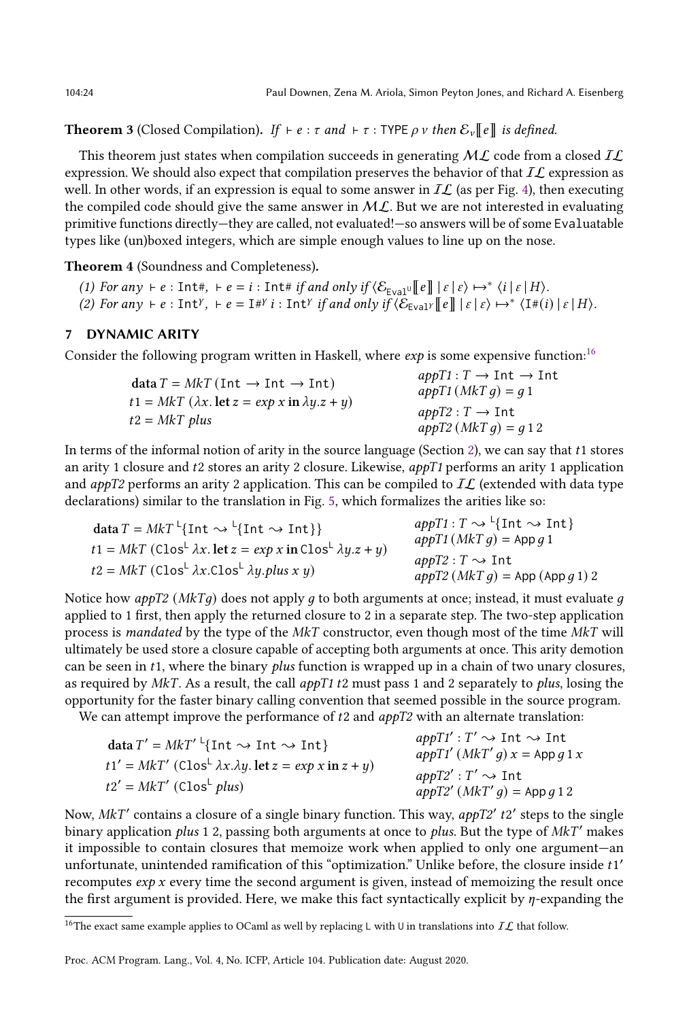**Theorem 3** (Closed Compilation). If  $\vdash e : \tau$  and  $\vdash \tau : \text{TYPE} \rho v$  then  $\mathcal{E}_v[[e]]$  is defined.

This theorem just states when compilation succeeds in generating  $ML$  code from a closed  $IL$ expression. We should also expect that compilation preserves the behavior of that  $IL$  expression as well. In other words, if an expression is equal to some answer in  $IL$  (as per Fig. [4\)](#page-16-1), then executing the compiled code should give the same answer in  $ML$ . But we are not interested in evaluating primitive functions directly—they are called, not evaluated!—so answers will be of some Evaluatable types like (un)boxed integers, which are simple enough values to line up on the nose.

<span id="page-23-0"></span>Theorem 4 (Soundness and Completeness).

```
(1) For any \vdash e : \text{Int}\#, \vdash e = i : \text{Int}\# if and only if \langle \mathcal{E}_{\text{Eval}} \mathcal{E} \Vert e \Vert \Vert \cdot \Vert \varepsilon \rangle \mapsto^* \langle i \Vert \varepsilon \Vert H \rangle.
(2) For any \vdash e : \text{Int}^{\gamma}, \vdash e = \text{I#}^{\gamma} i : \text{Int}^{\gamma} if and only if \langle \mathcal{E}_{\text{Eval}^{\gamma}}[[e]] | \varepsilon | \varepsilon \rangle \mapsto \langle \text{I}^{\#}(i) | \varepsilon | H \rangle.
```
# <span id="page-23-1"></span>7 DYNAMIC ARITY

Consider the following program written in Haskell, where  $exp$  is some expensive function:<sup>[16](#page-0-0)</sup>

| data $T = MkT$ (Int $\rightarrow$ Int $\rightarrow$ Int)                   | $appT1: T \rightarrow Int \rightarrow Int$          |
|----------------------------------------------------------------------------|-----------------------------------------------------|
| $t1 = MkT (\lambda x. \text{let } z = exp x \text{ in } \lambda y. z + y)$ | $appT1(MkTq) = q1$                                  |
| $t2 = MkT$ plus                                                            | $appT2: T \rightarrow Int$<br>$appT2(MkT q) = q 12$ |

In terms of the informal notion of arity in the source language (Section [2\)](#page-1-0), we can say that  $t_1$  stores an arity 1 closure and  $t2$  stores an arity 2 closure. Likewise,  $appT1$  performs an arity 1 application and *appT2* performs an arity 2 application. This can be compiled to  $IL$  (extended with data type declarations) similar to the translation in Fig. [5,](#page-18-3) which formalizes the arities like so:

$$
data T = MkT \{Int \rightsquigarrow \{Int \rightsquigarrow Int\}\}\n\nt1 = MkT (ClosL λx. let z = exp x in ClosL λy.z + y)\nt2 = MkT (ClosL λx. ClosL λy. plus x y)\nt3 = MkT (ClosL λx. ClosL λy. plus x y)\n\n
$$
x = \frac{MkT}{kT} \left(\frac{Clos^L}{kT} \right)
$$
\n
$$
x = \frac{MkT}{kT} \left(\frac{Clos^L}{kT} \right)
$$
\n
$$
x = \frac{MkT}{kT} \left(\frac{Clos^L}{kT} \right)
$$
$$

Notice how appT2 (MkTq) does not apply q to both arguments at once; instead, it must evaluate q applied to 1 first, then apply the returned closure to 2 in a separate step. The two-step application process is mandated by the type of the  $MkT$  constructor, even though most of the time  $MkT$  will ultimately be used store a closure capable of accepting both arguments at once. This arity demotion can be seen in  $t_1$ , where the binary *plus* function is wrapped up in a chain of two unary closures, as required by  $MkT$ . As a result, the call  $appT1 t2$  must pass 1 and 2 separately to plus, losing the opportunity for the faster binary calling convention that seemed possible in the source program.

We can attempt improve the performance of  $t2$  and  $appT2$  with an alternate translation:

| data $T' = MkT'^{\perp}$ {Int $\sim$ Int $\sim$ Int}                                 | $appT1': T' \rightarrow Int \rightarrow Int$<br>$appT1'$ $(MkT'g)$ $x = Appg1x$ |
|--------------------------------------------------------------------------------------|---------------------------------------------------------------------------------|
| $t1' = MkT'$ (Clos <sup>L</sup> $\lambda x.\lambda y$ . let $z = exp x$ in $z + y$ ) | $appT2': T' \rightarrow Int$                                                    |
| $t2' = MkT'$ (Clos <sup>L</sup> plus)                                                | $appT2' (MkT' g) = App g 12$                                                    |

Now, MkT' contains a closure of a single binary function. This way, appT2' t2' steps to the single binary application *plus* 1 2, passing both arguments at once to *plus*. But the type of  $MkT'$  makes it impossible to contain closures that memoize work when applied to only one argument—an unfortunate, unintended ramification of this "optimization." Unlike before, the closure inside 1 ′ recomputes  $exp x$  every time the second argument is given, instead of memoizing the result once the first argument is provided. Here, we make this fact syntactically explicit by  $\eta$ -expanding the

 $^{16}\rm{The}$  exact same example applies to OCaml as well by replacing L with U in translations into  $I\mathcal{L}$  that follow.

Proc. ACM Program. Lang., Vol. 4, No. ICFP, Article 104. Publication date: August 2020.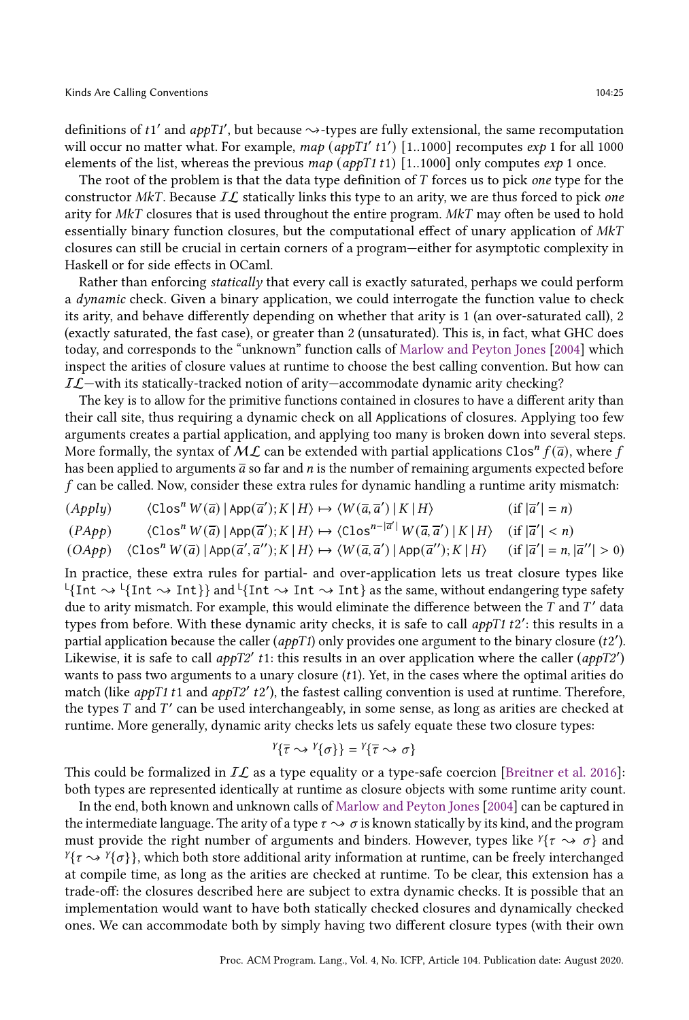definitions of t1' and *appT1'*, but because  $\rightsquigarrow$ -types are fully extensional, the same recomputation will occur no matter what. For example, map (appT1' t1') [1..1000] recomputes exp 1 for all 1000 elements of the list, whereas the previous  $map (appT1 t1)$  [1..1000] only computes  $exp 1$  once.

The root of the problem is that the data type definition of  $T$  forces us to pick one type for the constructor MkT. Because  $IL$  statically links this type to an arity, we are thus forced to pick one arity for  $MkT$  closures that is used throughout the entire program.  $MkT$  may often be used to hold essentially binary function closures, but the computational effect of unary application of MkT closures can still be crucial in certain corners of a program—either for asymptotic complexity in Haskell or for side effects in OCaml.

Rather than enforcing *statically* that every call is exactly saturated, perhaps we could perform a dynamic check. Given a binary application, we could interrogate the function value to check its arity, and behave differently depending on whether that arity is 1 (an over-saturated call), 2 (exactly saturated, the fast case), or greater than 2 (unsaturated). This is, in fact, what GHC does today, and corresponds to the "unknown" function calls of [Marlow and Peyton Jones](#page-27-6) [\[2004\]](#page-27-6) which inspect the arities of closure values at runtime to choose the best calling convention. But how can  $IL$ —with its statically-tracked notion of arity—accommodate dynamic arity checking?

The key is to allow for the primitive functions contained in closures to have a different arity than their call site, thus requiring a dynamic check on all Applications of closures. Applying too few arguments creates a partial application, and applying too many is broken down into several steps. More formally, the syntax of  $ML$  can be extended with partial applications Clos<sup>n</sup>  $f(\overline{a})$ , where f has been applied to arguments  $\bar{a}$  so far and *n* is the number of remaining arguments expected before  $f$  can be called. Now, consider these extra rules for dynamic handling a runtime arity mismatch:

 $(Apply)$   $\langle \text{Clos}^n W(\overline{a}) | \text{App}(\overline{a}'); K | H \rangle \mapsto \langle W(\overline{a}, \overline{a}') | K | H \rangle$  (if  $|\overline{a}$ )  $\vert = n \rangle$ 

$$
(PApp) \qquad \langle \text{Clos}^n W(\overline{a}) | \text{App}(\overline{a}^{\prime}); K | H \rangle \mapsto \langle \text{Clos}^{n-|\overline{a}^{\prime}|} W(\overline{a},\overline{a}^{\prime}) | K | H \rangle \quad (\text{if } |\overline{a}^{\prime}| < n)
$$

 $(OApp)$   $\langle \text{Clos}^n W(\overline{a}) | \text{App}(\overline{a}', \overline{a}''); K | H \rangle \mapsto \langle W(\overline{a}, \overline{a}') | \text{App}(\overline{a}''); K | H \rangle$   $(i\text{f }|\overline{a}'| = n, |\overline{a}''| > 0)$ 

In practice, these extra rules for partial- and over-application lets us treat closure types like  $\mathbb{L}\{\text{Int} \to \text{Int}\}$  and  $\mathbb{L}\{\text{Int} \to \text{Int}\}$  as the same, without endangering type safety due to arity mismatch. For example, this would eliminate the difference between the  $\overline{T}$  and  $\overline{T}'$  data types from before. With these dynamic arity checks, it is safe to call appT1 t2': this results in a partial application because the caller (appT1) only provides one argument to the binary closure (t2'). Likewise, it is safe to call  $appT2'$  t1: this results in an over application where the caller ( $appT2'$ ) wants to pass two arguments to a unary closure  $(t1)$ . Yet, in the cases where the optimal arities do match (like appT1 t1 and appT2' t2'), the fastest calling convention is used at runtime. Therefore, the types T and T' can be used interchangeably, in some sense, as long as arities are checked at runtime. More generally, dynamic arity checks lets us safely equate these two closure types:

$$
{}^{y}\{\overline{\tau} \leadsto {}^{y}\{\sigma\}\} = {}^{y}\{\overline{\tau} \leadsto \sigma\}
$$

This could be formalized in  $I\mathcal{L}$  as a type equality or a type-safe coercion [\[Breitner et al.](#page-27-14) [2016\]](#page-27-14): both types are represented identically at runtime as closure objects with some runtime arity count.

In the end, both known and unknown calls of [Marlow and Peyton Jones](#page-27-6) [\[2004\]](#page-27-6) can be captured in the intermediate language. The arity of a type  $\tau \rightarrow \sigma$  is known statically by its kind, and the program must provide the right number of arguments and binders. However, types like  ${}^{\gamma}$ { $\tau \rightarrow \sigma$ } and  ${}^{\gamma}$ { $\tau \rightarrow {}^{\gamma}$ { $\sigma$ }}, which both store additional arity information at runtime, can be freely interchanged at compile time, as long as the arities are checked at runtime. To be clear, this extension has a trade-off: the closures described here are subject to extra dynamic checks. It is possible that an implementation would want to have both statically checked closures and dynamically checked ones. We can accommodate both by simply having two different closure types (with their own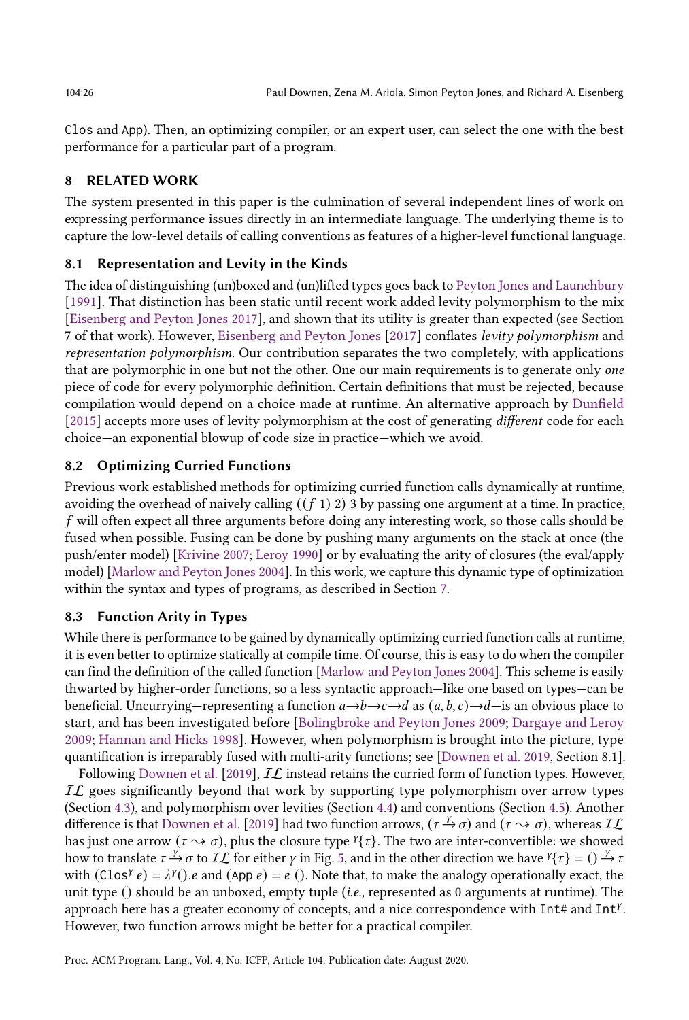Clos and App). Then, an optimizing compiler, or an expert user, can select the one with the best performance for a particular part of a program.

# 8 RELATED WORK

The system presented in this paper is the culmination of several independent lines of work on expressing performance issues directly in an intermediate language. The underlying theme is to capture the low-level details of calling conventions as features of a higher-level functional language.

# 8.1 Representation and Levity in the Kinds

The idea of distinguishing (un)boxed and (un)lifted types goes back to [Peyton Jones and Launchbury](#page-27-0) [\[1991\]](#page-27-0). That distinction has been static until recent work added levity polymorphism to the mix [\[Eisenberg and Peyton Jones](#page-27-1) [2017\]](#page-27-1), and shown that its utility is greater than expected (see Section 7 of that work). However, [Eisenberg and Peyton Jones](#page-27-1) [\[2017\]](#page-27-1) conflates levity polymorphism and representation polymorphism. Our contribution separates the two completely, with applications that are polymorphic in one but not the other. One our main requirements is to generate only one piece of code for every polymorphic definition. Certain definitions that must be rejected, because compilation would depend on a choice made at runtime. An alternative approach by [Dunfield](#page-27-15) [\[2015\]](#page-27-15) accepts more uses of levity polymorphism at the cost of generating *different* code for each choice—an exponential blowup of code size in practice—which we avoid.

# 8.2 Optimizing Curried Functions

Previous work established methods for optimizing curried function calls dynamically at runtime, avoiding the overhead of naively calling  $((f 1) 2) 3$  by passing one argument at a time. In practice,  $f$  will often expect all three arguments before doing any interesting work, so those calls should be fused when possible. Fusing can be done by pushing many arguments on the stack at once (the push/enter model) [\[Krivine](#page-27-16) [2007;](#page-27-16) [Leroy](#page-27-17) [1990\]](#page-27-17) or by evaluating the arity of closures (the eval/apply model) [\[Marlow and Peyton Jones](#page-27-6) [2004\]](#page-27-6). In this work, we capture this dynamic type of optimization within the syntax and types of programs, as described in Section [7.](#page-23-1)

# 8.3 Function Arity in Types

While there is performance to be gained by dynamically optimizing curried function calls at runtime, it is even better to optimize statically at compile time. Of course, this is easy to do when the compiler can find the definition of the called function [\[Marlow and Peyton Jones](#page-27-6) [2004\]](#page-27-6). This scheme is easily thwarted by higher-order functions, so a less syntactic approach—like one based on types—can be beneficial. Uncurrying—representing a function  $a \rightarrow b \rightarrow c \rightarrow d$  as  $(a, b, c) \rightarrow d$ —is an obvious place to start, and has been investigated before [\[Bolingbroke and Peyton Jones](#page-27-5) [2009;](#page-27-5) [Dargaye and Leroy](#page-27-18) [2009;](#page-27-18) [Hannan and Hicks](#page-27-19) [1998\]](#page-27-19). However, when polymorphism is brought into the picture, type quantification is irreparably fused with multi-arity functions; see [\[Downen et al.](#page-27-2) [2019,](#page-27-2) Section 8.1].

Following [Downen et al.](#page-27-2) [\[2019\]](#page-27-2),  $\mathcal{IL}$  instead retains the curried form of function types. However,  $IL$  goes significantly beyond that work by supporting type polymorphism over arrow types (Section [4.3\)](#page-12-1), and polymorphism over levities (Section [4.4\)](#page-12-0) and conventions (Section [4.5\)](#page-13-0). Another difference is that [Downen et al.](#page-27-2) [\[2019\]](#page-27-2) had two function arrows,  $(\tau \to \sigma)$  and  $(\tau \to \sigma)$ , whereas  $IL$ has just one arrow ( $\tau \rightarrow \sigma$ ), plus the closure type  $\gamma_{\tau}$ . The two are inter-convertible: we showed how to translate  $\tau \to \sigma$  to  $IL$  for either  $\gamma$  in Fig. [5,](#page-18-3) and in the other direction we have  $\gamma(\tau) = (\frac{1}{2}, \frac{1}{2})$ with  $(Clos<sup>y</sup> e) = \lambda<sup>y</sup>().e$  and  $(App e) = e().$  Note that, to make the analogy operationally exact, the unit type () should be an unboxed, empty tuple (i.e., represented as 0 arguments at runtime). The approach here has a greater economy of concepts, and a nice correspondence with Int# and Int<sup>y</sup>. However, two function arrows might be better for a practical compiler.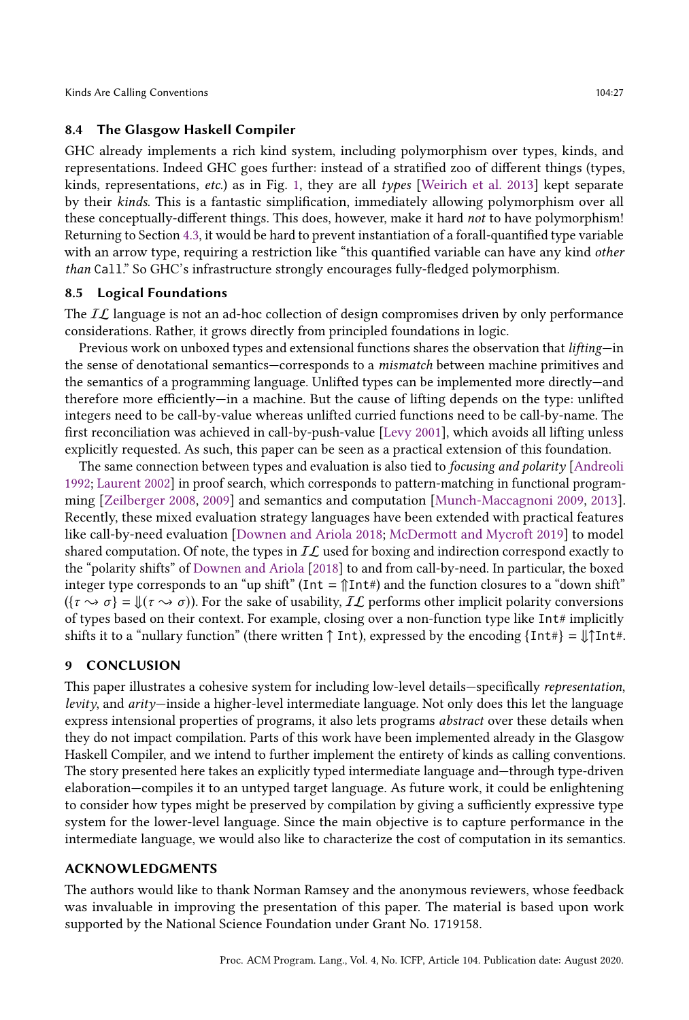## 8.4 The Glasgow Haskell Compiler

GHC already implements a rich kind system, including polymorphism over types, kinds, and representations. Indeed GHC goes further: instead of a stratified zoo of different things (types, kinds, representations, etc.) as in Fig. [1,](#page-8-1) they are all types [\[Weirich et al.](#page-28-1) [2013\]](#page-28-1) kept separate by their kinds. This is a fantastic simplification, immediately allowing polymorphism over all these conceptually-different things. This does, however, make it hard not to have polymorphism! Returning to Section [4.3,](#page-12-1) it would be hard to prevent instantiation of a forall-quantified type variable with an arrow type, requiring a restriction like "this quantified variable can have any kind other than Call." So GHC's infrastructure strongly encourages fully-fledged polymorphism.

#### 8.5 Logical Foundations

The  $I\mathcal{L}$  language is not an ad-hoc collection of design compromises driven by only performance considerations. Rather, it grows directly from principled foundations in logic.

Previous work on unboxed types and extensional functions shares the observation that lifting—in the sense of denotational semantics—corresponds to a *mismatch* between machine primitives and the semantics of a programming language. Unlifted types can be implemented more directly—and therefore more efficiently—in a machine. But the cause of lifting depends on the type: unlifted integers need to be call-by-value whereas unlifted curried functions need to be call-by-name. The first reconciliation was achieved in call-by-push-value [\[Levy](#page-27-20) [2001\]](#page-27-20), which avoids all lifting unless explicitly requested. As such, this paper can be seen as a practical extension of this foundation.

The same connection between types and evaluation is also tied to *focusing and polarity* [\[Andreoli](#page-27-21) [1992;](#page-27-21) [Laurent](#page-27-22) [2002\]](#page-27-22) in proof search, which corresponds to pattern-matching in functional programming [\[Zeilberger](#page-28-5) [2008,](#page-28-5) [2009\]](#page-28-6) and semantics and computation [\[Munch-Maccagnoni](#page-27-23) [2009,](#page-27-23) [2013\]](#page-27-24). Recently, these mixed evaluation strategy languages have been extended with practical features like call-by-need evaluation [\[Downen and Ariola](#page-27-7) [2018;](#page-27-7) [McDermott and Mycroft](#page-27-25) [2019\]](#page-27-25) to model shared computation. Of note, the types in  $IL$  used for boxing and indirection correspond exactly to the "polarity shifts" of [Downen and Ariola](#page-27-7) [\[2018\]](#page-27-7) to and from call-by-need. In particular, the boxed integer type corresponds to an "up shift" (Int  $= \int \ln t \, dt$ ) and the function closures to a "down shift"  $({\tau \leadsto \sigma}) = ||({\tau \leadsto \sigma})|$ . For the sake of usability,  $I\mathcal{L}$  performs other implicit polarity conversions of types based on their context. For example, closing over a non-function type like Int# implicitly shifts it to a "nullary function" (there written  $\uparrow$  Int), expressed by the encoding  $\{Int\#}\ = \|\uparrow\|$ Int#.

# 9 CONCLUSION

This paper illustrates a cohesive system for including low-level details—specifically representation, levity, and arity—inside a higher-level intermediate language. Not only does this let the language express intensional properties of programs, it also lets programs abstract over these details when they do not impact compilation. Parts of this work have been implemented already in the Glasgow Haskell Compiler, and we intend to further implement the entirety of kinds as calling conventions. The story presented here takes an explicitly typed intermediate language and—through type-driven elaboration—compiles it to an untyped target language. As future work, it could be enlightening to consider how types might be preserved by compilation by giving a sufficiently expressive type system for the lower-level language. Since the main objective is to capture performance in the intermediate language, we would also like to characterize the cost of computation in its semantics.

#### ACKNOWLEDGMENTS

The authors would like to thank Norman Ramsey and the anonymous reviewers, whose feedback was invaluable in improving the presentation of this paper. The material is based upon work supported by the National Science Foundation under Grant No. 1719158.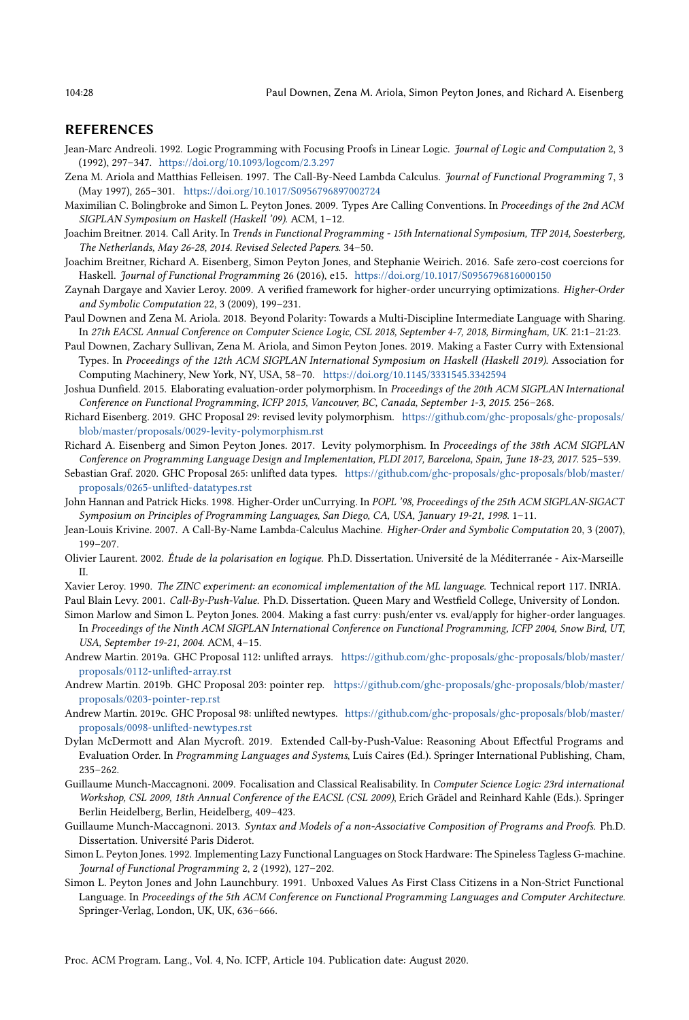#### REFERENCES

- <span id="page-27-21"></span>Jean-Marc Andreoli. 1992. Logic Programming with Focusing Proofs in Linear Logic. Journal of Logic and Computation 2, 3 (1992), 297–347. <https://doi.org/10.1093/logcom/2.3.297>
- <span id="page-27-4"></span>Zena M. Ariola and Matthias Felleisen. 1997. The Call-By-Need Lambda Calculus. Journal of Functional Programming 7, 3 (May 1997), 265–301. <https://doi.org/10.1017/S0956796897002724>
- <span id="page-27-5"></span>Maximilian C. Bolingbroke and Simon L. Peyton Jones. 2009. Types Are Calling Conventions. In Proceedings of the 2nd ACM SIGPLAN Symposium on Haskell (Haskell '09). ACM, 1–12.
- <span id="page-27-3"></span>Joachim Breitner. 2014. Call Arity. In Trends in Functional Programming - 15th International Symposium, TFP 2014, Soesterberg, The Netherlands, May 26-28, 2014. Revised Selected Papers. 34–50.
- <span id="page-27-14"></span>Joachim Breitner, Richard A. Eisenberg, Simon Peyton Jones, and Stephanie Weirich. 2016. Safe zero-cost coercions for Haskell. Journal of Functional Programming 26 (2016), e15. <https://doi.org/10.1017/S0956796816000150>
- <span id="page-27-18"></span>Zaynah Dargaye and Xavier Leroy. 2009. A verified framework for higher-order uncurrying optimizations. Higher-Order and Symbolic Computation 22, 3 (2009), 199–231.
- <span id="page-27-7"></span>Paul Downen and Zena M. Ariola. 2018. Beyond Polarity: Towards a Multi-Discipline Intermediate Language with Sharing. In 27th EACSL Annual Conference on Computer Science Logic, CSL 2018, September 4-7, 2018, Birmingham, UK. 21:1–21:23.
- <span id="page-27-2"></span>Paul Downen, Zachary Sullivan, Zena M. Ariola, and Simon Peyton Jones. 2019. Making a Faster Curry with Extensional Types. In Proceedings of the 12th ACM SIGPLAN International Symposium on Haskell (Haskell 2019). Association for Computing Machinery, New York, NY, USA, 58–70. <https://doi.org/10.1145/3331545.3342594>
- <span id="page-27-15"></span>Joshua Dunfield. 2015. Elaborating evaluation-order polymorphism. In Proceedings of the 20th ACM SIGPLAN International Conference on Functional Programming, ICFP 2015, Vancouver, BC, Canada, September 1-3, 2015. 256–268.
- <span id="page-27-8"></span>Richard Eisenberg. 2019. GHC Proposal 29: revised levity polymorphism. [https://github.com/ghc-proposals/ghc-proposals/](https://github.com/ghc-proposals/ghc-proposals/blob/master/proposals/0029-levity-polymorphism.rst) [blob/master/proposals/0029-levity-polymorphism.rst](https://github.com/ghc-proposals/ghc-proposals/blob/master/proposals/0029-levity-polymorphism.rst)
- <span id="page-27-1"></span>Richard A. Eisenberg and Simon Peyton Jones. 2017. Levity polymorphism. In Proceedings of the 38th ACM SIGPLAN Conference on Programming Language Design and Implementation, PLDI 2017, Barcelona, Spain, June 18-23, 2017. 525–539.
- <span id="page-27-9"></span>Sebastian Graf. 2020. GHC Proposal 265: unlifted data types. [https://github.com/ghc-proposals/ghc-proposals/blob/master/](https://github.com/ghc-proposals/ghc-proposals/blob/master/proposals/0265-unlifted-datatypes.rst) [proposals/0265-unlifted-datatypes.rst](https://github.com/ghc-proposals/ghc-proposals/blob/master/proposals/0265-unlifted-datatypes.rst)
- <span id="page-27-19"></span>John Hannan and Patrick Hicks. 1998. Higher-Order unCurrying. In POPL '98, Proceedings of the 25th ACM SIGPLAN-SIGACT Symposium on Principles of Programming Languages, San Diego, CA, USA, January 19-21, 1998. 1–11.
- <span id="page-27-16"></span>Jean-Louis Krivine. 2007. A Call-By-Name Lambda-Calculus Machine. Higher-Order and Symbolic Computation 20, 3 (2007), 199–207.
- <span id="page-27-22"></span>Olivier Laurent. 2002. Étude de la polarisation en logique. Ph.D. Dissertation. Université de la Méditerranée - Aix-Marseille  $\mathbf{I}$
- <span id="page-27-17"></span>Xavier Leroy. 1990. The ZINC experiment: an economical implementation of the ML language. Technical report 117. INRIA.

<span id="page-27-20"></span>Paul Blain Levy. 2001. Call-By-Push-Value. Ph.D. Dissertation. Queen Mary and Westfield College, University of London.

- <span id="page-27-6"></span>Simon Marlow and Simon L. Peyton Jones. 2004. Making a fast curry: push/enter vs. eval/apply for higher-order languages. In Proceedings of the Ninth ACM SIGPLAN International Conference on Functional Programming, ICFP 2004, Snow Bird, UT, USA, September 19-21, 2004. ACM, 4–15.
- <span id="page-27-10"></span>Andrew Martin. 2019a. GHC Proposal 112: unlifted arrays. [https://github.com/ghc-proposals/ghc-proposals/blob/master/](https://github.com/ghc-proposals/ghc-proposals/blob/master/proposals/0112-unlifted-array.rst) [proposals/0112-unlifted-array.rst](https://github.com/ghc-proposals/ghc-proposals/blob/master/proposals/0112-unlifted-array.rst)
- <span id="page-27-11"></span>Andrew Martin. 2019b. GHC Proposal 203: pointer rep. [https://github.com/ghc-proposals/ghc-proposals/blob/master/](https://github.com/ghc-proposals/ghc-proposals/blob/master/proposals/0203-pointer-rep.rst) [proposals/0203-pointer-rep.rst](https://github.com/ghc-proposals/ghc-proposals/blob/master/proposals/0203-pointer-rep.rst)
- <span id="page-27-12"></span>Andrew Martin. 2019c. GHC Proposal 98: unlifted newtypes. [https://github.com/ghc-proposals/ghc-proposals/blob/master/](https://github.com/ghc-proposals/ghc-proposals/blob/master/proposals/0098-unlifted-newtypes.rst) [proposals/0098-unlifted-newtypes.rst](https://github.com/ghc-proposals/ghc-proposals/blob/master/proposals/0098-unlifted-newtypes.rst)
- <span id="page-27-25"></span>Dylan McDermott and Alan Mycroft. 2019. Extended Call-by-Push-Value: Reasoning About Effectful Programs and Evaluation Order. In Programming Languages and Systems, Luís Caires (Ed.). Springer International Publishing, Cham, 235–262.
- <span id="page-27-23"></span>Guillaume Munch-Maccagnoni. 2009. Focalisation and Classical Realisability. In Computer Science Logic: 23rd international Workshop, CSL 2009, 18th Annual Conference of the EACSL (CSL 2009), Erich Grädel and Reinhard Kahle (Eds.). Springer Berlin Heidelberg, Berlin, Heidelberg, 409–423.
- <span id="page-27-24"></span>Guillaume Munch-Maccagnoni. 2013. Syntax and Models of a non-Associative Composition of Programs and Proofs. Ph.D. Dissertation. Université Paris Diderot.
- <span id="page-27-13"></span>Simon L. Peyton Jones. 1992. Implementing Lazy Functional Languages on Stock Hardware: The Spineless Tagless G-machine. Journal of Functional Programming 2, 2 (1992), 127–202.
- <span id="page-27-0"></span>Simon L. Peyton Jones and John Launchbury. 1991. Unboxed Values As First Class Citizens in a Non-Strict Functional Language. In Proceedings of the 5th ACM Conference on Functional Programming Languages and Computer Architecture. Springer-Verlag, London, UK, UK, 636–666.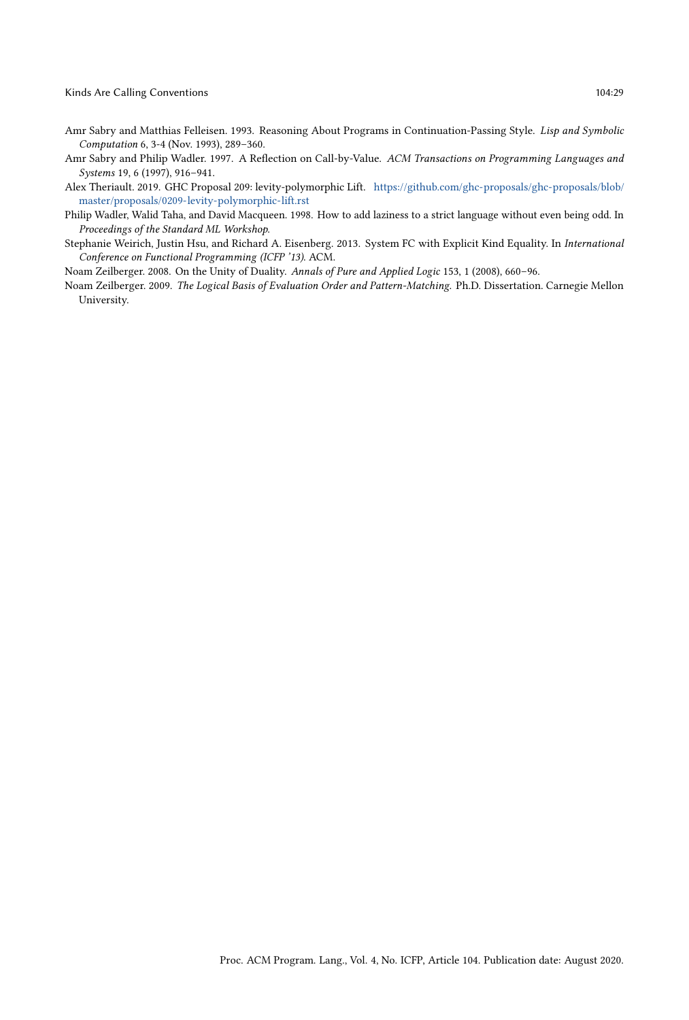- <span id="page-28-4"></span>Amr Sabry and Matthias Felleisen. 1993. Reasoning About Programs in Continuation-Passing Style. Lisp and Symbolic Computation 6, 3-4 (Nov. 1993), 289–360.
- <span id="page-28-0"></span>Amr Sabry and Philip Wadler. 1997. A Reflection on Call-by-Value. ACM Transactions on Programming Languages and Systems 19, 6 (1997), 916–941.
- <span id="page-28-3"></span>Alex Theriault. 2019. GHC Proposal 209: levity-polymorphic Lift. [https://github.com/ghc-proposals/ghc-proposals/blob/](https://github.com/ghc-proposals/ghc-proposals/blob/master/proposals/0209-levity-polymorphic-lift.rst) [master/proposals/0209-levity-polymorphic-lift.rst](https://github.com/ghc-proposals/ghc-proposals/blob/master/proposals/0209-levity-polymorphic-lift.rst)
- <span id="page-28-2"></span>Philip Wadler, Walid Taha, and David Macqueen. 1998. How to add laziness to a strict language without even being odd. In Proceedings of the Standard ML Workshop.
- <span id="page-28-1"></span>Stephanie Weirich, Justin Hsu, and Richard A. Eisenberg. 2013. System FC with Explicit Kind Equality. In International Conference on Functional Programming (ICFP '13). ACM.
- <span id="page-28-5"></span>Noam Zeilberger. 2008. On the Unity of Duality. Annals of Pure and Applied Logic 153, 1 (2008), 660–96.
- <span id="page-28-6"></span>Noam Zeilberger. 2009. The Logical Basis of Evaluation Order and Pattern-Matching. Ph.D. Dissertation. Carnegie Mellon University.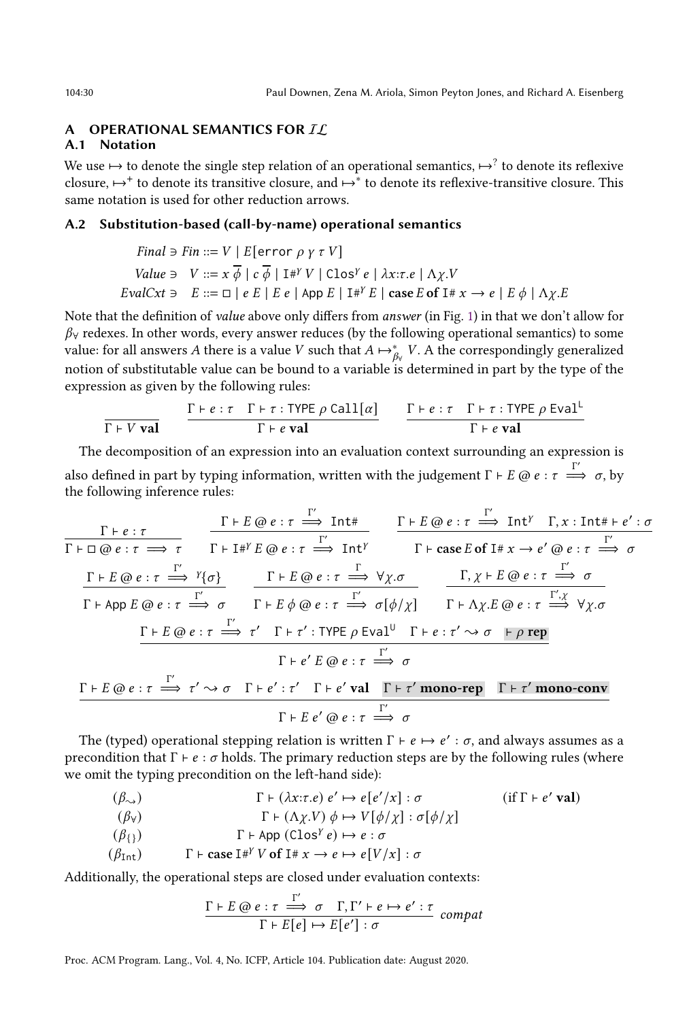#### A OPERATIONAL SEMANTICS FOR IL A.1 Notation

We use  $\mapsto$  to denote the single step relation of an operational semantics,  $\mapsto^?$  to denote its reflexive closure,  $\mapsto^+$  to denote its transitive closure, and  $\mapsto^*$  to denote its reflexive-transitive closure. This same notation is used for other reduction arrows.

# <span id="page-29-0"></span>A.2 Substitution-based (call-by-name) operational semantics

*Final*  $\ni$  *Fin* ::=  $V$  |  $E$ [error  $\rho$   $\gamma$   $\tau$   $V$ ]  $Value \ni V ::= x \overline{\phi} \mid c \overline{\phi} \mid I#^{Y}V \mid Clos^{Y} e \mid \lambda x : \tau.e \mid \Lambda \chi.V$  $EvalCxt \ni E ::= \Box \mid e E \mid E e \mid \text{App } E \mid \text{I#}^{\gamma} E \mid \text{case } E \text{ of } \text{I#} x \rightarrow e \mid E \phi \mid \Lambda \chi.E$ 

Note that the definition of value above only differs from answer (in Fig. [1\)](#page-8-1) in that we don't allow for  $\beta_{\rm Y}$  redexes. In other words, every answer reduces (by the following operational semantics) to some value: for all answers  $A$  there is a value  $V$  such that  $A \mapsto^*_{\beta_{\forall}} V$ . A the correspondingly generalized notion of substitutable value can be bound to a variable is determined in part by the type of the expression as given by the following rules:

$$
\cfrac{\Gamma \vdash e : \tau \quad \Gamma \vdash \tau : \text{TYPE} \; \rho \; \text{Call}[ \alpha ]}{\Gamma \vdash e \; \text{val}} \qquad \cfrac{\Gamma \vdash e : \tau \quad \Gamma \vdash \tau : \text{TYPE} \; \rho \; \text{Eval}^{\text{L}}}{\Gamma \vdash e \; \text{val}}
$$

The decomposition of an expression into an evaluation context surrounding an expression is also defined in part by typing information, written with the judgement  $\Gamma \vdash E \omega e : \tau \implies \sigma$ , by the following inference rules:

$$
\frac{\Gamma + e : \tau}{\Gamma + \square \omega e : \tau \implies \tau} \qquad \frac{\Gamma + E \omega e : \tau \implies \text{Int}\#}{\Gamma + \square \#^{\gamma} E \omega e : \tau \implies \text{Int}\gamma} \qquad \frac{\Gamma + E \omega e : \tau \implies \text{Int}\gamma \quad \Gamma, x : \text{Int}\# + e' : \sigma}{\Gamma + \text{case } E \text{ of } \text{H}\# x \to e' \omega e : \tau \implies \sigma}
$$
\n
$$
\frac{\Gamma + E \omega e : \tau \implies \gamma_{\{\sigma\}}}{\Gamma + \text{App } E \omega e : \tau \implies \sigma} \qquad \frac{\Gamma + E \omega e : \tau \implies \forall \chi. \sigma \qquad \Gamma, \chi + E \omega e : \tau \implies \sigma}{\Gamma + E \phi \omega e : \tau \implies \sigma[\phi/\chi]} \qquad \frac{\Gamma + \chi. E \omega e : \tau \implies \sigma}{\Gamma + \Lambda \chi. E \omega e : \tau \implies \forall \chi. \sigma}
$$
\n
$$
\frac{\Gamma + E \omega e : \tau \implies \tau' \quad \Gamma + \tau' : \text{Type } F \text{ wall} \quad \Gamma + e : \tau' \leadsto \sigma \quad \text{F - prop}}{\Gamma + e' E \omega e : \tau \implies \sigma}
$$
\n
$$
\frac{\Gamma + E \omega e : \tau \implies \tau' \quad \Gamma + e' : \tau' \quad \Gamma + e' \text{ val} \quad \Gamma + \tau' \text{ mono - rep}}{\Gamma + E \omega e : \tau \implies \sigma}
$$

The (typed) operational stepping relation is written  $\Gamma \vdash e \mapsto e' : \sigma$ , and always assumes as a precondition that  $\Gamma \vdash e : \sigma$  holds. The primary reduction steps are by the following rules (where we omit the typing precondition on the left-hand side):

$$
\begin{array}{ll}\n(\beta_{\sim}) & \Gamma \vdash (\lambda x : \tau.e) \ e' \mapsto e[e'/x] : \sigma \quad (\text{if } \Gamma \vdash e' \text{ val}) \\
(\beta_{\forall}) & \Gamma \vdash (\Lambda \chi.V) \ \phi \mapsto V[\phi/\chi] : \sigma[\phi/\chi] \\
(\beta_{\{\}}) & \Gamma \vdash \text{App } (\text{Clos}^y \ e) \mapsto e : \sigma \\
(\beta_{\text{Int}}) & \Gamma \vdash \text{case } I^{\#Y} \text{ V of } I^{\#} \ x \to e \mapsto e[V/x] : \sigma\n\end{array}
$$

Additionally, the operational steps are closed under evaluation contexts:

$$
\frac{\Gamma \vdash E \oslash e : \tau \stackrel{\Gamma'}{\Longrightarrow} \sigma \quad \Gamma, \Gamma' \vdash e \mapsto e' : \tau}{\Gamma \vdash E[e] \mapsto E[e'] : \sigma} \text{ compact}
$$

Proc. ACM Program. Lang., Vol. 4, No. ICFP, Article 104. Publication date: August 2020.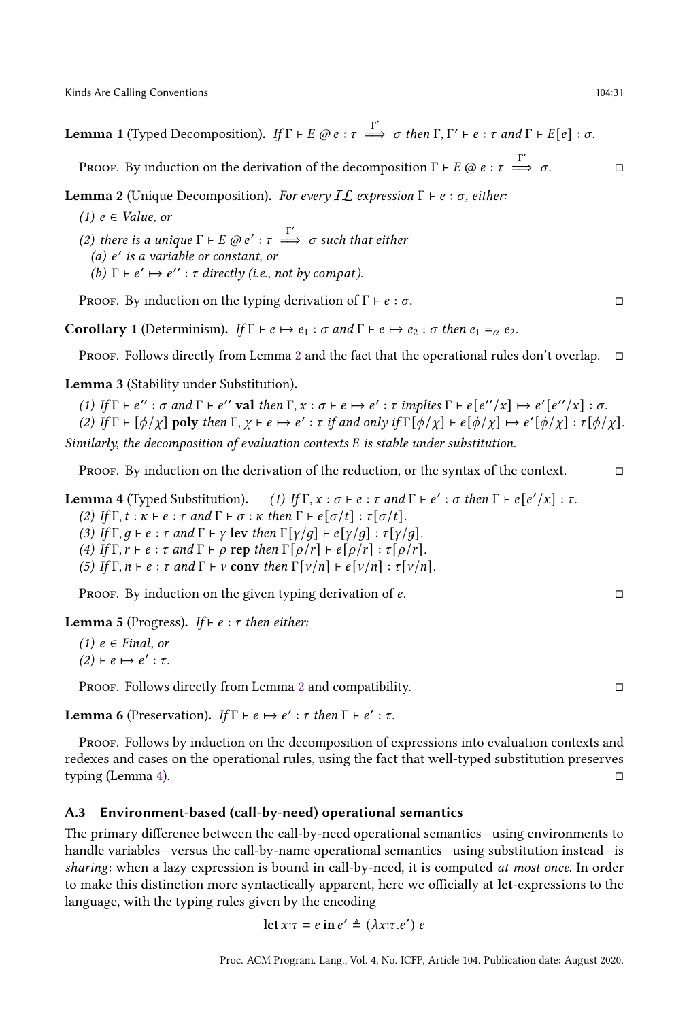Kinds Are Calling Conventions **104:31** Nicolas Are Calling Conventions **104:31** Nicolas Are Calling Conventions

**Lemma 1** (Typed Decomposition). If  $\Gamma \vdash E \oslash e : \tau \stackrel{\Gamma'}{\Longrightarrow} \sigma$  then  $\Gamma, \Gamma' \vdash e : \tau$  and  $\Gamma \vdash E[e] : \sigma$ .

PROOF. By induction on the derivation of the decomposition  $\Gamma \vdash E @ e : \tau \stackrel{\Gamma'}{\Longrightarrow} \sigma$ . □

<span id="page-30-0"></span>**Lemma 2** (Unique Decomposition). For every  $I\mathcal{L}$  expression Γ ⊦ e : σ, either:

- (1)  $e \in Value$ , or
- (2) there is a unique  $\Gamma \vdash E \oslash e' : \tau \stackrel{\Gamma'}{\Longrightarrow} \sigma$  such that either
- (a) e' is a variable or constant, or
- (b)  $\Gamma \vdash e' \mapsto e'' : \tau$  directly (i.e., not by compat).

PROOF. By induction on the typing derivation of  $\Gamma \vdash e : \sigma$ .

<span id="page-30-3"></span>**Corollary 1** (Determinism). If  $\Gamma \vdash e \mapsto e_1 : \sigma$  and  $\Gamma \vdash e \mapsto e_2 : \sigma$  then  $e_1 =_{\alpha} e_2$ .

PROOF. Follows directly from Lemma [2](#page-30-0) and the fact that the operational rules don't overlap.  $\Box$ 

<span id="page-30-2"></span>Lemma 3 (Stability under Substitution).

(1) If  $\Gamma \vdash e'' : \sigma$  and  $\Gamma \vdash e''$  val then  $\Gamma, x : \sigma \vdash e \mapsto e' : \tau$  implies  $\Gamma \vdash e[e''/x] \mapsto e'[e''/x] : \sigma$ . (2) If  $\Gamma \vdash [\phi/\chi]$  poly then  $\Gamma, \chi \vdash e \mapsto e' : \tau$  if and only if  $\Gamma[\phi/\chi] \vdash e[\phi/\chi] \mapsto e'[\phi/\chi] : \tau[\phi/\chi]$ . Similarly, the decomposition of evaluation contexts  $E$  is stable under substitution.

PROOF. By induction on the derivation of the reduction, or the syntax of the context.  $□$ 

<span id="page-30-1"></span>Lemma 4 (Typed Substitution). ':  $\sigma$  then  $\Gamma$   $\vdash$   $e[e'/x]$  :  $\tau$ . (2) If  $\Gamma$ ,  $t : \kappa \vdash e : \tau$  and  $\Gamma \vdash \sigma : \kappa$  then  $\Gamma \vdash e[\sigma/t] : \tau[\sigma/t]$ . (3) If  $\Gamma$ ,  $q \vdash e : \tau$  and  $\Gamma \vdash \gamma$  lev then  $\Gamma[\gamma/q] \vdash e[\gamma/q] : \tau[\gamma/q]$ . (4) If  $\Gamma$ ,  $r \vdash e : \tau$  and  $\Gamma \vdash \rho$  rep then  $\Gamma[\rho/r] \vdash e[\rho/r] : \tau[\rho/r]$ . (5) If  $\Gamma$ ,  $n \vdash e : \tau$  and  $\Gamma \vdash v$  conv then  $\Gamma[v/n] \vdash e[v/n] : \tau[v/n]$ .

PROOF. By induction on the given typing derivation of  $e$ .  $\Box$ 

**Lemma 5** (Progress). If  $\vdash$  *e* :  $\tau$  then either:

(1)  $e \in Final$ , or  $(2) \vdash e \mapsto e' : \tau.$ 

Proof. Follows directly from Lemma [2](#page-30-0) and compatibility. □

**Lemma 6** (Preservation). If  $\Gamma \vdash e \mapsto e' : \tau$  then  $\Gamma \vdash e' : \tau$ .

Proof. Follows by induction on the decomposition of expressions into evaluation contexts and redexes and cases on the operational rules, using the fact that well-typed substitution preserves typing (Lemma [4\)](#page-30-1).  $\Box$ 

## <span id="page-30-4"></span>A.3 Environment-based (call-by-need) operational semantics

The primary difference between the call-by-need operational semantics—using environments to handle variables—versus the call-by-name operational semantics—using substitution instead—is sharing: when a lazy expression is bound in call-by-need, it is computed at most once. In order to make this distinction more syntactically apparent, here we officially at let-expressions to the language, with the typing rules given by the encoding

$$
\det x:\tau = e \text{ in } e' \triangleq (\lambda x:\tau.e') e
$$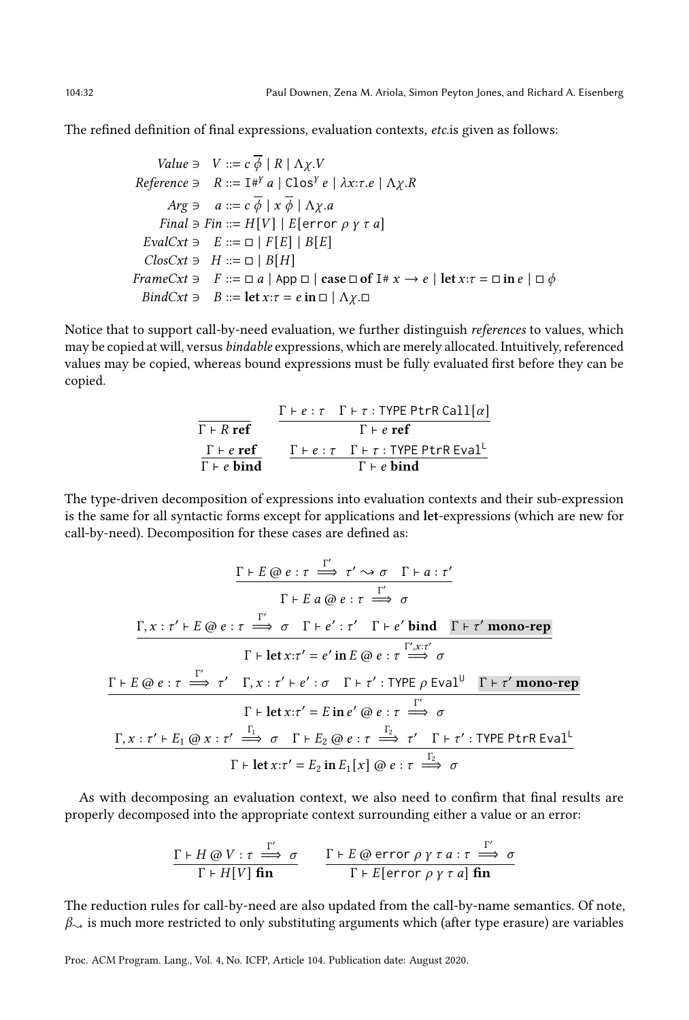The refined definition of final expressions, evaluation contexts, etc.is given as follows:

Value 
$$
\ni V ::= c \overline{\phi} | R | \Lambda \chi.V
$$
  
\nReference  $\ni R ::= \text{I#}^V a | \text{Clos}^V e | \lambda x : \tau.e | \Lambda \chi.R$   
\n $\text{Arg } \ni a ::= c \overline{\phi} | x \overline{\phi} | \Lambda \chi.a$   
\nFinal  $\ni Fin ::= H[V] | E[error \rho \gamma \tau a]$   
\nEvalCxt  $\ni E ::= \Box | F[E] | B[E]$   
\n $\text{ClosCxt } \ni H ::= \Box | B[H]$   
\nFrameCxt  $\ni F ::= \Box a | \text{App } \Box | \text{case } \Box \text{of } I \# x \rightarrow e | \text{let } x : \tau = \Box \text{in } e | \Box \phi$   
\nBindCxt  $\ni B ::= \text{let } x : \tau = e \text{ in } \Box | \Lambda \chi. \Box$ 

Notice that to support call-by-need evaluation, we further distinguish references to values, which may be copied at will, versus bindable expressions, which are merely allocated. Intuitively, referenced values may be copied, whereas bound expressions must be fully evaluated first before they can be copied.

| $\Gamma$ | $\Gamma$ | $e : \tau$ | $\Gamma$ | $\tau$ | $\Gamma$ | $\tau$ | $\Gamma$ | $\Gamma$ | $\Gamma$ | $\Gamma$ | $\Gamma$ | $\Gamma$ | $\Gamma$ | $\Gamma$ | $\Gamma$ | $\Gamma$ | $\Gamma$ | $\Gamma$ | $\Gamma$ | $\Gamma$ | $\Gamma$ | $\Gamma$ | $\Gamma$ | $\Gamma$ | $\Gamma$ | $\Gamma$ | $\Gamma$ | $\Gamma$ | $\Gamma$ | $\Gamma$ | $\Gamma$ | $\Gamma$ | $\Gamma$ | $\Gamma$ | $\Gamma$ | $\Gamma$ | $\Gamma$ | $\Gamma$ | $\Gamma$ | $\Gamma$ | $\Gamma$ | $\Gamma$ | $\Gamma$ | $\Gamma$ | $\Gamma$ | $\Gamma$ | $\Gamma$ | $\Gamma$ | $\Gamma$ | $\Gamma$ | $\Gamma$ | $\Gamma$ | $\Gamma$ | $\Gamma$ | $\Gamma$ | $\Gamma$ | $\Gamma$ | $\Gamma$ | $\Gamma$ | $\Gamma$ | $\Gamma$ | $\Gamma$ | $\Gamma$ | $\Gamma$ | $\Gamma$ | $\Gamma$ | $\Gamma$ | $\Gamma$ |
|----------|----------|------------|----------|--------|----------|--------|----------|----------|----------|----------|----------|----------|----------|----------|----------|----------|----------|----------|----------|----------|----------|----------|----------|----------|----------|----------|----------|----------|----------|----------|----------|----------|----------|----------|----------|----------|----------|----------|----------|----------|----------|----------|----------|----------|----------|----------|----------|----------|----------|----------|----------|----------|----------|----------|----------|----------|----------|----------|----------|----------|----------|----------|----------|----------|----------|----------|----------|----------|
|----------|----------|------------|----------|--------|----------|--------|----------|----------|----------|----------|----------|----------|----------|----------|----------|----------|----------|----------|----------|----------|----------|----------|----------|----------|----------|----------|----------|----------|----------|----------|----------|----------|----------|----------|----------|----------|----------|----------|----------|----------|----------|----------|----------|----------|----------|----------|----------|----------|----------|----------|----------|----------|----------|----------|----------|----------|----------|----------|----------|----------|----------|----------|----------|----------|----------|----------|----------|----------|

The type-driven decomposition of expressions into evaluation contexts and their sub-expression is the same for all syntactic forms except for applications and let-expressions (which are new for call-by-need). Decomposition for these cases are defined as:

$$
\frac{\Gamma \vdash E \oslash e : \tau \xrightarrow{\Gamma'} \tau' \rightsquigarrow \sigma \quad \Gamma \vdash a : \tau'}{\Gamma \vdash E a \oslash e : \tau \xrightarrow{\Gamma'} \sigma} \quad \frac{\Gamma'}{\Gamma \vdash E a \oslash e : \tau \xrightarrow{\Gamma'} \sigma} \quad \frac{\Gamma'}{\Gamma \vdash e' \text{ bind}} \quad \Gamma \vdash \tau' \text{ mono-rep}}{\Gamma \vdash \text{let} x : \tau' = e' \text{ in } E \oslash e : \tau \xrightarrow{\Gamma', x : \tau'} \sigma} \quad \frac{\Gamma'}{\Gamma \vdash E \oslash e : \tau \xrightarrow{\Gamma'} \tau' \quad \Gamma, x : \tau' \vdash e' : \sigma \quad \Gamma \vdash \tau' : \text{Type } \rho \text{Eval}^{\text{U}} \quad \Gamma \vdash \tau' \text{ mono-rep}}{\Gamma \vdash \text{let} x : \tau' = E \text{ in } e' \oslash e : \tau \xrightarrow{\Gamma'} \sigma} \quad \frac{\Gamma'}{\Gamma \vdash \text{let} x : \tau' \vdash E_1 \oslash x : \tau' \xrightarrow{\Gamma} \sigma \quad \Gamma \vdash E_2 \oslash e : \tau \xrightarrow{\Gamma} \tau' \quad \Gamma \vdash \tau' : \text{Type } \text{Ptr } \text{Eval}^{\text{L}}}{\Gamma \vdash \text{let} x : \tau' = E_2 \text{ in } E_1[x] \oslash e : \tau \xrightarrow{\Gamma_2} \sigma} \quad \frac{\Gamma_2}{\Gamma \vdash \text{let} x : \tau' \vdash E_2 \oslash e : \tau \xrightarrow{\Gamma_2} \tau' \quad \Gamma \vdash \tau' : \text{Type } \text{ptr } \text{Real}^{\text{L}}}{\Gamma \vdash \text{let} x : \tau' = E_2 \text{ in } E_1[x] \oslash e : \tau \xrightarrow{\Gamma_2} \sigma}
$$

As with decomposing an evaluation context, we also need to confirm that final results are properly decomposed into the appropriate context surrounding either a value or an error:

$$
\frac{\Gamma \vdash H \textcircled{a} V : \tau \stackrel{\Gamma'}{\implies} \sigma}{\Gamma \vdash H[V] \text{ fin}} \qquad \frac{\Gamma \vdash E \textcircled{a} \text{ error } \rho \text{ } \gamma \text{ } \tau \text{ } a : \tau \stackrel{\Gamma'}{\implies} \sigma}{\Gamma \vdash E \text{ [error } \rho \text{ } \gamma \text{ } \tau \text{ } a] \text{ fin}}
$$

The reduction rules for call-by-need are also updated from the call-by-name semantics. Of note,  $\beta_{\sim}$  is much more restricted to only substituting arguments which (after type erasure) are variables

Proc. ACM Program. Lang., Vol. 4, No. ICFP, Article 104. Publication date: August 2020.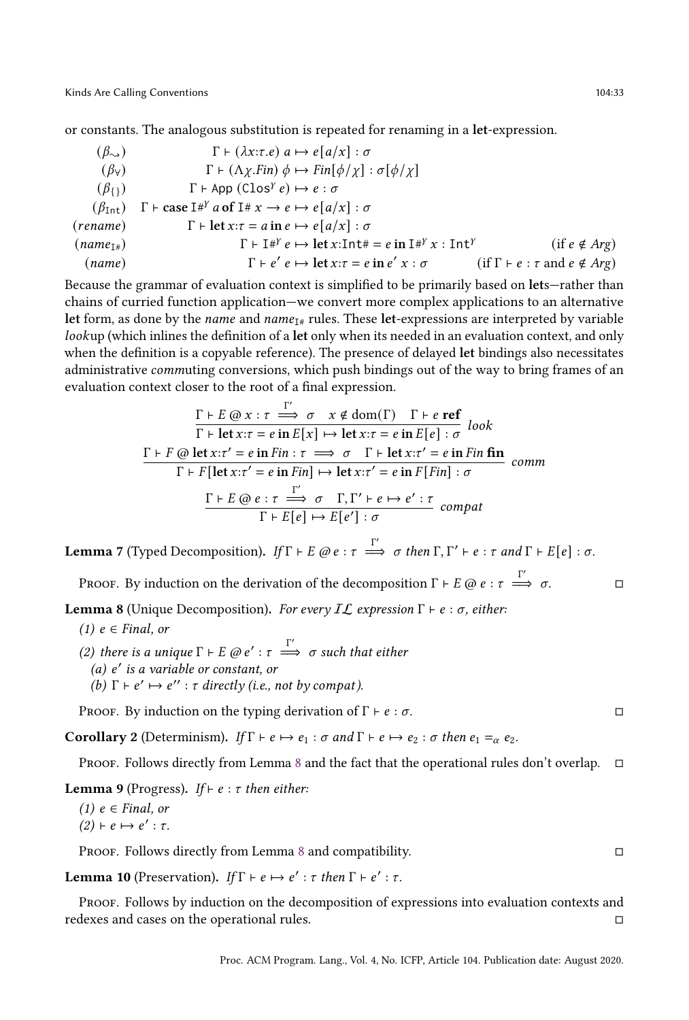or constants. The analogous substitution is repeated for renaming in a let-expression.

$$
(\beta_{\sim}) \qquad \Gamma \vdash (\lambda x : \tau . e) \ a \mapsto e[a/x] : \sigma
$$
\n
$$
(\beta_{\forall}) \qquad \Gamma \vdash (\Lambda \chi . \text{Fin}) \ \phi \mapsto \text{Fin}[\phi/\chi] : \sigma[\phi/\chi]
$$
\n
$$
(\beta_{\{\}) \qquad \Gamma \vdash \text{case I} \# \gamma \text{ a of I} \# \ x \to e \mapsto e[a/x] : \sigma
$$
\n
$$
(rename) \qquad \Gamma \vdash \text{let } x : \tau = a \text{ in } e \mapsto e[a/x] : \sigma
$$
\n
$$
(name_{\exists}) \qquad \Gamma \vdash \text{let } x : \tau = a \text{ in } e \mapsto e[a/x] : \sigma
$$
\n
$$
(name_{\exists}) \qquad \Gamma \vdash \Gamma \# \gamma \text{ e} \mapsto \text{let } x : \text{Int} \# = e \text{ in } \Gamma \# \gamma \times \Gamma \text{ Int} \gamma \qquad (\text{if } e \notin \text{Arg})
$$
\n
$$
(name) \qquad \Gamma \vdash e \lor e \mapsto \text{let } x : \tau = e \text{ in } e' \ x : \sigma \qquad (\text{if } \Gamma \vdash e : \tau \text{ and } e \notin \text{Arg})
$$

Because the grammar of evaluation context is simplified to be primarily based on lets—rather than chains of curried function application—we convert more complex applications to an alternative let form, as done by the *name* and  $name_{T#}$  rules. These let-expressions are interpreted by variable lookup (which inlines the definition of a let only when its needed in an evaluation context, and only when the definition is a copyable reference). The presence of delayed let bindings also necessitates administrative *commuting conversions*, which push bindings out of the way to bring frames of an evaluation context closer to the root of a final expression.

$$
\frac{\Gamma \vdash E \text{ @ } x : \tau \stackrel{\Gamma'}{\Longrightarrow} \sigma \quad x \notin \text{dom}(\Gamma) \quad \Gamma \vdash e \text{ ref}}{\Gamma \vdash \text{let } x : \tau = e \text{ in } E[x] \mapsto \text{let } x : \tau = e \text{ in } E[e] : \sigma \text{ look}}
$$
\n
$$
\frac{\Gamma \vdash F \text{ @ let } x : \tau' = e \text{ in } Fin : \tau \implies \sigma \quad \Gamma \vdash \text{let } x : \tau' = e \text{ in } Fin \text{ fin}}{\Gamma \vdash F[\text{let } x : \tau' = e \text{ in } Fin] \mapsto \text{let } x : \tau' = e \text{ in } F[Fin] : \sigma} \text{ comm}
$$
\n
$$
\frac{\Gamma \vdash E \text{ @ } e : \tau \stackrel{\Gamma'}{\Longrightarrow} \sigma \quad \Gamma, \Gamma' \vdash e \mapsto e' : \tau}{\Gamma \vdash E[e] \mapsto E[e'] : \sigma} \text{ compact}
$$

**Lemma** 7 (Typed Decomposition). If  $\Gamma \vdash E \oslash e : \tau \stackrel{\Gamma'}{\Longrightarrow} \sigma$  then  $\Gamma, \Gamma' \vdash e : \tau$  and  $\Gamma \vdash E[e] : \sigma$ .

PROOF. By induction on the derivation of the decomposition  $\Gamma \vdash E @ e : \tau \stackrel{\Gamma'}{\Longrightarrow} \sigma$ . □

<span id="page-32-0"></span>**Lemma 8** (Unique Decomposition). For every  $IL$  expression  $\Gamma \vdash e : \sigma$ , either:

- (1)  $e \in Final$ , or
- (2) there is a unique  $\Gamma \vdash E \oslash e' : \tau \stackrel{\Gamma'}{\Longrightarrow} \sigma$  such that either (a) e' is a variable or constant, or (b)  $\Gamma \vdash e' \mapsto e'' : \tau$  directly (i.e., not by compat).

PROOF. By induction on the typing derivation of  $\Gamma \vdash e : \sigma$ .

**Corollary 2** (Determinism). If  $\Gamma \vdash e \mapsto e_1 : \sigma$  and  $\Gamma \vdash e \mapsto e_2 : \sigma$  then  $e_1 =_{\alpha} e_2$ .

PROOF. Follows directly from Lemma [8](#page-32-0) and the fact that the operational rules don't overlap.  $\Box$ 

Lemma 9 (Progress). If  $\vdash$   $e : \tau$  then either:

(1)  $e \in Final$ , or

 $(2) \vdash e \mapsto e' : \tau.$ 

Proof. Follows directly from Lemma [8](#page-32-0) and compatibility. □

**Lemma 10** (Preservation). If  $\Gamma \vdash e \mapsto e' : \tau$  then  $\Gamma \vdash e' : \tau$ .

PROOF. Follows by induction on the decomposition of expressions into evaluation contexts and redexes and cases on the operational rules. □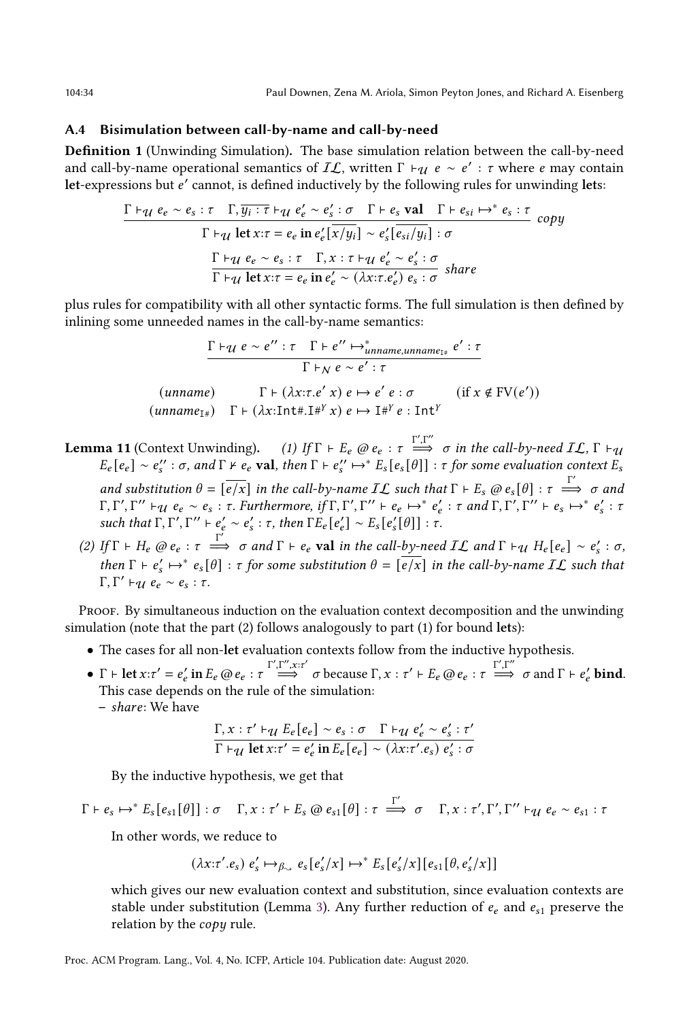#### A.4 Bisimulation between call-by-name and call-by-need

Definition 1 (Unwinding Simulation). The base simulation relation between the call-by-need and call-by-name operational semantics of  $IL$ , written  $\Gamma \vdash_{\mathcal{U}} e \sim e' : \tau$  where e may contain let-expressions but  $e'$  cannot, is defined inductively by the following rules for unwinding lets:

$$
\frac{\Gamma \vdash_{\mathcal{U}} e_e \sim e_s : \tau \quad \Gamma, \overline{y_i : \tau} \vdash_{\mathcal{U}} e'_e \sim e'_s : \sigma \quad \Gamma \vdash e_s \text{ val} \quad \Gamma \vdash e_{si} \mapsto^* e_s : \tau}{\Gamma \vdash_{\mathcal{U}} \text{let } x : \tau = e_e \text{ in } e'_e \overline{[x/y_i]} \sim e'_s \overline{[e_{si}/y_i]} : \sigma}
$$
\n
$$
\frac{\Gamma \vdash_{\mathcal{U}} e_e \sim e_s : \tau \quad \Gamma, x : \tau \vdash_{\mathcal{U}} e'_e \sim e'_s : \sigma}{\Gamma \vdash_{\mathcal{U}} \text{let } x : \tau = e_e \text{ in } e'_e \sim (\lambda x : \tau . e'_e) e_s : \sigma} \text{ share}
$$

plus rules for compatibility with all other syntactic forms. The full simulation is then defined by inlining some unneeded names in the call-by-name semantics:

$$
\frac{\Gamma \vdash_{\mathcal{U}} e \sim e'' : \tau \quad \Gamma \vdash e'' \mapsto^*_{unname,unname_{\Gamma^*}} e' : \tau}{\Gamma \vdash_{N} e \sim e' : \tau}
$$
\n(unname)

\n
$$
\Gamma \vdash (\lambda x : \tau.e' \ x) \ e \mapsto e' \ e : \sigma \quad \text{(if } x \notin \text{FV}(e'))
$$
\n(unname\_{\Gamma^\*}) \quad \Gamma \vdash (\lambda x : \text{Int}^\* \bot \text{H}^Y x) \ e \mapsto \text{H}^Y e : \text{Int}^Y

<span id="page-33-0"></span>**Lemma 11** (Context Unwinding). (1) If  $\Gamma \vdash E_e \otimes e_e : \tau \stackrel{\Gamma', \Gamma''}{\Longrightarrow} \sigma$  in the call-by-need  $I\mathcal{L}, \Gamma \vdash_{\mathcal{U}}$  $E_e[e_e] \sim e_s'' : \sigma$ , and  $\Gamma \nvdash e_e$  val, then  $\Gamma \vdash e_s'' \mapsto^* E_s[e_s[\theta]] : \tau$  for some evaluation context  $E_s$ and substitution  $\theta = \overline{[e/x]}$  in the call-by-name  $\mathcal{IL}$  such that  $\Gamma \vdash E_s \otimes e_s[\theta] : \tau \stackrel{\Gamma'}{\Longrightarrow} \sigma$  and  $\Gamma, \Gamma', \Gamma'' \vdash_{\mathcal{U}} e_e \sim e_s : \tau$ . Furthermore, if  $\Gamma, \Gamma', \Gamma'' \vdash e_e \mapsto^* e'_e : \tau$  and  $\Gamma, \Gamma', \Gamma'' \vdash e_s \mapsto^* e'_s : \tau$ such that  $\Gamma, \Gamma', \Gamma'' \vdash e_e' \sim e_s' : \tau$ , then  $\Gamma E_e[e_e'] \sim E_s[e_s'[\theta]] : \tau$ .

(2) If  $\Gamma \vdash H_e \otimes e_e : \tau \stackrel{\Gamma'}{\Longrightarrow} \sigma$  and  $\Gamma \vdash e_e$  val in the call-by-need  $I\mathcal{L}$  and  $\Gamma \vdash \tau_{\mathcal{U}} H_e[e_e] \sim e_s' : \sigma$ , then  $\Gamma \vdash e'_s \mapsto^* e_s[\theta] : \tau$  for some substitution  $\theta = [\overline{e/x}]$  in the call-by-name  $I\mathcal{L}$  such that  $\Gamma, \Gamma' \vdash_{\mathcal{U}} e_e \sim e_s : \tau.$ 

Proof. By simultaneous induction on the evaluation context decomposition and the unwinding simulation (note that the part (2) follows analogously to part (1) for bound lets):

- The cases for all non-let evaluation contexts follow from the inductive hypothesis.
- $\Gamma$  + let  $x:\tau' = e_e'$  in  $E_e \t{@} e_e : \tau \stackrel{\Gamma', \Gamma'', x:\tau'}{\Longrightarrow} \sigma$  because  $\Gamma, x : \tau' \vdash E_e \t{@} e_e : \tau \stackrel{\Gamma', \Gamma''}{\Longrightarrow} \sigma$  and  $\Gamma \vdash e_e'$  bind. This case depends on the rule of the simulation: – share: We have

$$
\frac{\Gamma, x : \tau' \vdash_{\mathcal{U}} E_e[e_e] \sim e_s : \sigma \quad \Gamma \vdash_{\mathcal{U}} e'_e \sim e'_s : \tau'}{\Gamma \vdash_{\mathcal{U}} \text{let } x : \tau' = e'_e \text{ in } E_e[e_e] \sim (\lambda x : \tau'.e_s) e'_s : \sigma}
$$

By the inductive hypothesis, we get that

 $\Gamma \vdash e_s \mapsto^* E_s[e_{s1}[\theta]] : \sigma \quad \Gamma, x : \tau' \vdash E_s @ e_{s1}[\theta] : \tau \stackrel{\Gamma'}{\Longrightarrow} \sigma \quad \Gamma, x : \tau', \Gamma', \Gamma'' \vdash_{\mathcal{U}} e_e \sim e_{s1} : \tau' \vdash_{\mathcal{U}} e_e \rightarrow e_{s2}$ 

In other words, we reduce to

$$
(\lambda x{:}\tau'.e_s) e'_s \mapsto_{\beta_{\sim}} e_s[e'_s/x] \mapsto^* E_s[e'_s/x][e_{s1}[\theta, e'_s/x]]
$$

which gives our new evaluation context and substitution, since evaluation contexts are stable under substitution (Lemma [3\)](#page-30-2). Any further reduction of  $e_e$  and  $e_{s1}$  preserve the relation by the  $copy$  rule.

Proc. ACM Program. Lang., Vol. 4, No. ICFP, Article 104. Publication date: August 2020.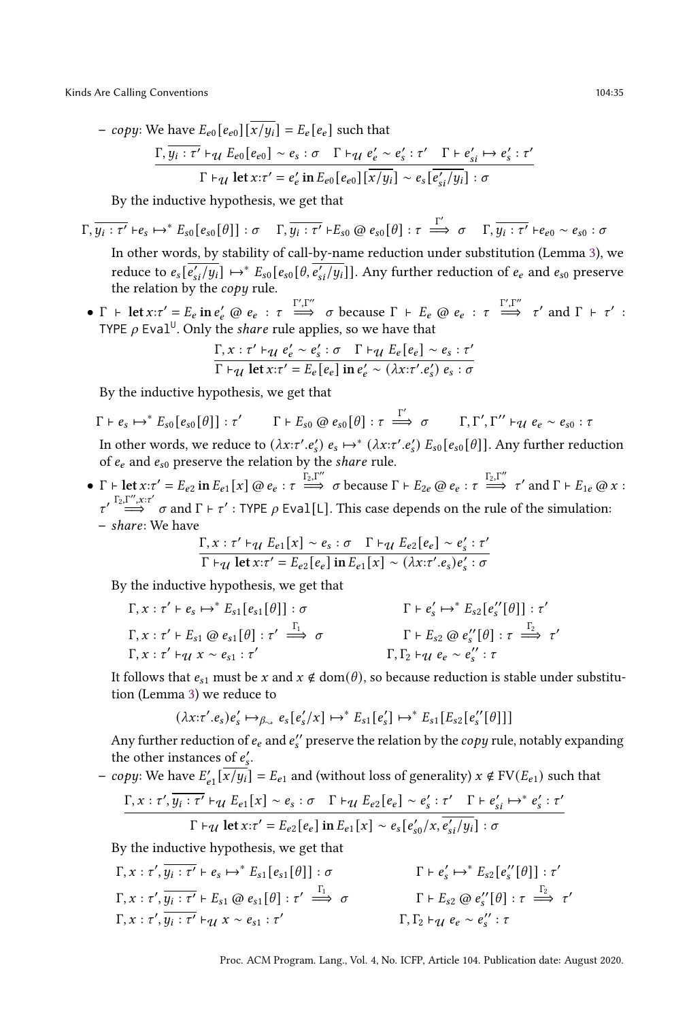Kinds Are Calling Conventions **104:35** and the United States of the United States 104:35

– copy: We have  $E_{e0} [e_{e0}] [\overline{x/y_i}] = E_e [e_e]$  such that  $\Gamma, \overline{y_i : \tau'} \vdash_{\mathcal{U}} E_{e0}[e_{e0}] \sim e_s : \sigma \quad \Gamma \vdash_{\mathcal{U}} e'_e \sim e'_s : \tau' \quad \Gamma \vdash e'_{si} \mapsto e'_s : \tau'$ 

$$
\Gamma \vdash_{\mathcal{U}} \text{let } x{:}\tau' = e'_e \text{ in } E_{e0} \big[e_{e0}\big] \big[\overline{x/y_i}\big] \sim e_s \big[\overline{e'_{si}/y_i}\big] : \sigma
$$

By the inductive hypothesis, we get that

$$
\Gamma, \overline{y_i : \tau'} \vdash e_s \mapsto^* E_{s0}[e_{s0}[\theta]] : \sigma \quad \Gamma, \overline{y_i : \tau'} \vdash E_{s0} \text{ @ } e_{s0}[\theta] : \tau \xrightarrow{\Gamma'} \sigma \quad \Gamma, \overline{y_i : \tau'} \vdash e_{e0} \sim e_{s0} : \sigma
$$
\nIn other words, by stability of call-by-name reduction under substitution (Lemma 3), we reduce to  $e_s[\overline{e'_{s1}}/y_i] \mapsto^* E_{s0}[e_{s0}[\theta, \overline{e'_{s1}}/y_i]]$ . Any further reduction of  $e_e$  and  $e_{s0}$  preserve the relation by the *copy* rule.

•  $\Gamma$  + let  $x: \tau' = E_e$  in  $e'_e \ @\ e_e : \tau \implies \sigma$  because  $\Gamma$  +  $E_e \ @\ e_e : \tau \implies \tau'$  and  $\Gamma$  +  $\tau'$  : TYPE  $\rho$  Eval<sup>U</sup>. Only the *share* rule applies, so we have that

$$
\frac{\Gamma, x : \tau' \vdash_{\mathcal{U}} e'_e \sim e'_s : \sigma \quad \Gamma \vdash_{\mathcal{U}} E_e[e_e] \sim e_s : \tau'}{\Gamma \vdash_{\mathcal{U}} \text{let } x : \tau' = E_e[e_e] \text{ in } e'_e \sim (\lambda x : \tau'. e'_s) e_s : \sigma}
$$

By the inductive hypothesis, we get that

$$
\Gamma \vdash e_s \mapsto^* E_{s0}[e_{s0}[\theta]] : \tau' \qquad \Gamma \vdash E_{s0} \otimes e_{s0}[\theta] : \tau \stackrel{\Gamma'}{\Longrightarrow} \sigma \qquad \Gamma, \Gamma', \Gamma'' \vdash_{\mathcal{U}} e_e \sim e_{s0} : \tau
$$

In other words, we reduce to  $(\lambda x:\tau'.e'_s) \ e_s \mapsto^* (\lambda x:\tau'.e'_s) \ E_{s0}[\![e_{s0}[\![\theta]\!]].$  Any further reduction of  $e_e$  and  $e_{s0}$  preserve the relation by the *share* rule.

•  $\Gamma$  + let  $x:\tau' = E_{e2}$  in  $E_{e1}[x] \omega e_e : \tau \stackrel{\Gamma_2,\Gamma''}{\implies} \sigma$  because  $\Gamma \vdash E_{2e} \omega e_e : \tau \stackrel{\Gamma_2,\Gamma''}{\implies} \tau'$  and  $\Gamma \vdash E_{1e} \omega x$ :  $\tau' \stackrel{\Gamma_2,\Gamma'',x:\tau'}{\Longrightarrow} \sigma$  and  $\Gamma \vdash \tau'$ : TYPE  $\rho$  Eval[L]. This case depends on the rule of the simulation: - share: We have

$$
\frac{\Gamma, x : \tau' \vdash_{\mathcal{U}} E_{e1}[x] \sim e_s : \sigma \quad \Gamma \vdash_{\mathcal{U}} E_{e2}[e_e] \sim e'_s : \tau'}{\Gamma \vdash_{\mathcal{U}} \text{let } x : \tau' = E_{e2}[e_e] \text{ in } E_{e1}[x] \sim (\lambda x : \tau'.e_s)e'_s : \sigma}
$$

By the inductive hypothesis, we get that

$$
\Gamma, x : \tau' \vdash e_s \mapsto^* E_{s1}[e_{s1}[\theta]] : \sigma
$$
\n
$$
\Gamma \vdash e'_s \mapsto^* E_{s2}[e''_s[\theta]] : \tau'
$$
\n
$$
\Gamma, x : \tau' \vdash E_{s1} \text{ @ } e_{s1}[\theta] : \tau' \implies \sigma
$$
\n
$$
\Gamma \vdash E_{s2} \text{ @ } e''_s[\theta] : \tau \implies \tau'
$$
\n
$$
\Gamma, \Gamma_2 \vdash u \ e_e \sim e''_s' : \tau
$$

It follows that  $e_{s1}$  must be x and  $x \notin \text{dom}(\theta)$ , so because reduction is stable under substitution (Lemma [3\)](#page-30-2) we reduce to

$$
(\lambda x{:}\tau'.e_s)e_s' \mapsto_{\beta_{\sim}} e_s[e_s'/x] \mapsto^* E_{s1}[e_s'] \mapsto^* E_{s1}[E_{s2}[e_s'']]
$$

Any further reduction of  $e_e$  and  $e''_s$  preserve the relation by the  $copy$  rule, notably expanding the other instances of  $e'_{s}$ .

- *copy*: We have 
$$
E'_{e1}[\overline{x/y_i}] = E_{e1}
$$
 and (without loss of generality)  $x \notin FV(E_{e1})$  such that

$$
\frac{\Gamma, x : \tau', \overline{y_i : \tau'} \vdash_{\mathcal{U}} E_{e1}[x] \sim e_s : \sigma \quad \Gamma \vdash_{\mathcal{U}} E_{e2}[e_e] \sim e'_s : \tau' \quad \Gamma \vdash e'_{si} \mapsto^* e'_s : \tau'}{\Gamma \vdash_{\mathcal{U}} \text{let } x : \tau' = E_{e2}[e_e] \text{ in } E_{e1}[x] \sim e_s[e'_{s0}/x, \overline{e'_{si}/y_i}] : \sigma}
$$

By the inductive hypothesis, we get that

$$
\Gamma, x : \tau', \overline{y_i : \tau'} \vdash e_s \mapsto^* E_{s1}[e_{s1}[\theta]] : \sigma
$$
\n
$$
\Gamma \vdash e'_s \mapsto^* E_{s2}[e''_s[\theta]] : \tau'
$$
\n
$$
\Gamma, x : \tau', \overline{y_i : \tau'} \vdash E_{s1} \text{ @ } e_{s1}[\theta] : \tau' \implies \sigma
$$
\n
$$
\Gamma \vdash E_{s2} \text{ @ } e''_s[\theta] : \tau \implies \tau'
$$
\n
$$
\Gamma, \Gamma_2 \vdash \tau \vdash e'_s \sim e''_s : \tau
$$
\n
$$
\Gamma, \Gamma_2 \vdash \tau \vdash e'_s \sim e''_s : \tau
$$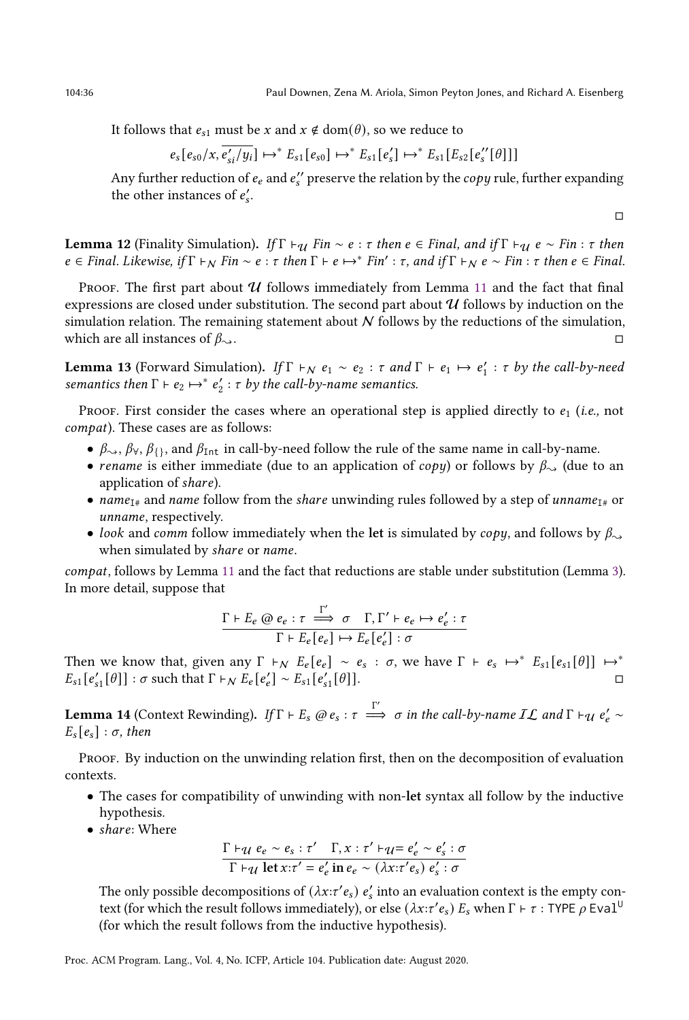□

It follows that  $e_{s1}$  must be x and  $x \notin \text{dom}(\theta)$ , so we reduce to

$$
e_s[e_{s0}/x, \overline{e'_{s1}/y_i}] \mapsto^* E_{s1}[e_{s0}] \mapsto^* E_{s1}[e'_{s}] \mapsto^* E_{s1}[E_{s2}[e''_{s}[\theta]]]
$$

Any further reduction of  $e_e$  and  $e''_s$  preserve the relation by the  $copy$  rule, further expanding the other instances of  $e'_{s}$ .

<span id="page-35-0"></span>**Lemma 12** (Finality Simulation). If  $\Gamma \vdash q$  Fin ~  $e : \tau$  then  $e \in Final$ , and if  $\Gamma \vdash q$   $e \sim Fin : \tau$  then  $e \in Final$ . Likewise, if  $\Gamma \vdash_N Fin \sim e : \tau$  then  $\Gamma \vdash e \mapsto^* Fin' : \tau$ , and if  $\Gamma \vdash_N e \sim Fin : \tau$  then  $e \in Final$ .

Proof. The first part about  $U$  follows immediately from Lemma [11](#page-33-0) and the fact that final expressions are closed under substitution. The second part about  $\mathcal U$  follows by induction on the simulation relation. The remaining statement about  $N$  follows by the reductions of the simulation, which are all instances of  $\beta_{\infty}$ .

<span id="page-35-1"></span>**Lemma 13** (Forward Simulation). If  $\Gamma \vdash_N e_1 \sim e_2 : \tau$  and  $\Gamma \vdash e_1 \mapsto e'_1 : \tau$  by the call-by-need semantics then  $\Gamma \vdash e_2 \mapsto^* e_2' : \tau$  by the call-by-name semantics.

Proof. First consider the cases where an operational step is applied directly to  $e_1$  (i.e., not ). These cases are as follows:

- $\beta_{\sim}$ ,  $\beta_{\rm V}$ ,  $\beta_{\rm \{1\}}$ , and  $\beta_{\rm Int}$  in call-by-need follow the rule of the same name in call-by-name.
- rename is either immediate (due to an application of  $copy$ ) or follows by  $\beta_{\sim}$  (due to an application of share).
- name<sub>I#</sub> and name follow from the *share* unwinding rules followed by a step of unname<sub>I#</sub> or unname, respectively.
- look and comm follow immediately when the let is simulated by  $\langle opy,$  and follows by  $\beta_{\sim}$ when simulated by share or name.

compat, follows by Lemma [11](#page-33-0) and the fact that reductions are stable under substitution (Lemma [3\)](#page-30-2). In more detail, suppose that

$$
\frac{\Gamma \vdash E_e \oslash e_e : \tau \stackrel{\Gamma'}{\implies} \sigma \quad \Gamma, \Gamma' \vdash e_e \mapsto e'_e : \tau}{\Gamma \vdash E_e[e_e] \mapsto E_e[e'_e] : \sigma}
$$

Then we know that, given any  $\Gamma \vdash_N E_e[e_e] \sim e_s : \sigma$ , we have  $\Gamma \vdash e_s \mapsto^* E_{s1}[e_{s1}[\theta]] \mapsto^*$  $E_{s1}[e'_{s1}[\theta]] : \sigma$  such that  $\Gamma \vdash_{\mathcal{N}} E_e[e'_e] \sim E_{s1}[e'_{s1}]$  $[\theta]$ .

**Lemma 14** (Context Rewinding). If  $\Gamma \vdash E_s$  @  $e_s : \tau \stackrel{\Gamma'}{\Longrightarrow} \sigma$  in the call-by-name IL and  $\Gamma \vdash_{\mathcal{U}} e_e' \sim$  $E_s[e_s] : \sigma$ , then

PROOF. By induction on the unwinding relation first, then on the decomposition of evaluation contexts.

- The cases for compatibility of unwinding with non-let syntax all follow by the inductive hypothesis.
- share: Where

$$
\frac{\Gamma \vdash_{\mathcal{U}} e_e \sim e_s : \tau' \quad \Gamma, x : \tau' \vdash_{\mathcal{U}} = e'_e \sim e'_s : \sigma}{\Gamma \vdash_{\mathcal{U}} \text{let } x : \tau' = e'_e \text{ in } e_e \sim (\lambda x : \tau' e_s) e'_s : \sigma}
$$

The only possible decompositions of  $(\lambda x:\tau' e_s) e'_s$  into an evaluation context is the empty context (for which the result follows immediately), or else ( $\lambda x : \tau' e_s$ )  $E_s$  when  $\Gamma \vdash \tau :$  TYPE  $\rho$  Eval  $^{\textsf{U}}$ (for which the result follows from the inductive hypothesis).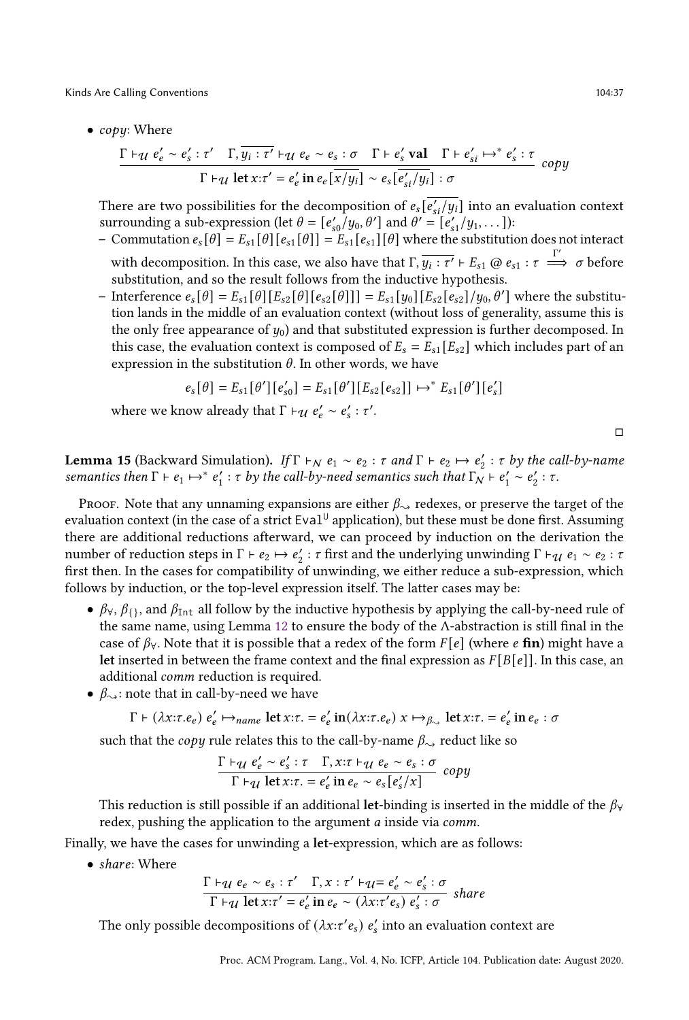Kinds Are Calling Conventions **104:37** Section 104:37

 $\bullet$  copy: Where

$$
\frac{\Gamma \vdash_{\mathcal{U}} e'_e \sim e'_s : \tau' \quad \Gamma, \overline{y_i : \tau'} \vdash_{\mathcal{U}} e_e \sim e_s : \sigma \quad \Gamma \vdash e'_s \text{ val} \quad \Gamma \vdash e'_{si} \mapsto^* e'_s : \tau}{\Gamma \vdash_{\mathcal{U}} \text{let } x : \tau' = e'_e \text{ in } e_e \left[ \overline{x/y_i} \right] \sim e_s \left[ \overline{e'_{si}}/y_i \right] : \sigma} \quad copy
$$

There are two possibilities for the decomposition of  $e_s[\overline{e_{si}'/y_i}]$  into an evaluation context surrounding a sub-expression (let  $\theta = [e'_{s0}/y_0, \theta']$  and  $\theta' = [e'_{s1}/y_1, \dots]$ ):

- Commutation  $e_s[\theta] = E_{s1}[\theta][e_{s1}[\theta]] = E_{s1}[e_{s1}][\theta]$  where the substitution does not interact with decomposition. In this case, we also have that  $\Gamma$ ,  $\overline{y_i : \tau'} \vdash E_{s1} \omega e_{s1} : \tau \stackrel{\Gamma'}{\Longrightarrow} \sigma$  before substitution, and so the result follows from the inductive hypothesis.
- Interference  $e_s[\theta] = E_{s1}[\theta][E_{s2}[\theta][e_{s2}[\theta]]] = E_{s1}[y_0][E_{s2}[e_{s2}]/y_0, \theta']$  where the substitution lands in the middle of an evaluation context (without loss of generality, assume this is the only free appearance of  $y_0$ ) and that substituted expression is further decomposed. In this case, the evaluation context is composed of  $E_s = E_{s1}[E_{s2}]$  which includes part of an expression in the substitution  $\theta$ . In other words, we have

$$
e_s[\theta] = E_{s1}[\theta'] [e'_{s0}] = E_{s1}[\theta'] [E_{s2}[e_{s2}]] \mapsto^* E_{s1}[\theta'] [e'_{s}]
$$

where we know already that  $\Gamma \vdash_{\mathcal{U}} e'_e \sim e'_s : \tau'.$ 

<span id="page-36-0"></span>**Lemma 15** (Backward Simulation). If  $\Gamma \vdash_N e_1 \sim e_2 : \tau$  and  $\Gamma \vdash e_2 \mapsto e'_2 : \tau$  by the call-by-name semantics then  $\Gamma \vdash e_1 \mapsto^* e'_1 : \tau$  by the call-by-need semantics such that  $\Gamma_N \vdash e'_1 \sim e'_2 : \tau$ .

Proof. Note that any unnaming expansions are either  $\beta_{\sim}$  redexes, or preserve the target of the evaluation context (in the case of a strict Eval<sup>U</sup> application), but these must be done first. Assuming there are additional reductions afterward, we can proceed by induction on the derivation the number of reduction steps in Γ ⊦  $e_2 \mapsto e'_2$  : τ first and the underlying unwinding Γ ⊦ $u$   $e_1 \sim e_2$  : τ first then. In the cases for compatibility of unwinding, we either reduce a sub-expression, which follows by induction, or the top-level expression itself. The latter cases may be:

- $\beta_{\gamma}, \beta_{\{\}}$ , and  $\beta_{\text{Int}}$  all follow by the inductive hypothesis by applying the call-by-need rule of the same name, using Lemma [12](#page-35-0) to ensure the body of the Λ-abstraction is still final in the case of  $\beta_{\gamma}$ . Note that it is possible that a redex of the form  $F[e]$  (where  $e$  fin) might have a let inserted in between the frame context and the final expression as  $F[B[e]]$ . In this case, an additional *comm* reduction is required.
- $\beta_{\sim}$ : note that in call-by-need we have

$$
\Gamma \vdash (\lambda x{:}\tau.e_e) e'_e \mapsto_{name} \text{let } x{:}\tau. = e'_e \text{ in } (\lambda x{:}\tau.e_e) x \mapsto_{\beta_{\sim}} \text{let } x{:}\tau. = e'_e \text{ in } e_e : \sigma
$$

such that the *copy* rule relates this to the call-by-name  $\beta_{\sim}$  reduct like so

$$
\frac{\Gamma \vdash_{\mathcal{U}} e'_e \sim e'_s : \tau \quad \Gamma, x : \tau \vdash_{\mathcal{U}} e_e \sim e_s : \sigma}{\Gamma \vdash_{\mathcal{U}} \text{let } x : \tau \ldots = e'_e \text{ in } e_e \sim e_s \left[ e'_s / x \right]} \text{ copy}
$$

This reduction is still possible if an additional let-binding is inserted in the middle of the  $\beta_{\rm V}$ redex, pushing the application to the argument  $a$  inside via  $comm$ .

Finally, we have the cases for unwinding a let-expression, which are as follows:

• share: Where

$$
\frac{\Gamma \vdash_{\mathcal{U}} e_e \sim e_s : \tau' \quad \Gamma, x : \tau' \vdash_{\mathcal{U}} = e'_e \sim e'_s : \sigma}{\Gamma \vdash_{\mathcal{U}} \text{let } x : \tau' = e'_e \text{ in } e_e \sim (\lambda x : \tau' e_s) e'_s : \sigma} \text{ share}
$$

The only possible decompositions of  $(\lambda x{:}t' e_s) e'_s$  into an evaluation context are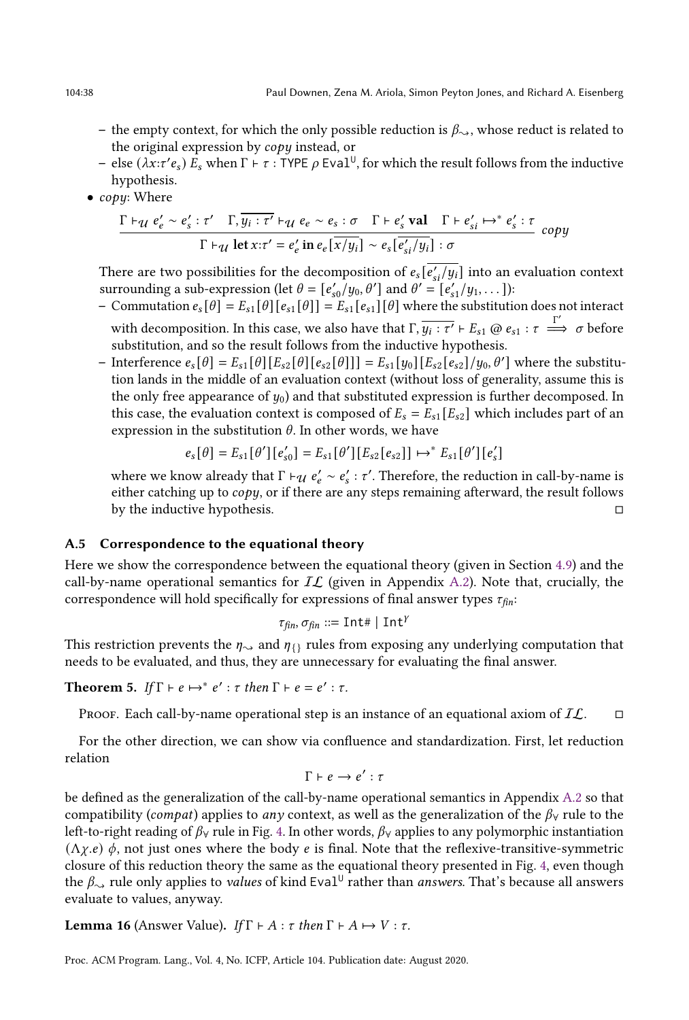- the empty context, for which the only possible reduction is  $\beta_{\sim}$ , whose reduct is related to the original expression by  $\omega \rho y$  instead, or
- else ( $\lambda x : t' e_s$ )  $E_s$  when Γ ⊦ τ : TYPE  $\rho$  Eval<sup>U</sup>, for which the result follows from the inductive hypothesis.
- $\bullet$  copy: Where

$$
\frac{\Gamma \vdash_{\mathcal{U}} e'_e \sim e'_s : \tau' \quad \Gamma, \overline{y_i : \tau'} \vdash_{\mathcal{U}} e_e \sim e_s : \sigma \quad \Gamma \vdash e'_s \text{ val} \quad \Gamma \vdash e'_{si} \mapsto^* e'_s : \tau}{\Gamma \vdash_{\mathcal{U}} \text{let } x : \tau' = e'_e \text{ in } e_e \left[ \overline{x/y_i} \right] \sim e_s \left[ \overline{e'_{si}}/y_i \right] : \sigma}
$$
 copy

There are two possibilities for the decomposition of  $e_s[\overline{e_{si}'/y_i}]$  into an evaluation context surrounding a sub-expression (let  $\theta = [e'_{s0}/y_0, \theta']$  and  $\theta' = [e'_{s1}/y_1, \dots]$ ):

- Commutation  $e_s[\theta] = E_{s1}[\theta][e_{s1}[\theta]] = E_{s1}[e_{s1}][\theta]$  where the substitution does not interact with decomposition. In this case, we also have that  $\Gamma$ ,  $\overline{y_i : \tau'} \vdash E_{s1} \omega e_{s1} : \tau \stackrel{\Gamma'}{\Longrightarrow} \sigma$  before substitution, and so the result follows from the inductive hypothesis.
- Interference  $e_s[\theta] = E_{s1}[\theta][E_{s2}[\theta][e_{s2}[\theta]]] = E_{s1}[y_0][E_{s2}[e_{s2}]/y_0, \theta']$  where the substitution lands in the middle of an evaluation context (without loss of generality, assume this is the only free appearance of  $y_0$ ) and that substituted expression is further decomposed. In this case, the evaluation context is composed of  $E_s = E_{s1}[E_{s2}]$  which includes part of an expression in the substitution  $\theta$ . In other words, we have

$$
e_s[\theta] = E_{s1}[\theta'] [e'_{s0}] = E_{s1}[\theta'] [E_{s2}[e_{s2}]] \mapsto^* E_{s1}[\theta'] [e'_{s}]
$$

where we know already that  $\Gamma \vdash_{\mathcal{U}} e'_e \sim e'_s : \tau'.$  Therefore, the reduction in call-by-name is either catching up to  $\langle copy, or if there are any steps remaining afterwards, the result follows$ by the inductive hypothesis. □

#### A.5 Correspondence to the equational theory

Here we show the correspondence between the equational theory (given in Section [4.9\)](#page-16-0) and the call-by-name operational semantics for  $I\mathcal{L}$  (given in Appendix [A.2\)](#page-29-0). Note that, crucially, the correspondence will hold specifically for expressions of final answer types  $\tau_{fin}$ :

$$
\tau_{fin}, \sigma_{fin} ::= \text{Int#} | \text{Int*}
$$

This restriction prevents the  $\eta_{\sim}$  and  $\eta_{\{}\}$  rules from exposing any underlying computation that needs to be evaluated, and thus, they are unnecessary for evaluating the final answer.

<span id="page-37-1"></span>**Theorem 5.** If  $\Gamma \vdash e \mapsto^* e' : \tau \text{ then } \Gamma \vdash e = e' : \tau.$ 

PROOF. Each call-by-name operational step is an instance of an equational axiom of  $\mathcal{IL}$ .  $\square$ 

For the other direction, we can show via confluence and standardization. First, let reduction relation

$$
\Gamma \vdash e \rightarrow e' : \tau
$$

be defined as the generalization of the call-by-name operational semantics in Appendix [A.2](#page-29-0) so that compatibility (*compat*) applies to *any* context, as well as the generalization of the  $\beta_{\rm V}$  rule to the left-to-right reading of  $\beta_{\forall}$  rule in Fig. [4.](#page-16-1) In other words,  $\beta_{\forall}$  applies to any polymorphic instantiation  $(\Lambda \chi \cdot e)$   $\phi$ , not just ones where the body *e* is final. Note that the reflexive-transitive-symmetric closure of this reduction theory the same as the equational theory presented in Fig. [4,](#page-16-1) even though the  $\beta_{\sim}$  rule only applies to values of kind Eval<sup>U</sup> rather than answers. That's because all answers evaluate to values, anyway.

**Lemma 16** (Answer Value). If  $\Gamma \vdash A : \tau$  then  $\Gamma \vdash A \mapsto V : \tau$ .

<span id="page-37-0"></span>Proc. ACM Program. Lang., Vol. 4, No. ICFP, Article 104. Publication date: August 2020.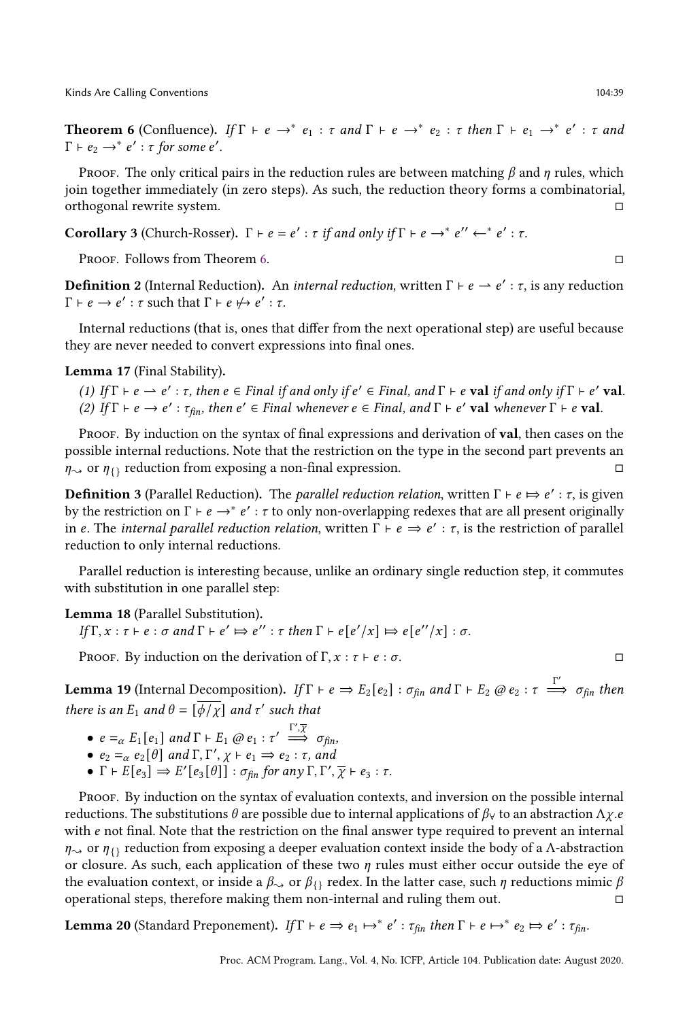Kinds Are Calling Conventions **104:39** Nicolas Are Calling Conventions **104:39** Nicolas Are Calling Conventions

**Theorem 6** (Confluence). If  $\Gamma \vdash e \rightarrow^* e_1 : \tau$  and  $\Gamma \vdash e \rightarrow^* e_2 : \tau$  then  $\Gamma \vdash e_1 \rightarrow^* e' : \tau$  and  $\Gamma \vdash e_2 \rightarrow^* e' : \tau \text{ for some } e'.$ 

Proof. The only critical pairs in the reduction rules are between matching  $\beta$  and  $\eta$  rules, which join together immediately (in zero steps). As such, the reduction theory forms a combinatorial, orthogonal rewrite system. □

<span id="page-38-4"></span>Corollary 3 (Church-Rosser).  $\Gamma \vdash e = e' : \tau \text{ if and only if } \Gamma \vdash e \rightarrow^* e'' \leftarrow^* e' : \tau.$ 

Proof. Follows from Theorem [6.](#page-37-0) □

**Definition 2** (Internal Reduction). An *internal reduction*, written  $\Gamma \vdash e \rightarrow e' : \tau$ , is any reduction  $\Gamma \vdash e \rightarrow e' : \tau$  such that  $\Gamma \vdash e \not\mapsto e' : \tau$ .

Internal reductions (that is, ones that differ from the next operational step) are useful because they are never needed to convert expressions into final ones.

<span id="page-38-1"></span>Lemma 17 (Final Stability).

(1) If  $\Gamma \vdash e \to e' : \tau$ , then  $e \in Final$  if and only if  $e' \in Final$ , and  $\Gamma \vdash e$  val if and only if  $\Gamma \vdash e'$  val. (2) If  $\Gamma \vdash e \rightarrow e' : \tau_{fin}$ , then  $e' \in Final$  whenever  $e \in Final$ , and  $\Gamma \vdash e'$  val whenever  $\Gamma \vdash e$  val.

Proof. By induction on the syntax of final expressions and derivation of **val**, then cases on the possible internal reductions. Note that the restriction on the type in the second part prevents an  $\eta_{\sim}$  or  $\eta_{\Omega}$  reduction from exposing a non-final expression. □

**Definition 3** (Parallel Reduction). The *parallel reduction relation*, written  $\Gamma \vdash e \implies e' : \tau$ , is given by the restriction on  $\Gamma \vdash e \rightarrow^* e' : \tau$  to only non-overlapping redexes that are all present originally in e. The internal parallel reduction relation, written  $\Gamma \vdash e \Rightarrow e' : \tau$ , is the restriction of parallel reduction to only internal reductions.

Parallel reduction is interesting because, unlike an ordinary single reduction step, it commutes with substitution in one parallel step:

<span id="page-38-0"></span>Lemma 18 (Parallel Substitution).

If  $\Gamma$ ,  $x : \tau \vdash e : \sigma$  and  $\Gamma \vdash e' \Rightarrow e'' : \tau$  then  $\Gamma \vdash e[e'/x] \Rightarrow e[e''/x] : \sigma$ .

PROOF. By induction on the derivation of  $\Gamma, x : \tau \vdash e : \sigma$ .

<span id="page-38-2"></span>**Lemma 19** (Internal Decomposition). If  $\Gamma \vdash e \Rightarrow E_2[e_2] : \sigma_{\text{fin}}$  and  $\Gamma \vdash E_2 \text{ @ } e_2 : \tau \stackrel{\Gamma'}{\Longrightarrow} \sigma_{\text{fin}}$  then there is an  $E_1$  and  $\theta = [\overline{\phi}/\overline{\chi}]$  and  $\tau'$  such that

- $e =_{\alpha} E_1[e_1]$  and  $\Gamma \vdash E_1 \oslash e_1 : \tau' \stackrel{\Gamma', \overline{\chi}}{\Longrightarrow} \sigma_{fin}$ , •  $e_2 =_{\alpha} e_2 [\theta]$  and  $\Gamma, \Gamma', \chi \vdash e_1 \Rightarrow e_2 : \tau$ , and
- $\Gamma \vdash E[e_3] \Rightarrow E'[e_3[\theta]] : \sigma_{fin}$  for any  $\Gamma, \Gamma', \overline{\chi} \vdash e_3 : \tau$ .

PROOF. By induction on the syntax of evaluation contexts, and inversion on the possible internal reductions. The substitutions  $\theta$  are possible due to internal applications of  $\beta_{\rm V}$  to an abstraction  $\Lambda \chi$ .e with  $e$  not final. Note that the restriction on the final answer type required to prevent an internal  $\eta_{\sim}$  or  $\eta_{\Omega}$  reduction from exposing a deeper evaluation context inside the body of a Λ-abstraction or closure. As such, each application of these two  $\eta$  rules must either occur outside the eye of the evaluation context, or inside a  $\beta_{\gamma}$  or  $\beta_{\{1\}}$  redex. In the latter case, such  $\eta$  reductions mimic  $\beta$ operational steps, therefore making them non-internal and ruling them out. □

<span id="page-38-3"></span>**Lemma 20** (Standard Preponement). If  $\Gamma \vdash e \Rightarrow e_1 \mapsto^* e' : \tau_{fin}$  then  $\Gamma \vdash e \mapsto^* e_2 \Rightarrow e' : \tau_{fin}$ .

$$
\Box
$$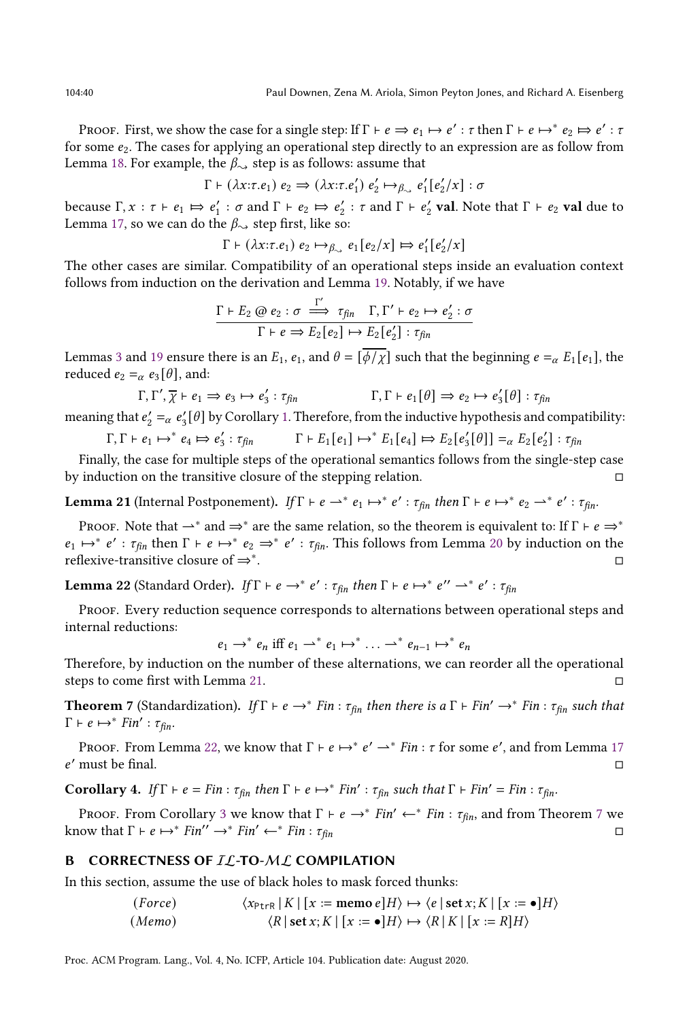PROOF. First, we show the case for a single step: If  $\Gamma \vdash e \Rightarrow e_1 \mapsto e' : \tau$  then  $\Gamma \vdash e \mapsto^* e_2 \mapsto e' : \tau$ for some  $e_2$ . The cases for applying an operational step directly to an expression are as follow from Lemma [18.](#page-38-0) For example, the  $\beta_{\sim}$  step is as follows: assume that

$$
\Gamma \vdash (\lambda x{:}\tau.e_1) e_2 \Rightarrow (\lambda x{:}\tau.e'_1) e'_2 \mapsto_{\beta_{\sim}} e'_1[e'_2/x] : \sigma
$$

because  $\Gamma, x : \tau \vdash e_1 \mapsto e'_1 : \sigma$  and  $\Gamma \vdash e_2 \mapsto e'_2 : \tau$  and  $\Gamma \vdash e'_2$  val. Note that  $\Gamma \vdash e_2$  val due to Lemma [17,](#page-38-1) so we can do the  $\beta_{\sim}$  step first, like so:

$$
\Gamma \vdash (\lambda x{:}\tau.e_1) e_2 \mapsto_{\beta \sim} e_1[e_2/x] \Rightarrow e'_1[e'_2/x]
$$

The other cases are similar. Compatibility of an operational steps inside an evaluation context follows from induction on the derivation and Lemma [19.](#page-38-2) Notably, if we have

$$
\frac{\Gamma \vdash E_2 \oslash e_2 : \sigma \stackrel{\Gamma'}{\Longrightarrow} \tau_{fin} \Gamma, \Gamma' \vdash e_2 \mapsto e'_2 : \sigma}{\Gamma \vdash e \Rightarrow E_2[e_2] \mapsto E_2[e'_2] : \tau_{fin}}
$$

Lemmas [3](#page-30-2) and [19](#page-38-2) ensure there is an  $E_1$ ,  $e_1$ , and  $\theta = [\overline{\phi}/\overline{\chi}]$  such that the beginning  $e =_{\alpha} E_1[e_1]$ , the reduced  $e_2 =_{\alpha} e_3 [\theta]$ , and:

$$
\Gamma, \Gamma', \overline{\chi} \vdash e_1 \Rightarrow e_3 \mapsto e_3' : \tau_{fin} \qquad \Gamma, \Gamma \vdash e_1[\theta] \Rightarrow e_2 \mapsto e_3'[\theta] : \tau_{fin}
$$

meaning that  $e'_2 =_\alpha e'_3[\theta]$  by Corollary [1.](#page-30-3) Therefore, from the inductive hypothesis and compatibility:

$$
\Gamma, \Gamma \vdash e_1 \mapsto^* e_4 \mapsto e_3' : \tau_{fin} \qquad \Gamma \vdash E_1[e_1] \mapsto^* E_1[e_4] \mapsto E_2[e_3'[\theta]] =_{\alpha} E_2[e_2'] : \tau_{fin}
$$

Finally, the case for multiple steps of the operational semantics follows from the single-step case by induction on the transitive closure of the stepping relation. □

<span id="page-39-0"></span>**Lemma 21** (Internal Postponement). If  $\Gamma \vdash e \rightharpoonup^* e_1 \mapsto^* e' : \tau_{fin}$  then  $\Gamma \vdash e \mapsto^* e_2 \rightharpoonup^* e' : \tau_{fin}$ .

Proof. Note that  $\rightarrow^*$  and  $\Rightarrow^*$  are the same relation, so the theorem is equivalent to: If  $\Gamma \vdash e \Rightarrow^*$  $e_1 \mapsto^* e' : \tau_{fin}$  then  $\Gamma \vdash e \mapsto^* e_2 \Rightarrow^* e' : \tau_{fin}$ . This follows from Lemma [20](#page-38-3) by induction on the reflexive-transitive closure of  $\Rightarrow^*$ . . □

<span id="page-39-1"></span>**Lemma 22** (Standard Order). If  $\Gamma \vdash e \rightarrow^* e' : \tau_{fin}$  then  $\Gamma \vdash e \mapsto^* e'' \rightharpoonup^* e' : \tau_{fin}$ 

PROOF. Every reduction sequence corresponds to alternations between operational steps and internal reductions:

 $e_1 \rightarrow^* e_n$  iff  $e_1 \rightarrow^* e_1 \mapsto^* \cdots \rightarrow^* e_{n-1} \mapsto^* e_n$ 

Therefore, by induction on the number of these alternations, we can reorder all the operational steps to come first with Lemma [21.](#page-39-0) □

<span id="page-39-2"></span>**Theorem 7** (Standardization). If  $\Gamma \vdash e \to^* \text{Fin} : \tau_{\text{fin}}$  then there is a  $\Gamma \vdash \text{Fin}' \to^* \text{Fin} : \tau_{\text{fin}}$  such that  $\Gamma \vdash e \mapsto^* \textit{Fin}' : \tau_{\textit{fin}}$ .

PROOF. From Lemma [22,](#page-39-1) we know that  $\Gamma \vdash e \mapsto^* e' \rightharpoonup^* Fin : \tau$  for some  $e'$ , and from Lemma [17](#page-38-1)  $e'$  must be final.

<span id="page-39-3"></span>**Corollary 4.** If  $\Gamma \vdash e = \text{Fin} : \tau_{\text{fin}}$  then  $\Gamma \vdash e \mapsto^* \text{Fin}' : \tau_{\text{fin}}$  such that  $\Gamma \vdash \text{Fin}' = \text{Fin} : \tau_{\text{fin}}$ .

Proof. From Corollary [3](#page-38-4) we know that  $\Gamma \vdash e \rightarrow^* \text{Fin}' \leftarrow^* \text{Fin} : \tau_{\text{fin}}$ , and from Theorem [7](#page-39-2) we know that  $\Gamma \vdash e \mapsto^* \text{Fin}' \rightarrow^* \text{Fin}' \leftarrow^* \text{Fin} : \tau_{\text{fin}}$ 

## CORRECTNESS OF IL-TO-ML COMPILATION

In this section, assume the use of black holes to mask forced thunks:

(Force)  $\langle x_{\text{PtrR}} | K | [x := \text{memo } e] H \rangle \mapsto \langle e | \text{set } x ; K | [x := \bullet] H \rangle$  $(Memo)$   $\langle R | set x; K | [x := \bullet] H \rangle \mapsto \langle R | K | [x := R] H \rangle$ 

Proc. ACM Program. Lang., Vol. 4, No. ICFP, Article 104. Publication date: August 2020.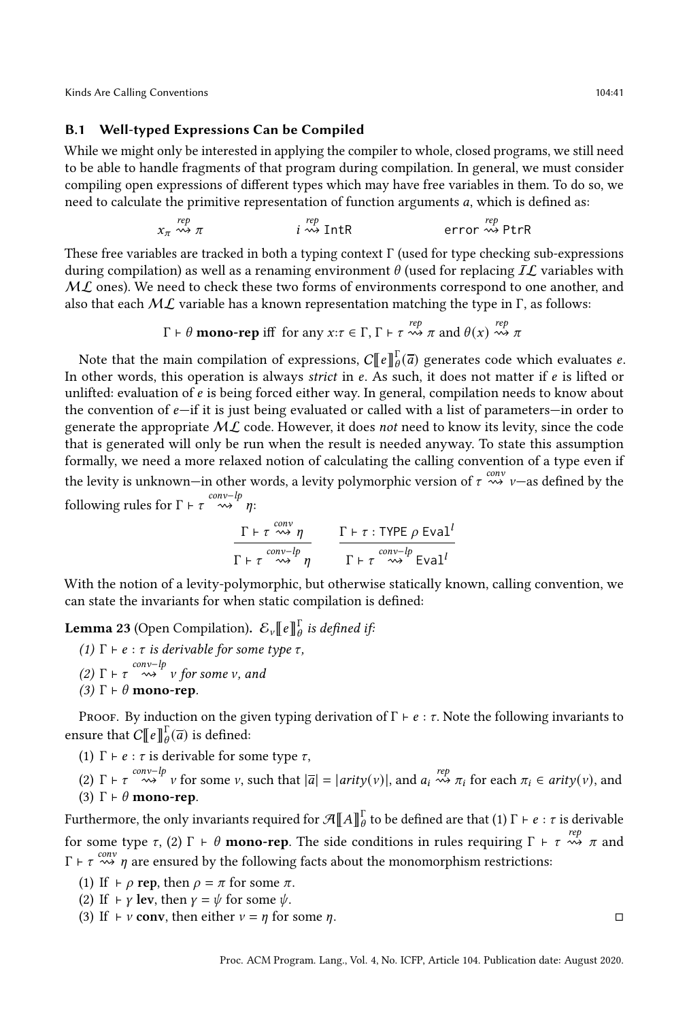Kinds Are Calling Conventions **104:41** Conventions **104:41** Conventions **104:41** Conventions **104:41** 

#### B.1 Well-typed Expressions Can be Compiled

While we might only be interested in applying the compiler to whole, closed programs, we still need to be able to handle fragments of that program during compilation. In general, we must consider compiling open expressions of different types which may have free variables in them. To do so, we need to calculate the primitive representation of function arguments  $a$ , which is defined as:

$$
\begin{array}{ccccc}\n rep & rep & rep & rep & rep & rep & rep & rep & rep & rep & rep & \mathcal{A} & \mathcal{A} & \mathcal{A} & \mathcal{A} & \mathcal{A} & \mathcal{A} & \mathcal{A} & \mathcal{A} & \mathcal{A} & \mathcal{A} & \mathcal{A} & \mathcal{A} & \mathcal{A} & \mathcal{A} & \mathcal{A} & \mathcal{A} & \mathcal{A} & \mathcal{A} & \mathcal{A} & \mathcal{A} & \mathcal{A} & \mathcal{A} & \mathcal{A} & \mathcal{A} & \mathcal{A} & \mathcal{A} & \mathcal{A} & \mathcal{A} & \mathcal{A} & \mathcal{A} & \mathcal{A} & \mathcal{A} & \mathcal{A} & \mathcal{A} & \mathcal{A} & \mathcal{A} & \mathcal{A} & \mathcal{A} & \mathcal{A} & \mathcal{A} & \mathcal{A} & \mathcal{A} & \mathcal{A} & \mathcal{A} & \mathcal{A} & \mathcal{A} & \mathcal{A} & \mathcal{A} & \mathcal{A} & \mathcal{A} & \mathcal{A} & \mathcal{A} & \mathcal{A} & \mathcal{A} & \mathcal{A} & \mathcal{A} & \mathcal{A} & \mathcal{A} & \mathcal{A} & \mathcal{A} & \mathcal{A} & \mathcal{A} & \mathcal{A} & \mathcal{A} & \mathcal{A} & \mathcal{A} & \mathcal{A} & \mathcal{A} & \mathcal{A} & \mathcal{A} & \mathcal{A} & \mathcal{A} & \mathcal{A} & \mathcal{A} & \mathcal{A} & \mathcal{A} & \mathcal{A} & \mathcal{A} & \mathcal{A} & \mathcal{A} & \mathcal{A} & \mathcal{A} & \mathcal{A} & \mathcal{A} & \mathcal{A} & \mathcal{A} & \mathcal{A} & \mathcal{A} & \mathcal{A} & \mathcal{A} & \mathcal{A} & \mathcal{A} & \mathcal{A} & \mathcal{A} & \mathcal{A} & \mathcal{A} & \mathcal{A} & \mathcal{A} & \mathcal{A} & \mathcal{A} & \mathcal{A} & \mathcal{A} & \mathcal{A} & \mathcal{A} & \
$$

These free variables are tracked in both a typing context  $\Gamma$  (used for type checking sub-expressions during compilation) as well as a renaming environment  $\theta$  (used for replacing IL variables with  $ML$  ones). We need to check these two forms of environments correspond to one another, and also that each  $ML$  variable has a known representation matching the type in Γ, as follows:

$$
\Gamma \vdash \theta
$$
 **mono-rep** iff for any  $x: \tau \in \Gamma$ ,  $\Gamma \vdash \tau \stackrel{rep}{\leadsto} \pi$  and  $\theta(x) \stackrel{rep}{\leadsto} \pi$ 

Note that the main compilation of expressions,  $C\llbracket e \rrbracket^{\Gamma}_{\theta}(\overline{a})$  generates code which evaluates  $e.$ In other words, this operation is always *strict* in  $e$ . As such, it does not matter if  $e$  is lifted or unlifted: evaluation of  $e$  is being forced either way. In general, compilation needs to know about the convention of  $e$ —if it is just being evaluated or called with a list of parameters—in order to generate the appropriate  $ML$  code. However, it does not need to know its levity, since the code that is generated will only be run when the result is needed anyway. To state this assumption formally, we need a more relaxed notion of calculating the calling convention of a type even if the levity is unknown—in other words, a levity polymorphic version of  $\tau \stackrel{conv}{\leadsto} v$ —as defined by the following rules for  $\Gamma \vdash \tau \stackrel{conv-lp}{\leadsto} \eta$ :

$$
\frac{\Gamma \vdash \tau \stackrel{conv}{\leadsto} \eta}{\Gamma \vdash \tau \stackrel{conv-lp}{\leadsto} \eta} \qquad \frac{\Gamma \vdash \tau : \text{TYPE } \rho \text{Eval}^l}{\Gamma \vdash \tau \stackrel{conv-lp}{\leadsto} \text{Eval}^l}
$$

With the notion of a levity-polymorphic, but otherwise statically known, calling convention, we can state the invariants for when static compilation is defined:

**Lemma 23** (Open Compilation).  ${\mathcal E}_{\nu}\llbracket e \rrbracket_{\theta}^{\Gamma}$  is defined if:

- (1)  $\Gamma \vdash e : \tau$  is derivable for some type  $\tau$ ,
- (2)  $\Gamma \vdash \tau \stackrel{conv-lp}{\leadsto} \nu$  for some v, and
- (3)  $\Gamma \vdash \theta$  mono-rep.

PROOF. By induction on the given typing derivation of  $\Gamma \vdash e : \tau$ . Note the following invariants to ensure that  $C\llbracket e \rrbracket^{\Gamma}_{\theta}(\overline{a})$  is defined:

(1)  $\Gamma \vdash e : \tau$  is derivable for some type  $\tau$ ,

(2)  $\Gamma \vdash \tau \stackrel{conv-lp}{\leadsto} v$  for some v, such that  $|\overline{a}| = |arity(v)|$ , and  $a_i \stackrel{rep}{\leadsto} \pi_i$  for each  $\pi_i \in arity(v)$ , and (3)  $\Gamma \vdash \theta$  mono-rep.

Furthermore, the only invariants required for  $\mathcal{A}[\![A]\!]_{\theta}^\Gamma$  to be defined are that (1)  $\Gamma \vdash e:\tau$  is derivable for some type τ, (2) Γ ⊢ θ **mono-rep**. The side conditions in rules requiring Γ ⊢ τ  $\stackrel{rep}{\leadsto}$  π and  $\Gamma \vdash \tau \stackrel{conv}{\rightsquigarrow} \eta$  are ensured by the following facts about the monomorphism restrictions:

- (1) If  $\vdash \rho$  rep, then  $\rho = \pi$  for some  $\pi$ .
- (2) If  $\vdash \gamma$  lev, then  $\gamma = \psi$  for some  $\psi$ .
- (3) If  $\vdash v$  conv, then either  $v = \eta$  for some  $\eta$ . □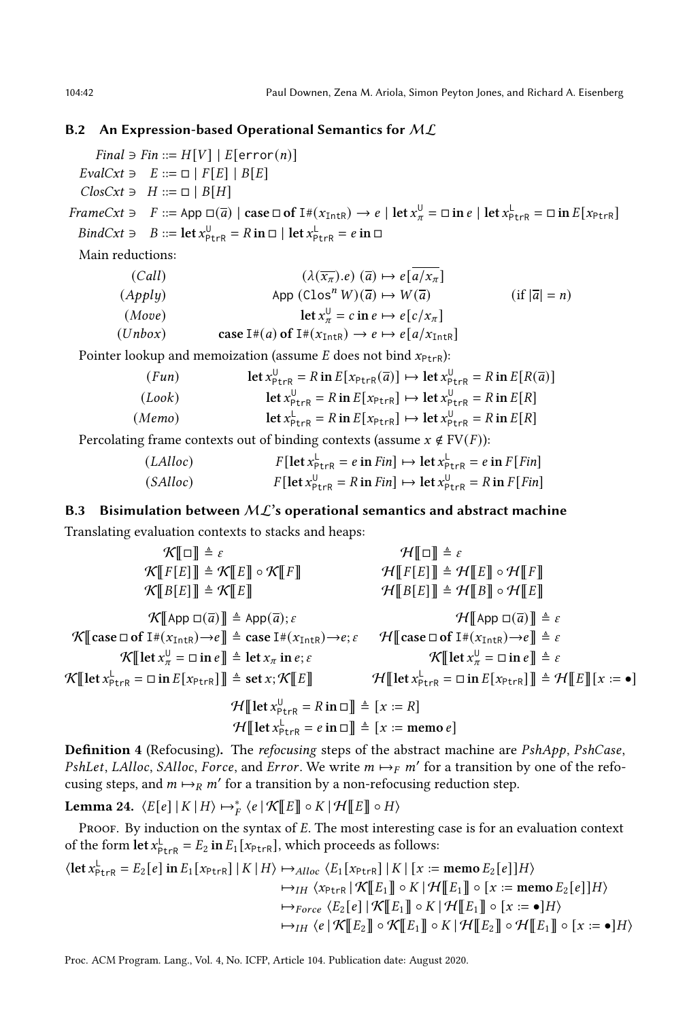## B.2 An Expression-based Operational Semantics for ML

 $Final \ni Fin ::= H[V] | E[error(n)]$  $EvalCxt \ni E ::= \Box | F[E] | B[E]$  $ClosCxt \ni H ::= \Box |B[H]$ FrameCxt  $\Rightarrow$   $F ::= \text{App } \Box(\overline{a}) \mid \text{case } \Box \text{ of } \mathrm{I} \#(x_{\text{IntR}}) \rightarrow e \mid \text{let } x_{\pi}^{\Box} = \Box \text{ in } e \mid \text{let } x_{\text{PrtrR}}^{\Box} = \Box \text{ in } E[x_{\text{PrtrR}}]$ *BindCxt*  $\supset B ::= \textbf{let } x_{\text{PtrR}}^{\text{U}} = R \textbf{ in } \square \mid \textbf{let } x_{\text{PtrR}}^{\text{L}} = e \textbf{ in } \square$ Main reductions:  $(1/\sqrt{2})$   $\rightarrow$   $(1/\sqrt{2})$ 

$$
(Call)
$$
\n
$$
(\lambda(\overline{x_{\pi}}).e) (\overline{a}) \mapsto e[a/x_{\pi}]
$$
\n
$$
(Apply)
$$
\n
$$
(Apply)
$$
\n
$$
(Move)
$$
\n
$$
let x_{\pi}^{U} = c in e \mapsto e[c/x_{\pi}]
$$
\n
$$
(Unbox)
$$
\n
$$
case I \#(a) of I \#(x_{IntR}) \to e \mapsto e[a/x_{IntR}]
$$
\n
$$
(i f |\overline{a}| = n)
$$

Pointer lookup and memoization (assume E does not bind  $x_{PtrR}$ ):

$$
\begin{aligned}\n(Fun) \quad \text{let } x_{\text{PtrR}}^{\text{U}} &= R \text{ in } E[x_{\text{PtrR}}(\overline{a})] \mapsto \text{let } x_{\text{PtrR}}^{\text{U}} &= R \text{ in } E[R(\overline{a})] \\
(Look) \quad \text{let } x_{\text{PtrR}}^{\text{U}} &= R \text{ in } E[x_{\text{PtrR}}] \mapsto \text{let } x_{\text{PtrR}}^{\text{U}} &= R \text{ in } E[R] \\
(Memo) \quad \text{let } x_{\text{PtrR}}^{\text{U}} &= R \text{ in } E[x_{\text{PtrR}}] \mapsto \text{let } x_{\text{PtrR}}^{\text{U}} &= R \text{ in } E[R]\n\end{aligned}
$$

Percolating frame contexts out of binding contexts (assume  $x \notin FV(F)$ ):

| (LAlloc) | $F[\text{let } x_{\text{PtrR}}^{\text{L}} = e \text{ in } Fin] \mapsto \text{let } x_{\text{PtrR}}^{\text{L}} = e \text{ in } F[Fin]$ |
|----------|---------------------------------------------------------------------------------------------------------------------------------------|
| (SAlloc) | $F[\text{let } x_{\text{PtrR}}^{\text{U}} = R \text{ in } Fin] \mapsto \text{let } x_{\text{PtrR}}^{\text{U}} = R \text{ in } F[Fin]$ |

# B.3 Bisimulation between  $ML$ 's operational semantics and abstract machine

Translating evaluation contexts to stacks and heaps:

$$
\mathcal{K}[\![\mathbf{E}]\!] \triangleq \varepsilon \qquad \mathcal{H}[\![\mathbf{E}]\!] \triangleq \varepsilon
$$
\n
$$
\mathcal{K}[\![F[E]\!] \triangleq \mathcal{K}[\![E]\!] \triangleq \mathcal{K}[\![E]\!] \qquad \mathcal{H}[\![F[E]\!] \triangleq \mathcal{H}[\![E]\!] \triangleq \mathcal{H}[\![E]\!] \triangleq \mathcal{H}[\![E]\!] \triangleq \mathcal{H}[\![E]\!] \triangleq \mathcal{H}[\![E]\!] \triangleq \mathcal{H}[\![E]\!] \triangleq \mathcal{H}[\![E]\!] \triangleq \mathcal{H}[\![E]\!] \triangleq \mathcal{H}[\![E]\!] \triangleq \mathcal{H}[\![E]\!] \triangleq \mathcal{H}[\![E]\!] \triangleq \mathcal{H}[\![E]\!] \triangleq \mathcal{H}[\![E]\!] \triangleq \mathcal{H}[\![E]\!] \triangleq \mathcal{H}[\![E]\!] \triangleq \mathcal{H}[\![E]\!] \triangleq \varepsilon
$$
\n
$$
\mathcal{K}[\![\mathbf{case} \sqcup \mathbf{of} \sqcup \mathbf{if}; \mathbf{if}; \mathbf{if}; \mathbf{if}; \mathbf{if}; \mathbf{if}; \mathbf{if}; \mathbf{if}; \mathbf{if}; \mathbf{if}; \mathbf{if}; \mathbf{if}; \mathbf{if}; \mathbf{if}; \mathbf{if}; \mathbf{if}; \mathbf{if}; \mathbf{if}; \mathbf{if}; \mathbf{if}; \mathbf{if}; \mathbf{if}; \mathbf{if}; \mathbf{if}; \mathbf{if}; \mathbf{if}; \mathbf{if}; \mathbf{if}; \mathbf{if}; \mathbf{if}; \mathbf{if}; \mathbf{if}; \mathbf{if}; \mathbf{if}; \mathbf{if}; \mathbf{if}; \mathbf{if}; \mathbf{if}; \mathbf{if}; \mathbf{if}; \mathbf{if}; \mathbf{if}; \mathbf{if}; \mathbf{if}; \mathbf{if}; \mathbf{if}; \mathbf{if}; \mathbf{if}; \mathbf{if}; \mathbf{if}; \mathbf{if}; \mathbf{if}; \mathbf{if}; \mathbf{if}; \mathbf{if}; \mathbf{if}; \mathbf{if}; \mathbf{if}; \mathbf{if}; \mathbf{if}; \mathbf{if}; \mathbf{if}; \mathbf{if}; \mathbf
$$

$$
\mathcal{H}\left[\left[\text{let } x_{\text{ptrR}}^{\text{U}} = R \text{ in } \square\right] \right] \triangleq \left[x := R\right]
$$
\n
$$
\mathcal{H}\left[\left[\text{let } x_{\text{ptrR}}^{\text{U}} = e \text{ in } \square\right] \right] \triangleq \left[x := \text{memo } e\right]
$$

Definition 4 (Refocusing). The refocusing steps of the abstract machine are  $PshApp$ ,  $PshCase$ , PshLet, LAlloc, SAlloc, Force, and Error. We write  $m \mapsto_F m'$  for a transition by one of the refocusing steps, and  $m \mapsto_R m'$  for a transition by a non-refocusing reduction step.

<span id="page-41-0"></span>**Lemma 24.** 
$$
\langle E[e] | K | H \rangle \mapsto_F^* \langle e | \mathcal{K}[[E]] \circ K | \mathcal{H}[[E]] \circ H \rangle
$$

PROOF. By induction on the syntax of  $E$ . The most interesting case is for an evaluation context of the form let  $x_{\text{PtrR}}^{\text{L}} = E_2$  in  $E_1[x_{\text{PtrR}}]$ , which proceeds as follows:

$$
\langle \text{let } x_{\text{ptrR}}^{\text{L}} = E_{2}[e] \text{ in } E_{1}[x_{\text{ptrR}}] \mid K \mid H \rangle \mapsto_{\text{Alice}} \langle E_{1}[x_{\text{ptrR}}] \mid K \mid [x := \text{meno } E_{2}[e]]H \rangle
$$
  
\n
$$
\mapsto_{IH} \langle x_{\text{ptrR}} \mid \mathcal{K}[[E_{1}]] \circ K \mid \mathcal{H}[[E_{1}]] \circ [x := \text{meno } E_{2}[e]]H \rangle
$$
  
\n
$$
\mapsto_{\text{Force}} \langle E_{2}[e] \mid \mathcal{K}[[E_{1}]] \circ K \mid \mathcal{H}[[E_{1}]] \circ [x := \bullet]H \rangle
$$
  
\n
$$
\mapsto_{IH} \langle e \mid \mathcal{K}[[E_{2}]] \circ \mathcal{K}[[E_{1}]] \circ K \mid \mathcal{H}[[E_{2}]] \circ \mathcal{H}[[E_{1}]] \circ [x := \bullet]H \rangle
$$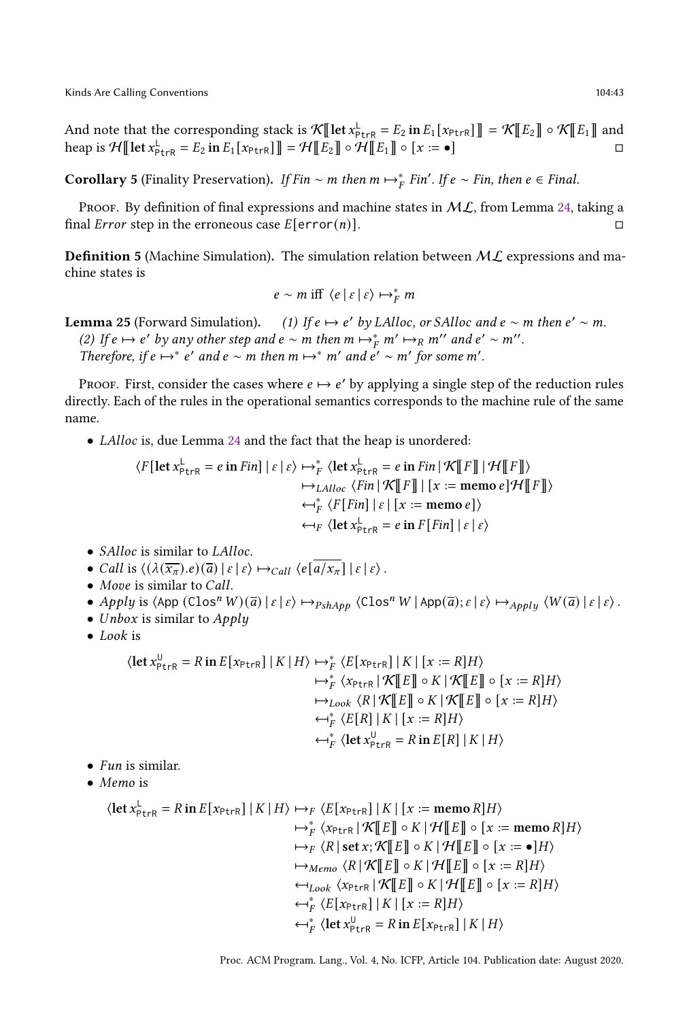And note that the corresponding stack is  $\mathcal{K}[\![\det x_\text{ptrR}^\text{L} = E_2 \text{ in } E_1[\![x_\text{ptrR}]\!] ]\!]=\mathcal{K}[\![E_2]\!] \circ \mathcal{K}[\![E_1]\!]$  and heap is  $\mathcal{H}[\![\text{let } x_{\text{ptrR}}^{\text{L}} = E_2 \text{ in } E_1[x_{\text{ptrR}}]\!] = \mathcal{H}[\![E_2]\!] \circ \widetilde{\mathcal{H}}[\![E_1]\!] \circ [x := \bullet]$ 

<span id="page-42-1"></span>**Corollary 5** (Finality Preservation). If Fin ~ m then  $m \mapsto_F^*$  Fin'. If  $e \sim Fin$ , then  $e \in Final$ .

Proof. By definition of final expressions and machine states in  $ML$ , from Lemma [24,](#page-41-0) taking a final *Error* step in the erroneous case  $E[error(n)]$ . □

**Definition 5** (Machine Simulation). The simulation relation between  $ML$  expressions and machine states is

$$
e \sim m
$$
 iff  $\langle e | \varepsilon | \varepsilon \rangle \mapsto_F^* m$ 

<span id="page-42-0"></span>**Lemma 25** (Forward Simulation). (1) If  $e \mapsto e'$  by LAlloc, or SAlloc and  $e \sim m$  then  $e' \sim m$ . (2) If  $e \mapsto e'$  by any other step and  $e \sim m$  then  $m \mapsto_{F}^{*} m' \mapsto_{R} m''$  and  $e' \sim m''$ . Therefore, if  $e \mapsto^* e'$  and  $e \sim m$  then  $m \mapsto^* m'$  and  $e' \sim m'$  for some m'.

PROOF. First, consider the cases where  $e \mapsto e'$  by applying a single step of the reduction rules directly. Each of the rules in the operational semantics corresponds to the machine rule of the same name.

• *LAlloc* is, due Lemma [24](#page-41-0) and the fact that the heap is unordered:

$$
\langle F[\text{let } x_{\text{ptrR}}^{\text{L}} = e \text{ in } Fin] \mid \varepsilon \mid \varepsilon \rangle \mapsto_{F}^{*} \langle \text{let } x_{\text{ptrR}}^{\text{L}} = e \text{ in } Fin \mid \mathcal{K}[[F]] \mid \mathcal{H}[[F]] \rangle
$$

$$
\mapsto_{\text{LALloc}} \langle Fin \mid \mathcal{K}[[F]] \mid [x := \text{memo } e] \mathcal{H}[[F]] \rangle
$$

$$
\leftrightarrow_{F}^{*} \langle F[Fin] \mid \varepsilon \mid [x := \text{memo } e] \rangle
$$

$$
\leftrightarrow_{F} \langle \text{let } x_{\text{ptrR}}^{\text{L}} = e \text{ in } F[Fin] \mid \varepsilon \mid \varepsilon \rangle
$$

- $SAIloc$  is similar to  $LAIloc$ .
- Call is  $\langle (\lambda(\overline{x}_{\pi}).e)(\overline{a}) | \varepsilon | \varepsilon \rangle \mapsto_{Call} \langle e[a/x_{\pi}] | \varepsilon | \varepsilon \rangle$ .
- $\bullet$  Move is similar to Call.
- Apply is  $\langle \text{App } (\text{Clos}^n W)(\overline{a}) | \varepsilon | \varepsilon \rangle \mapsto_{PshApp} \langle \text{Clos}^n W | \text{App}(\overline{a}); \varepsilon | \varepsilon \rangle \mapsto_{\text{Apply}} \langle W(\overline{a}) | \varepsilon | \varepsilon \rangle$ .
- *Unbox* is similar to  $Apply$
- $\bullet$  *Look* is

$$
\langle \text{let } x_{\text{ptrR}}^{\text{U}} = R \text{ in } E[x_{\text{ptrR}}] \mid K \mid H \rangle \mapsto_{F}^{*} \langle E[x_{\text{ptrR}}] \mid K \mid [x := R]H \rangle
$$
  

$$
\mapsto_{F}^{*} \langle x_{\text{ptrR}} \mid \mathcal{K}[[E]] \circ K \mid \mathcal{K}[[E]] \circ [x := R]H \rangle
$$
  

$$
\mapsto_{Look} \langle R \mid \mathcal{K}[[E]] \circ K \mid \mathcal{K}[[E]] \circ [x := R]H \rangle
$$
  

$$
\leftrightarrow_{F}^{*} \langle E[R] \mid K \mid [x := R]H \rangle
$$
  

$$
\leftrightarrow_{F}^{\text{U}} \langle \text{let } x_{\text{ptrR}}^{\text{U}} = R \text{ in } E[R] \mid K \mid H \rangle
$$

•  $\mathbf{F}un$  is similar.

 $\bullet$  Memo is

$$
\langle \text{let } x_{\text{ptrR}}^{\text{L}} = R \text{ in } E[x_{\text{ptrR}}] \mid K \mid H \rangle \mapsto_{F} \langle E[x_{\text{ptrR}}] \mid K \mid [x := \text{memo } R]H \rangle
$$
  
\n
$$
\mapsto_{F}^{*} \langle x_{\text{ptrR}} \mid \mathcal{K}[[E]] \circ K \mid \mathcal{H}[[E]] \circ [x := \text{memo } R]H \rangle
$$
  
\n
$$
\mapsto_{F} \langle R | \text{ set } x; \mathcal{K}[[E]] \circ K \mid \mathcal{H}[[E]] \circ [x := \bullet]H \rangle
$$
  
\n
$$
\mapsto_{\text{Memo}} \langle R | \mathcal{K}[[E]] \circ K \mid \mathcal{H}[[E]] \circ [x := R]H \rangle
$$
  
\n
$$
\leftrightarrow_{\text{Look}} \langle x_{\text{ptrR}} \mid \mathcal{K}[[E]] \circ K \mid \mathcal{H}[[E]] \circ [x := R]H \rangle
$$
  
\n
$$
\leftrightarrow_{F}^{*} \langle E[x_{\text{ptrR}}] \mid K \mid [x := R]H \rangle
$$
  
\n
$$
\leftrightarrow_{F}^{*} \langle \text{let } x_{\text{ptrR}}^{\text{u}} = R \text{ in } E[x_{\text{ptrR}}] \mid K \mid H \rangle
$$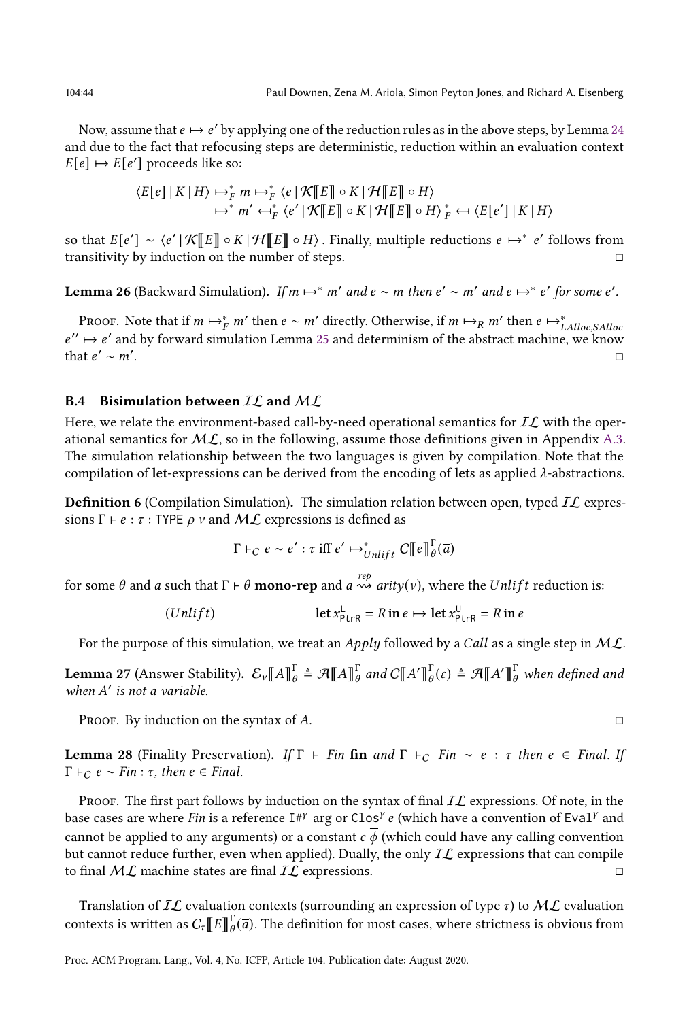Now, assume that  $e \mapsto e'$  by applying one of the reduction rules as in the above steps, by Lemma [24](#page-41-0) and due to the fact that refocusing steps are deterministic, reduction within an evaluation context  $E[e] \mapsto E[e']$  proceeds like so:

$$
\langle E[e] | K | H \rangle \mapsto_F^* m \mapsto_F^* \langle e | \mathcal{K}[[E]] \circ K | \mathcal{H}[[E]] \circ H \rangle
$$
  

$$
\mapsto^* m' \leftrightarrow_F^* \langle e' | \mathcal{K}[[E]] \circ K | \mathcal{H}[[E]] \circ H \rangle_F^* \leftrightarrow \langle E[e'] | K | H \rangle
$$

so that  $E[e'] \sim \langle e' | \mathcal{K} | E | \circ K | \mathcal{H} | E | \circ H \rangle$ . Finally, multiple reductions  $e \mapsto^* e'$  follows from transitivity by induction on the number of steps. □

<span id="page-43-2"></span>**Lemma 26** (Backward Simulation). If  $m \mapsto^* m'$  and  $e \sim m$  then  $e' \sim m'$  and  $e \mapsto^* e'$  for some  $e'$ .

Proof. Note that if  $m \mapsto^*_{F} m'$  then  $e \sim m'$  directly. Otherwise, if  $m \mapsto_{R} m'$  then  $e \mapsto^*_{LAIloc, SAIloc}$  $e'' \mapsto e'$  and by forward simulation Lemma [25](#page-42-0) and determinism of the abstract machine, we know that  $e' \sim m'$ . □

# B.4 Bisimulation between  $IL$  and  $ML$

Here, we relate the environment-based call-by-need operational semantics for  $I\mathcal{L}$  with the operational semantics for  $ML$ , so in the following, assume those definitions given in Appendix [A.3.](#page-30-4) The simulation relationship between the two languages is given by compilation. Note that the compilation of let-expressions can be derived from the encoding of lets as applied  $\lambda$ -abstractions.

**Definition 6** (Compilation Simulation). The simulation relation between open, typed  $IL$  expressions  $\Gamma \vdash e : \tau : \text{TYPE} \, \rho \, \nu$  and  $\mathcal{ML}$  expressions is defined as

$$
\Gamma \vdash_C e \sim e' : \tau \text{ iff } e' \mapsto^*_{Unlike} C[\![e]\!]^\Gamma_\theta(\overline{a})
$$

for some  $\theta$  and  $\overline{a}$  such that  $\Gamma \vdash \theta$  mono-rep and  $\overline{a} \stackrel{rep}{\leadsto}$  arity(v), where the  $Unlift$  reduction is:

$$
(Unlike) \tlet x_{PtrR}^L = R \text{ in } e \mapsto \text{let } x_{PtrR}^U = R \text{ in } e
$$

For the purpose of this simulation, we treat an *Apply* followed by a *Call* as a single step in  $ML$ .

<span id="page-43-0"></span>**Lemma 27** (Answer Stability).  $\mathcal{E}_{\nu}[\![A]\!]_{\theta}^{\Gamma} \triangleq \mathcal{A}[\![A]\!]_{\theta}^{\Gamma}$  and  $C[\![A']\!]_{\theta}^{\Gamma}(\varepsilon) \triangleq \mathcal{A}[\![A']\!]_{\theta}^{\Gamma}$  when defined and when A' is not a variable.

PROOF. By induction on the syntax of  $A$ .  $\square$ 

<span id="page-43-1"></span>**Lemma 28** (Finality Preservation). If  $\Gamma$  ⊢ Fin fin and  $\Gamma$  ⊢  $C$  Fin  $\sim e$  :  $\tau$  then  $e \in$  Final. If  $\Gamma \vdash_C e \sim Fin : \tau$ , then  $e \in Final$ .

PROOF. The first part follows by induction on the syntax of final  $IL$  expressions. Of note, in the base cases are where Fin is a reference  $I^{\#Y}$  arg or Clos<sup>y</sup> e (which have a convention of Eval<sup>y</sup> and cannot be applied to any arguments) or a constant  $c \phi$  (which could have any calling convention but cannot reduce further, even when applied). Dually, the only  $IL$  expressions that can compile to final  $M\mathcal{L}$  machine states are final  $I\mathcal{L}$  expressions.  $\Box$ 

Translation of  $IL$  evaluation contexts (surrounding an expression of type  $\tau$ ) to  $ML$  evaluation contexts is written as  $C_\tau\llbracket E \rrbracket_\theta^\Gamma(\overline{a}).$  The definition for most cases, where strictness is obvious from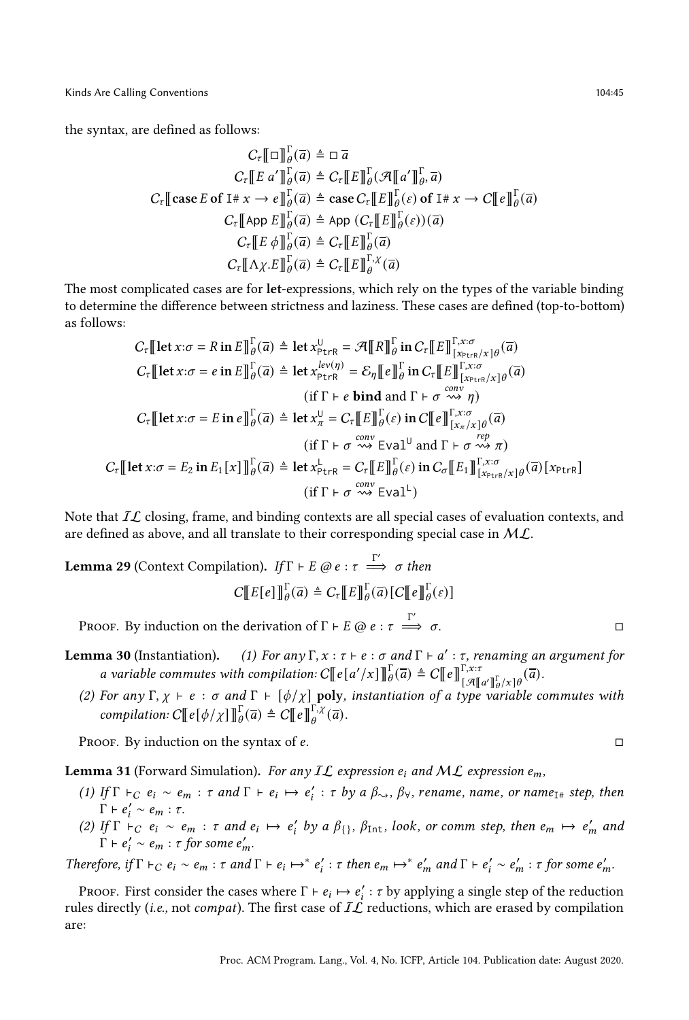the syntax, are defined as follows:

$$
C_{\tau}[\![\Box]\!]_{\theta}^{\Gamma}(\overline{a}) \triangleq \Box \overline{a}
$$
  
\n
$$
C_{\tau}[\![E \ a']\!]_{\theta}^{\Gamma}(\overline{a}) \triangleq C_{\tau}[\![E]\!]_{\theta}^{\Gamma}(\mathcal{A}[\![a']\!]_{\theta}^{\Gamma}, \overline{a})
$$
  
\n
$$
C_{\tau}[\![\text{case } E \text{ of } \mathbb{I} \# x \to e]\!]_{\theta}^{\Gamma}(\overline{a}) \triangleq \text{case } C_{\tau}[\![E]\!]_{\theta}^{\Gamma}(\varepsilon) \text{ of } \mathbb{I} \# x \to C[\![e]\!]_{\theta}^{\Gamma}(\overline{a})
$$
  
\n
$$
C_{\tau}[\![\text{App } E]\!]_{\theta}^{\Gamma}(\overline{a}) \triangleq \text{App } (C_{\tau}[\![E]\!]_{\theta}^{\Gamma}(\varepsilon))(\overline{a})
$$
  
\n
$$
C_{\tau}[\![E \phi]\!]_{\theta}^{\Gamma}(\overline{a}) \triangleq C_{\tau}[\![E]\!]_{\theta}^{\Gamma}(\overline{a})
$$
  
\n
$$
C_{\tau}[\![\Lambda \chi.E]\!]_{\theta}^{\Gamma}(\overline{a}) \triangleq C_{\tau}[\![E]\!]_{\theta}^{\Gamma}(\overline{a})
$$

The most complicated cases are for let-expressions, which rely on the types of the variable binding to determine the difference between strictness and laziness. These cases are defined (top-to-bottom) as follows:

$$
C_{\tau}[\text{let } x:\sigma = R \text{ in } E]_{\theta}^{\Gamma}(\overline{a}) \triangleq \text{let } x_{\text{PtrR}}^{\Upsilon} = \mathcal{A}[[R]]_{\theta}^{\Gamma} \text{ in } C_{\tau}[[E]]_{[x_{\text{PtrR}}/x]\theta}^{\Gamma,x:\sigma}(\overline{a})
$$
  
\n
$$
C_{\tau}[[\text{let } x:\sigma = e \text{ in } E]]_{\theta}^{\Gamma}(\overline{a}) \triangleq \text{let } x_{\text{PtrR}}^{lev(\eta)} = \mathcal{E}_{\eta}[[e]]_{\theta}^{\Gamma} \text{ in } C_{\tau}[[E]]_{[x_{\text{PtrR}}/x]\theta}^{\Gamma,x:\sigma}(\overline{a})
$$
  
\n
$$
(\text{if } \Gamma \vdash e \text{ bind and } \Gamma \vdash \sigma \xrightarrow{cov} \eta)
$$
  
\n
$$
C_{\tau}[[\text{let } x:\sigma = E \text{ in } e]]_{\theta}^{\Gamma}(\overline{a}) \triangleq \text{let } x_{\pi}^{\Upsilon} = C_{\tau}[[E]]_{\theta}^{\Gamma}(\varepsilon) \text{ in } C[[e]]_{[x_{\pi}/x]\theta}^{\Gamma,x:\sigma}(\overline{a})
$$
  
\n
$$
(\text{if } \Gamma \vdash \sigma \xrightarrow{conv} \text{Eval}^{\Upsilon} \text{ and } \Gamma \vdash \sigma \xrightarrow{rep} \pi)
$$
  
\n
$$
C_{\tau}[[\text{let } x:\sigma = E_{2} \text{ in } E_{1}[x]]_{\theta}^{\Gamma}(\overline{a}) \triangleq \text{let } x_{\text{PtrR}}^{\L} = C_{\tau}[[E]]_{\theta}^{\Gamma}(\varepsilon) \text{ in } C_{\sigma}[[E_{1}]]_{[x_{\text{PtrR}}/x]\theta}^{\Gamma,x:\sigma}(\overline{a})[x_{\text{PtrR}}]
$$
  
\n
$$
(\text{if } \Gamma \vdash \sigma \xrightarrow{conv} \text{Eval}^{\Upsilon})
$$
  
\n
$$
(\text{if } \Gamma \vdash \sigma \xrightarrow{conv} \text{Eval}^{\Upsilon})
$$

Note that  $IL$  closing, frame, and binding contexts are all special cases of evaluation contexts, and are defined as above, and all translate to their corresponding special case in  $ML$ .

**Lemma 29** (Context Compilation). 
$$
If \Gamma \vdash E \oslash e : \tau \Longrightarrow \sigma
$$
 then\n
$$
C[\![E[e]\!]_{\theta}^{\Gamma}(\overline{a}) \triangleq C_{\tau}[\![E]\!]_{\theta}^{\Gamma}(\overline{a})[C[\![e]\!]_{\theta}^{\Gamma}(\epsilon)]
$$

PROOF. By induction on the derivation of  $\Gamma \vdash E \oslash e : \tau \stackrel{\Gamma'}{\Longrightarrow} \sigma$ .

- <span id="page-44-0"></span>**Lemma 30** (Instantiation). (1) For any  $\Gamma, x : \tau \vdash e : \sigma$  and  $\Gamma \vdash a' : \tau$ , renaming an argument for a variable commutes with compilation:  $C[\![e[a'/x]\!]_0^{\Gamma}(\overline{a}) \triangleq C[\![e]\!]_{L, \alpha}^{\Gamma, x, \tau}$  $\begin{bmatrix} \mathcal{R} & \mathcal{I} \\ \mathcal{R} & \mathcal{I} \end{bmatrix} \begin{bmatrix} \mathcal{I} \\ \theta & \mathcal{I} \end{bmatrix} \begin{bmatrix} \mathcal{I} \\ \theta & \mathcal{I} \end{bmatrix} = \begin{bmatrix} \mathcal{I} \\ \theta & \mathcal{I} \end{bmatrix}.$ 
	- (2) For any  $\Gamma$ ,  $\chi$   $\vdash$   $e$  :  $\sigma$  and  $\Gamma$   $\vdash$  [ $\phi/\chi$ ] poly, instantiation of a type variable commutes with compilation:  $C \llbracket e[\phi/\chi] \rrbracket^{\Gamma}(\overline{a}) \triangleq C \llbracket e \rrbracket^{\Gamma,\chi}(\overline{a}).$

PROOF. By induction on the syntax of  $e$ .

<span id="page-44-1"></span>**Lemma 31** (Forward Simulation). For any IL expression  $e_i$  and ML expression  $e_m$ ,

- (1) If  $\Gamma \vdash_C e_i \sim e_m : \tau$  and  $\Gamma \vdash e_i \mapsto e'_i : \tau$  by a  $\beta_\sim$ ,  $\beta_\forall$ , rename, name, or name<sub>I#</sub> step, then  $\Gamma \vdash e'_i \sim e_m : \tau.$
- (2) If  $\Gamma$   $\vdash_C e_i \sim e_m : \tau$  and  $e_i \mapsto e'_i$  by a  $\beta_{\{\},\}$   $\beta_{\text{Int}}$ , look, or comm step, then  $e_m \mapsto e'_m$  and  $\Gamma \vdash e'_i \sim e_m : \tau$  for some  $e'_m$ .

Therefore, if  $\Gamma \vdash_C e_i \sim e_m : \tau$  and  $\Gamma \vdash e_i \mapsto^* e'_i : \tau$  then  $e_m \mapsto^* e'_m$  and  $\Gamma \vdash e'_i \sim e'_m : \tau$  for some  $e'_m$ .

PROOF. First consider the cases where  $\Gamma \vdash e_i \mapsto e'_i : \tau$  by applying a single step of the reduction rules directly (i.e., not compat). The first case of  $I\mathcal{L}$  reductions, which are erased by compilation are:

$$
\overline{a}
$$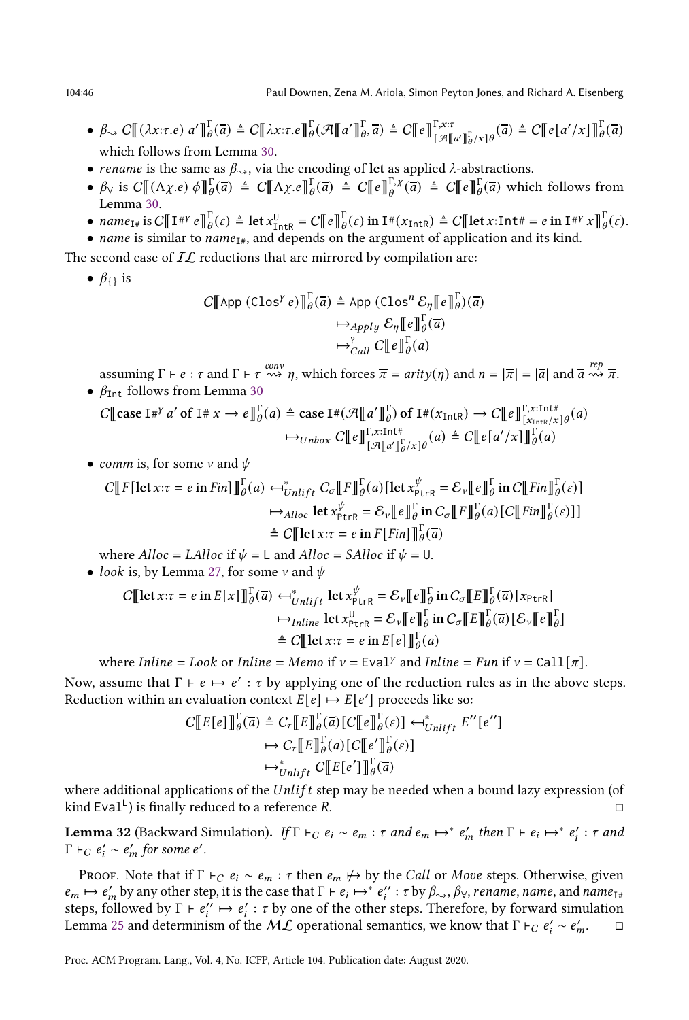104:46 Paul Downen, Zena M. Ariola, Simon Peyton Jones, and Richard A. Eisenberg

- $\beta_{\sim} C \llbracket (\lambda x : \tau.e) a' \rrbracket_{\theta}^{\Gamma}(\overline{a}) \triangleq C \llbracket \lambda x : \tau.e \rrbracket_{\theta}^{\Gamma}(\mathcal{A} \llbracket a' \rrbracket_{\theta}^{\Gamma}, \overline{a}) \triangleq C \llbracket e \rrbracket_{\Gamma, \sigma \parallel}^{\Gamma, x : \tau}$  $\Gamma, x: \tau$ <br> $[\mathcal{A}[[a']_{\theta}^{\Gamma}/x]\theta(\overline{a}) \triangleq C[[e[a'/x]]_{\theta}^{\Gamma}(\overline{a})]$ which follows from Lemma [30.](#page-44-0)
- *rename* is the same as  $\beta_{\sim}$ , via the encoding of let as applied  $\lambda$ -abstractions.
- $\beta_{\forall}$  is  $C \llbracket (\Lambda \chi. e) \phi \rrbracket^{\Gamma}(\overline{a}) \triangleq C \llbracket \Lambda \chi. e \rrbracket^{\Gamma}(\overline{a}) \triangleq C \llbracket e \rrbracket^{\Gamma, \chi}(\overline{a}) \triangleq C \llbracket e \rrbracket^{\Gamma}(\overline{a})$  which follows from Lemma [30.](#page-44-0)
- $name_{\mathbb{I}^{\#}}$  is  $C[\![\mathbb{I}^{\#Y} e]\!]_{\theta}^{\Gamma}(\varepsilon) \triangleq \mathrm{let} x_{\mathbb{I}^{\mathsf{nt}^{\mathsf{R}}}}^{\mathsf{U}} = C[\![\![e]\!]_{\theta}^{\Gamma}(\varepsilon)$  in  $\mathbb{I}^{\#}(x_{\mathbb{I}^{\mathsf{nt}^{\mathsf{R}}}}) \triangleq C[\![\![\mathsf{let} x:\mathbb{I}^{\mathsf{nt}^{\#}} = e \mathsf{in} \mathbb{I}^{\#Y} x]\!]_{\theta}^{\Gamma}(\varepsilon)$ .
- *name* is similar to *name*<sub>I#</sub>, and depends on the argument of application and its kind.

The second case of  $IL$  reductions that are mirrored by compilation are:

•  $\beta_{\{\}\}$  is

$$
C[\![ \text{App (Clos}^Y e) ]\!]_{{\theta}}^{\Gamma}(\overline{a}) \triangleq \text{App (Clos}^n \mathcal{E}_{\eta}[\![ e ]\!]_{{\theta}}^{\Gamma})(\overline{a})
$$

$$
\mapsto_{Apply} \mathcal{E}_{\eta}[\![ e ]\!]_{{\theta}}^{\Gamma}(\overline{a})
$$

$$
\mapsto_{Call}^2 C[\![ e ]\!]_{{\theta}}^{\Gamma}(\overline{a})
$$

assuming  $\Gamma \vdash e : \tau$  and  $\Gamma \vdash \tau \stackrel{conv}{\leadsto} \eta$ , which forces  $\overline{\pi} = arity(\eta)$  and  $n = |\overline{\pi}| = |\overline{a}|$  and  $\overline{a} \stackrel{rep}{\leadsto} \overline{\pi}$ . •  $\beta_{\text{Int}}$  follows from Lemma [30](#page-44-0)

$$
C[\![\case I^{\#Y} a' of I^{\#} x \rightarrow e]\!]_{{\theta}}^{\Gamma}(\overline{a}) \triangleq \cose I^{\#}(\mathcal{A}[\![a']\!]_{{\theta}}^{\Gamma}) of I^{\#}(x_{\text{Int}R}) \rightarrow C[\![e]\!]_{{x_{\text{Int}R}}^{\Gamma,x:\text{Int}\#}}^{\Gamma,x:\text{Int} \#} \\ \mapsto_{Unbox} C[\![e]\!]_{{x_{\text{Int}R}}^{\Gamma}(x)\![\theta}(\overline{a}) \triangleq C[\![e[a'/x]\!]_{{\theta}}^{\Gamma}(\overline{a})
$$

• *comm* is, for some  $\nu$  and  $\nu$ 

$$
C[\![F[\![let x : \tau = e \text{ in } Fin]\!]_{\theta}^{\Gamma}(\overline{a}) \leftarrow^*_{Unlift} C_{\sigma}[\![F]\!]_{\theta}^{\Gamma}(\overline{a}) [\![let x^{\psi}_{\text{PtrR}} = \mathcal{E}_{\nu}[\![e]\!]_{\theta}^{\Gamma} \text{ in } C[\![Fin]\!]_{\theta}^{\Gamma}(\varepsilon)]
$$
  
\n
$$
\mapsto_{A lloc} \text{ let } x^{\psi}_{\text{PtrR}} = \mathcal{E}_{\nu}[\![e]\!]_{\theta}^{\Gamma} \text{ in } C_{\sigma}[\![F]\!]_{\theta}^{\Gamma}(\overline{a}) [\![C[\![Fin]\!]_{\theta}^{\Gamma}(\varepsilon)]]
$$
  
\n
$$
\triangleq C[\![let x : \tau = e \text{ in } F[\![Fin]\!]_{\theta}^{\Gamma}(\overline{a})
$$

where  $\text{Alloc} = \text{L}\text{Alloc}$  if  $\psi = \text{L}$  and  $\text{Alloc} = \text{S}\text{Alloc}$  if  $\psi = \text{U}$ .

• look is, by Lemma [27,](#page-43-0) for some  $\nu$  and  $\nu$ 

$$
C[\![\det x:\tau = e \text{ in } E[x]\!]_{\theta}^{\Gamma}(\overline{a}) \leftarrow_{Unlike}^* \det x_{\text{ptrR}}^{\psi} = \mathcal{E}_{\nu}[\![e]\!]_{\theta}^{\Gamma} \text{ in } C_{\sigma}[\![E]\!]_{\theta}^{\Gamma}(\overline{a})[\{x_{\text{ptrR}}}\!]
$$

$$
\mapsto_{I\text{nline}} \det x_{\text{ptrR}}^{\mathsf{U}} = \mathcal{E}_{\nu}[\![e]\!]_{\theta}^{\Gamma} \text{ in } C_{\sigma}[\![E]\!]_{\theta}^{\Gamma}(\overline{a})[\![\mathcal{E}_{\nu}[\![e]\!]_{\theta}^{\Gamma}]
$$

$$
\triangleq C[\![\det x:\tau = e \text{ in } E[e]\!]_{\theta}^{\Gamma}(\overline{a})
$$

where Inline = Look or Inline = Memo if  $v =$  Eval<sup>y</sup> and Inline = Fun if  $v =$  Call $[\overline{\pi}]$ .

Now, assume that  $\Gamma \vdash e \mapsto e' : \tau$  by applying one of the reduction rules as in the above steps. Reduction within an evaluation context  $E[e] \mapsto E[e']$  proceeds like so:

$$
C[[E[e]]]_{{\theta}}^{\Gamma}(\overline{a}) \triangleq C_{\tau}[[E]]_{{\theta}}^{\Gamma}(\overline{a})[C[[e]]_{{\theta}}^{\Gamma}(\varepsilon)] \leftrightarrow_{Unlift}^{\ast} E''[e'']
$$

$$
\mapsto C_{\tau}[[E]]_{{\theta}}^{\Gamma}(\overline{a})[C[[e']]_{{\theta}}^{\Gamma}(\varepsilon)]
$$

$$
\mapsto_{Unlift}^{\ast} C[[E[e']]]_{{\theta}}^{\Gamma}(\overline{a})
$$

where additional applications of the  $Unlift$  step may be needed when a bound lazy expression (of kind Eval<sup>L</sup>) is finally reduced to a reference  $R$ .

<span id="page-45-0"></span>**Lemma 32** (Backward Simulation). If  $\Gamma \vdash_C e_i \sim e_m : \tau$  and  $e_m \mapsto^* e'_m$  then  $\Gamma \vdash e_i \mapsto^* e'_i : \tau$  and  $\Gamma \vdash_C e'_i \sim e'_m$  for some e'.

PROOF. Note that if  $\Gamma \vdash_C e_i \sim e_m : \tau$  then  $e_m \nleftrightarrow$  by the *Call* or *Move* steps. Otherwise, given  $e_m \mapsto e'_m$  by any other step, it is the case that  $\Gamma \vdash e_i \mapsto^* e''_i : \tau$  by  $\beta_\sim$ ,  $\beta_\forall$ , rename, name, and name<sub>I#</sub> steps, followed by  $\Gamma \vdash e_i'' \mapsto e_i' : \tau$  by one of the other steps. Therefore, by forward simulation Lemma [25](#page-42-0) and determinism of the  $ML$  operational semantics, we know that  $\Gamma \vdash_C e'_i \sim e'_m$ .  $\Box$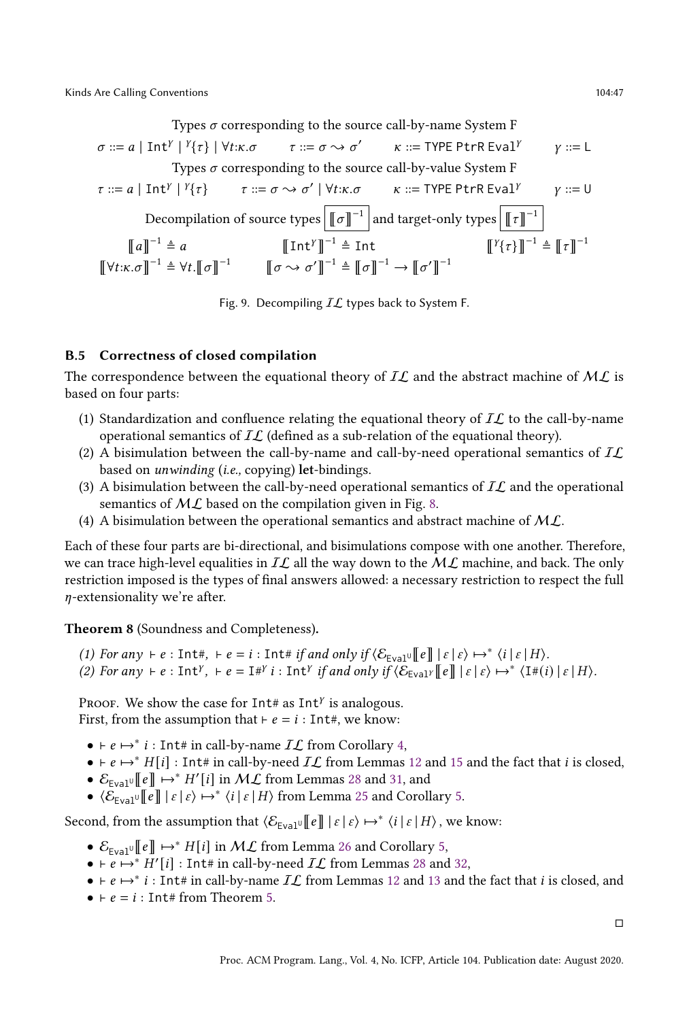<span id="page-46-0"></span>Types  $\sigma$  corresponding to the source call-by-name System F  $\sigma ::= a \mid \text{Int}^{\gamma} \mid {}^{\gamma}\{\tau\} \mid \forall t:\kappa.\sigma \qquad \tau ::= \sigma \leadsto \sigma' \qquad \kappa ::= \text{TYPE PtrR} \text{Eval}^{\gamma}$  $y ::= L$ Types  $\sigma$  corresponding to the source call-by-value System F  $\tau ::= a \mid Int^{\gamma} \mid^{\gamma}$  $\{\tau\}$   $\tau ::= \sigma \leadsto \sigma'$  $\kappa ::=$  TYPE PtrR Eval $^Y$  $y ::= U$ Decompilation of source types  $\lVert \sigma \rVert^{-1}$  and target-only types  $\lVert \tau \rVert^{-1}$  $[[a]]^{-1} \triangleq a$   $[[Int^{\gamma}]^{-1} \triangleq Int$   $[[$  $Y\{\tau\}\right]^{-1} \triangleq \llbracket \tau \rrbracket^{-1}$  $\llbracket \forall t: \kappa. \sigma \rrbracket^{-1} \triangleq \forall t. \llbracket \sigma \rrbracket^{-1}$   $\qquad \llbracket \sigma \leadsto \sigma' \rrbracket^{-1} \triangleq \llbracket \sigma \rrbracket^{-1} \rightarrow \llbracket \sigma' \rrbracket^{-1}$ 

Fig. 9. Decompiling  $IL$  types back to System F.

# B.5 Correctness of closed compilation

The correspondence between the equational theory of  $IL$  and the abstract machine of  $ML$  is based on four parts:

- (1) Standardization and confluence relating the equational theory of  $IL$  to the call-by-name operational semantics of  $\mathcal{IL}$  (defined as a sub-relation of the equational theory).
- (2) A bisimulation between the call-by-name and call-by-need operational semantics of  $I\mathcal{L}$ based on unwinding (i.e., copying) let-bindings.
- (3) A bisimulation between the call-by-need operational semantics of  $IL$  and the operational semantics of  $ML$  based on the compilation given in Fig. [8.](#page-21-0)
- (4) A bisimulation between the operational semantics and abstract machine of  $ML$ .

Each of these four parts are bi-directional, and bisimulations compose with one another. Therefore, we can trace high-level equalities in  $IL$  all the way down to the  $ML$  machine, and back. The only restriction imposed is the types of final answers allowed: a necessary restriction to respect the full  $\eta$ -extensionality we're after.

Theorem 8 (Soundness and Completeness).

(1) For any  $\vdash e : \text{Int}\#$ ,  $\vdash e = i : \text{Int}\#$  if and only if  $\langle \mathcal{E}_{\text{Eval}} \mathcal{E} \Vert e \Vert \Vert \cdot \Vert \varepsilon \rangle \mapsto^* \langle i \Vert \varepsilon \Vert H \rangle$ . (2) For any  $\vdash e : \text{Int}^{\gamma}, \vdash e = \text{I#}^{\gamma} i : \text{Int}^{\gamma}$  if and only if  $\langle \mathcal{E}_{\text{Eval}^{\gamma}}[[e]] | \varepsilon | \varepsilon \rangle \mapsto \langle \text{I}^{\#}(i) | \varepsilon | H \rangle$ .

Proof. We show the case for  $Int#$  as  $Int^{\gamma}$  is analogous. First, from the assumption that  $\vdash e = i : \text{Int#},$  we know:

- $\bullet \vdash e \mapsto^* i : \text{Int} \# \text{ in call-by-name } \mathcal{IL} \text{ from Corollary 4},$
- $\epsilon \mapsto^* H[i]$  : Int# in call-by-need  $\mathcal{IL}$  from Lemmas [12](#page-35-0) and [15](#page-36-0) and the fact that *i* is closed,
- $\mathcal{E}_{\text{Eval}}[\![e]\!] \mapsto^* H'[i]$  in  $\mathcal{ML}$  from Lemmas [28](#page-43-1) and [31,](#page-44-1) and
- $\langle \mathcal{E}_{\text{Eval}}^{\text{out}} | \tilde{e} \rangle | \epsilon | \epsilon \rangle \mapsto \langle i | \epsilon | H \rangle$  from Lemma [25](#page-42-0) and Corollary [5.](#page-42-1)

Second, from the assumption that  $\langle \mathcal{E}_{\text{Eval}} \mathbb{E}[e] \mid \varepsilon | \varepsilon \rangle \mapsto^* \langle i | \varepsilon | H \rangle$ , we know:

- $\mathcal{E}_{\text{Eval}} \llbracket e \rrbracket \mapsto^* H[i]$  in  $\mathcal{ML}$  from Lemma [26](#page-43-2) and Corollary [5,](#page-42-1)
- $\vdash e \mapsto^* H'[i] : \text{Int# in call-by-need } \mathcal{IL} \text{ from Lemmas 28 and 32,}$  $\vdash e \mapsto^* H'[i] : \text{Int# in call-by-need } \mathcal{IL} \text{ from Lemmas 28 and 32,}$  $\vdash e \mapsto^* H'[i] : \text{Int# in call-by-need } \mathcal{IL} \text{ from Lemmas 28 and 32,}$  $\vdash e \mapsto^* H'[i] : \text{Int# in call-by-need } \mathcal{IL} \text{ from Lemmas 28 and 32,}$  $\vdash e \mapsto^* H'[i] : \text{Int# in call-by-need } \mathcal{IL} \text{ from Lemmas 28 and 32,}$
- $\vdash e \mapsto^* i$ : Int# in call-by-name  $IL$  from Lemmas [12](#page-35-0) and [13](#page-35-1) and the fact that *i* is closed, and
- $e = i$ : Int# from Theorem [5.](#page-37-1)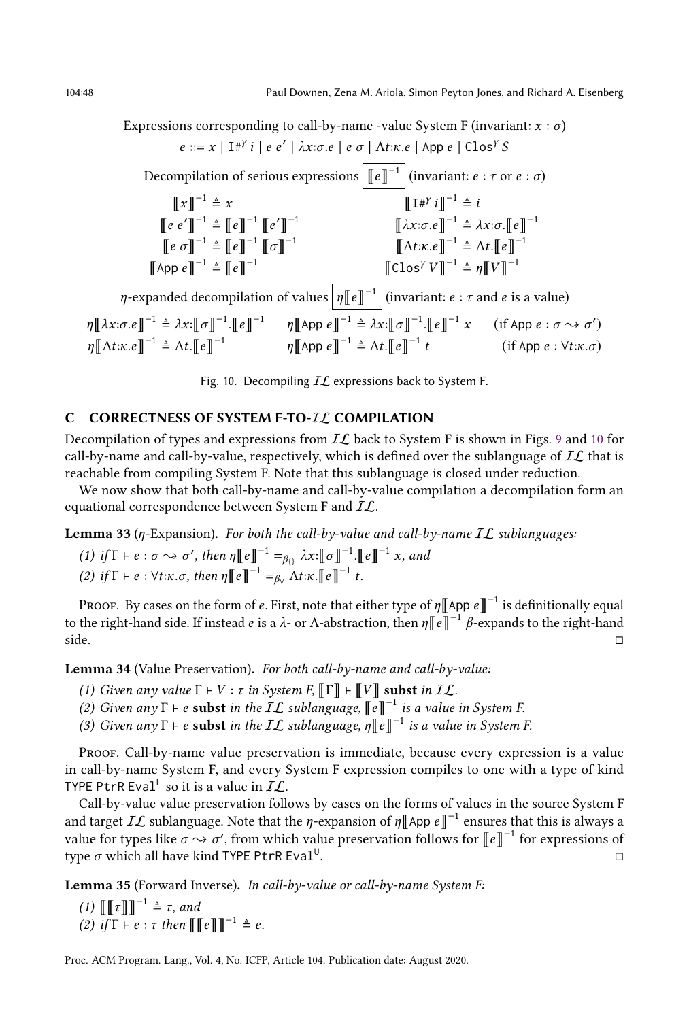Expressions corresponding to call-by-name -value System F (invariant:  $x : \sigma$ )  $e ::= x \mid \mathbb{I}^{\# Y} i \mid e \; e' \mid \lambda x : \sigma.e \mid e \; \sigma \mid \Lambda t : \kappa.e \mid \mathsf{App} \; e \mid \mathsf{Clos}^Y S$ Decompilation of serious expressions  $\lVert e \rVert^{-1}$  (invariant:  $e : \tau$  or  $e : \sigma$ )  $\llbracket x \rrbracket^{-1} \triangleq x$   $\llbracket \text{I#} \right.$  $[i]$ <sup>-1</sup>  $\triangleq i$  $[ e e']^{-1} \triangleq [e]^{-1} [e']^{-1}$  $[[\lambda x:\sigma \cdot e]]^{-1} \triangleq \lambda x \cdot \sigma \cdot [e]]^{-1}$  $\left[\!\left[ e\,\sigma\right]\!\right]^{-1} \triangleq \left[\!\left[ e\right]\!\right]^{-1} \left[\!\left[ \sigma\right]\!\right]^{-1}$  $[\![\Lambda t:\kappa.\mathbf{e}]\!]^{-1} \triangleq \Lambda t \cdot [\![\mathbf{e}]\!]^{-1}$  $[\![ \text{App } e \!]^{-1} \triangleq [\![ e \!]^{-1}$  $\llbracket \text{Clos}^{\gamma} V \rrbracket^{-1} \triangleq \eta \llbracket V \rrbracket^{-1}$  $\eta$ -expanded decompilation of values  $\eta \llbracket e \rrbracket^{-1}$  (invariant:  $e : \tau$  and  $e$  is a value)  $\eta \llbracket \lambda x : \sigma e \rrbracket^{-1} \triangleq \lambda x : \llbracket \sigma \rrbracket^{-1} \cdot \llbracket e \rrbracket^{-1} \equiv \eta \llbracket \text{App } e \rrbracket^{-1} \triangleq \lambda x : \llbracket \sigma \rrbracket^{-1} \cdot \llbracket e \rrbracket^{-1} x$  (if App  $e : \sigma \leadsto \sigma'$ )  $\eta \llbracket \Lambda t : \kappa. e \rrbracket^{-1} \triangleq \Lambda t. \llbracket e \rrbracket^{-1}$  $\eta$ [[App  $e$ ]<sup>-1</sup>  $\triangleq \Lambda t$ .[[ $e$ ]<sup>-1</sup> (if App  $e : \forall t: \kappa.\sigma$ )

Fig. 10. Decompiling  $IL$  expressions back to System F.

## C CORRECTNESS OF SYSTEM F-TO-IL COMPILATION

Decompilation of types and expressions from  $I\mathcal{L}$  back to System F is shown in Figs. [9](#page-46-0) and [10](#page-47-0) for call-by-name and call-by-value, respectively, which is defined over the sublanguage of  $IL$  that is reachable from compiling System F. Note that this sublanguage is closed under reduction.

We now show that both call-by-name and call-by-value compilation a decompilation form an equational correspondence between System F and  $IL$ .

Lemma 33 ( $\eta$ -Expansion). For both the call-by-value and call-by-name  $IL$  sublanguages:

(1) if  $\Gamma \vdash e : \sigma \leadsto \sigma'$ , then  $\eta \llbracket e \rrbracket^{-1} =_{\beta_{\{\}}} \lambda x : \llbracket \sigma \rrbracket^{-1} . \llbracket e \rrbracket^{-1} x$ , and (2) if  $\Gamma \vdash e : \forall t: \kappa.\sigma$ , then  $\eta \llbracket e \rrbracket^{-1} =_{\beta_{\forall}} \Lambda t: \kappa. \llbracket e \rrbracket^{-1} t$ .

Proof. By cases on the form of  $e.$  First, note that either type of  $\eta \llbracket \operatorname{\mathsf{App}}{e} \rrbracket^{-1}$  is definitionally equal to the right-hand side. If instead *e* is a  $\lambda$ - or Λ-abstraction, then  $\eta \llbracket e \rrbracket^{-1} \beta$ -expands to the right-hand side. □

Lemma 34 (Value Preservation). For both call-by-name and call-by-value:

- (1) Given any value  $\Gamma \vdash V : \tau$  in System  $F, [\![\Gamma]\!] \vdash [\![V]\!]$  subst in  $\mathcal{IL}$ .
- (2) Given any  $\Gamma \vdash e$  subst in the  $IL$  sublanguage,  $\lbrack\!\lbrack e\rbrack\!\rbrack^{-1}$  is a value in System F.
- (3) Given any  $\Gamma \vdash e$  subst in the  $IL$  sublanguage,  $\eta \llbracket e \rrbracket^{-1}$  is a value in System F.

Proof. Call-by-name value preservation is immediate, because every expression is a value in call-by-name System F, and every System F expression compiles to one with a type of kind TYPE PtrR Eval<sup>L</sup> so it is a value in  $IL$ .

Call-by-value value preservation follows by cases on the forms of values in the source System F and target  $IL$  sublanguage. Note that the  $\eta$ -expansion of  $\eta$  | App  $e$  ||<sup>-1</sup> ensures that this is always a value for types like  $\sigma \rightarrow \sigma'$ , from which value preservation follows for  $\llbracket e \rrbracket^{-1}$  for expressions of type  $\sigma$  which all have kind TYPE PtrR Eval<sup>U</sup>. . □

Lemma 35 (Forward Inverse). In call-by-value or call-by-name System F:

(1)  $\llbracket \llbracket \tau \rrbracket \rrbracket^{-1} \triangleq \tau$ , and (2) if  $\Gamma$   $\vdash e : \tau$  then  $\llbracket \llbracket e \rrbracket \rrbracket^{-1} \triangleq e$ .

Proc. ACM Program. Lang., Vol. 4, No. ICFP, Article 104. Publication date: August 2020.

<span id="page-47-0"></span>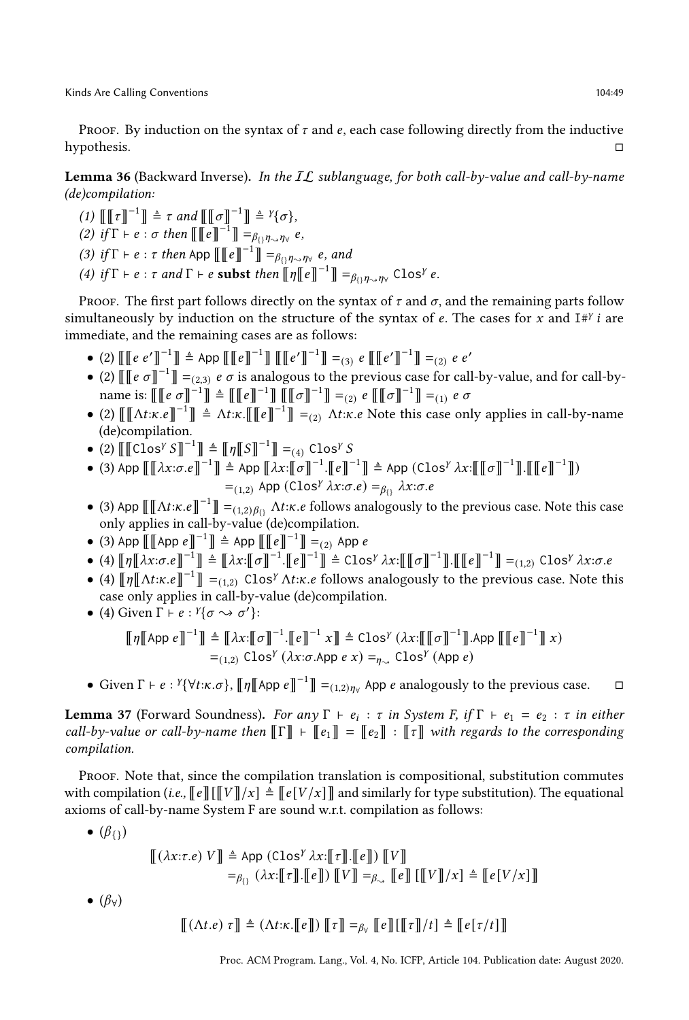Proof. By induction on the syntax of  $\tau$  and  $e$ , each case following directly from the inductive hypothesis. □

**Lemma 36** (Backward Inverse). In the IL sublanguage, for both call-by-value and call-by-name (de)compilation:

- (1)  $\left[\left[\!\left[ \tau \right]\!\right]^{-1}\right] \triangleq \tau$  and  $\left[\!\left[\!\left[ \sigma \right]\!\right]^{-1}\right] \triangleq$   $\forall \{\sigma\},$ (2) if  $\Gamma$   $\vdash$   $e$  :  $\sigma$  then  $\llbracket \llbracket e \rrbracket^{-1} \rrbracket =_{\beta_{\{\}}eta_{\sim}\eta_{\vee}} e$ ,
- (3) if  $\Gamma \vdash e : \tau$  then App  $\llbracket [e] \rrbracket^{-1} \rrbracket =_{\beta \setminus \eta \sim \eta \vee} e$ , and
- (4) if  $\Gamma \vdash e : \tau$  and  $\Gamma \vdash e$  subst then  $\llbracket \eta \llbracket e \rrbracket^{-1} \rrbracket =_{\beta \vdash \eta \sim \eta \vee}$  Clos<sup>Y</sup> e.

Proof. The first part follows directly on the syntax of  $\tau$  and  $\sigma$ , and the remaining parts follow simultaneously by induction on the structure of the syntax of e. The cases for x and  $I#Y$  i are immediate, and the remaining cases are as follows:

- (2)  $\left[\left[\left[e e^{t}\right]\right]^{-1}\right] \triangleq$  App  $\left[\left[\left[e^t\right]\right]^{-1}\right]$   $\left[\left[\left[e^t\right]\right]^{-1}\right] =_{(3)} e \left[\left[\left[e^t\right]\right]^{-1}\right] =_{(2)} e e^{t}$
- (2)  $\left[\left[\left[e\ \sigma\right]\right]^{-1}\right] =_{(2,3)} e \sigma$  is analogous to the previous case for call-by-value, and for call-byname is:  $\begin{bmatrix} \begin{bmatrix} e & \sigma \end{bmatrix}^{-1} \end{bmatrix} \triangleq \begin{bmatrix} \begin{bmatrix} e \end{bmatrix}^{-1} \end{bmatrix} \begin{bmatrix} \begin{bmatrix} f \end{bmatrix}^{-1} \end{bmatrix} =_{(2)} e \begin{bmatrix} \begin{bmatrix} \begin{bmatrix} \sigma \end{bmatrix} \end{bmatrix}^{-1} \end{bmatrix} =_{(1)} e \sigma$
- (2)  $\left[\left[\left[\Lambda t:\kappa.\mathbf{e}\right]\right]^{-1}\right] \triangleq \Lambda t:\kappa.\left[\left[\left[\left[\mathbf{e}\right]\right]^{-1}\right]\right] =_{(2)} \Lambda t:\kappa.\mathbf{e}$  Note this case only applies in call-by-name (de)compilation.
- (2)  $[[[[\cos^{y} S]]^{-1}]] \triangleq [[\eta [[S]]^{-1}]] =_{(4)} \text{Clos}^{y} S$
- $\bullet$  (3) App  $\llbracket \llbracket \lambda x : \sigma \cdot e \rrbracket^{-1} \rrbracket \triangleq$  App  $\llbracket \lambda x : \llbracket \sigma \rrbracket^{-1} \rrbracket \triangleq$  App  $\llbracket \sigma \rrbracket^{-1} \llbracket \sigma \rrbracket^{-1} \rrbracket \cdot \llbracket \llbracket e \rrbracket^{-1} \rrbracket$  $=(1,2)$  App  $(\widehat{C} \widehat{cos^{\gamma} \lambda x: \sigma} \cdot e) =_{\beta_{\{\}} \lambda x: \sigma}$ .
- (3) App  $\llbracket \llbracket \Lambda t : \kappa. e \rrbracket^{-1} \rrbracket =_{(1,2)\beta_{{i}}}\Lambda t : \kappa. e$  follows analogously to the previous case. Note this case only applies in call-by-value (de)compilation.
- (3) App  $\llbracket [\! \lfloor A \text{pp} \, e \rfloor \! \rceil^{-1} \rrbracket =_{(2)}$  App  $e$
- $\bullet$  (4)  $\llbracket \eta \llbracket \lambda x : \sigma \cdot e \rrbracket^{-1} \rrbracket \triangleq \llbracket \lambda x : \llbracket \sigma \rrbracket^{-1} \rrbracket \triangleq \text{Clos}^{\gamma} \lambda x : \llbracket \llbracket \sigma \rrbracket^{-1} \rrbracket \cdot \llbracket \llbracket e \rrbracket^{-1} \rrbracket =_{(1,2)} \text{Clos}^{\gamma} \lambda x : \sigma \cdot e$
- (4)  $\llbracket \eta \llbracket \Delta t : \kappa \cdot e \rrbracket^{-1} \rrbracket =_{(1,2)}^{\mathfrak{m}} \text{Clos}^{\gamma} \Delta t : \kappa \cdot e$  follows analogously to the previous case. Note this case only applies in call-by-value (de)compilation.
- (4) Given  $\Gamma \vdash e : Y\{\sigma \leadsto \sigma'\}$ :

$$
\llbracket \eta \llbracket \text{App } e \rrbracket^{-1} \rrbracket \triangleq \llbracket \lambda x : \llbracket \sigma \rrbracket^{-1} . \llbracket e \rrbracket^{-1} x \rrbracket \triangleq \text{Clos}^{\gamma} (\lambda x : \llbracket \llbracket \sigma \rrbracket^{-1} \rrbracket . \text{App } \llbracket \llbracket e \rrbracket^{-1} \rrbracket x)
$$

$$
=_{(1,2)} \text{Clos}^{\gamma} (\lambda x : \sigma \text{App } e \ x) =_{\eta \sim} \text{Clos}^{\gamma} (\text{App } e)
$$

• Given Γ ⊢ *e* : <sup>γ</sup>{∀*t*:κ.σ}, [[η[[App  $e$ ]]<sup>-1</sup>]] =<sub>(1,2)η<sub>γ</sub></sub> App *e* analogously to the previous case. □

**Lemma 37** (Forward Soundness). For any  $\Gamma \vdash e_i : \tau$  in System F, if  $\Gamma \vdash e_1 = e_2 : \tau$  in either call-by-value or call-by-name then  $\llbracket \Gamma \rrbracket \rvert = \llbracket e_1 \rrbracket = \llbracket e_2 \rrbracket : \llbracket \tau \rrbracket$  with regards to the corresponding compilation.

Proof. Note that, since the compilation translation is compositional, substitution commutes with compilation (i.e.,  $\llbracket e \rrbracket \llbracket \llbracket V \rrbracket / x \rrbracket = \llbracket e \llbracket V / x \rrbracket$  and similarly for type substitution). The equational axioms of call-by-name System F are sound w.r.t. compilation as follows:

 $\bullet$  ( $\beta_{\{\}}$ )  $\llbracket (\lambda x : \tau. e) V \rrbracket \triangleq \text{App } (\text{Clos}^{\gamma} \lambda x : \llbracket \tau \rrbracket \cdot \llbracket e \rrbracket) \llbracket V \rrbracket$  $=_{\beta_{\Omega}} (\lambda x \cdot \llbracket \tau \rrbracket \cdot \llbracket e \rrbracket) \llbracket V \rrbracket =_{\beta_{\gamma}} \llbracket e \rrbracket \cdot \llbracket \llbracket V \rrbracket / x \rrbracket \stackrel{\Delta}{=} \llbracket e[V/x] \rrbracket$ •  $(\beta_{\forall})$ 

$$
\llbracket (\Lambda t.e) \ \tau \rrbracket \triangleq (\Lambda t \cdot \kappa. \llbracket e \rrbracket) \ \llbracket \tau \rrbracket =_{\beta_{\forall}} \llbracket e \rrbracket \llbracket \llbracket \tau \rrbracket / t \rrbracket \triangleq \llbracket e \llbracket \tau / t \rrbracket \rrbracket
$$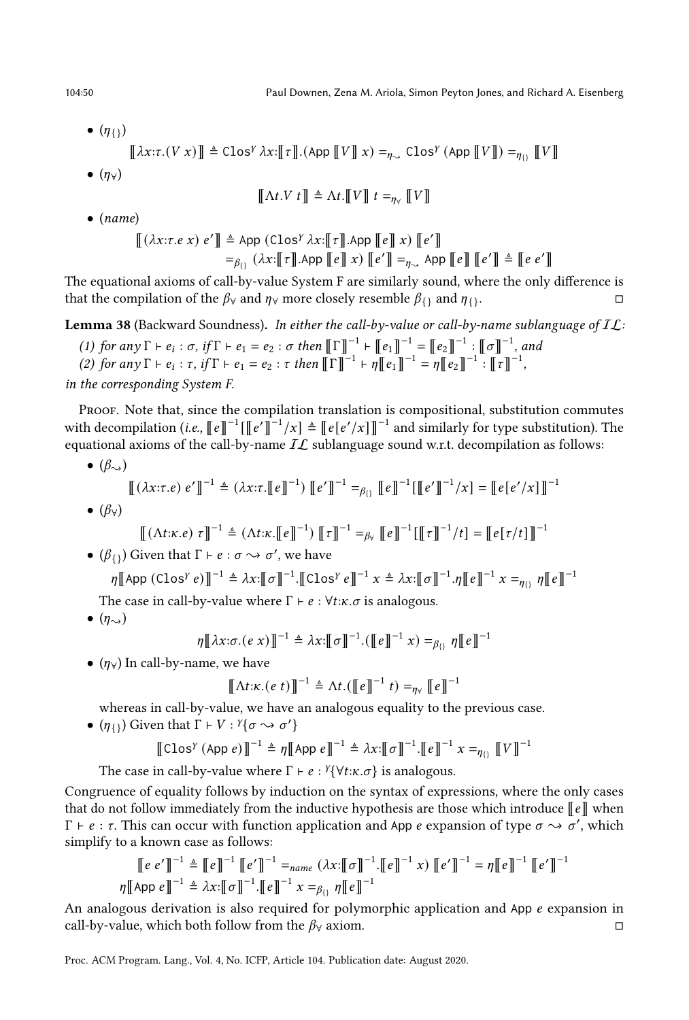- $\bullet$  ( $\eta_{\{\}}$ )  $\llbracket \lambda x : \tau.(V \ x) \rrbracket \triangleq \text{Clos}^{\gamma} \lambda x : \llbracket \tau \rrbracket.(\text{App } \llbracket V \rrbracket \ x) =_{\eta \wedge} \text{Clos}^{\gamma} (\text{App } \llbracket V \rrbracket) =_{\eta \wedge} \llbracket V \rrbracket$
- $(\eta_{\forall})$

$$
\llbracket \Lambda t.V \ t \rrbracket \triangleq \Lambda t.\llbracket V \rrbracket \ t =_{\eta \vee} \llbracket V \rrbracket
$$

 $\bullet$  (name)

$$
\begin{aligned} [[(\lambda x : \tau. e \ x) \ e']] &\triangleq \text{App } (\text{Clos}^{\gamma} \lambda x : [[\tau]]. \text{App } [[e]] \ x) \ [e']] \\ &=_{\beta_{\{ \}}} (\lambda x : [[\tau]]. \text{App } [[e]] \ x) \ [e']] =_{\eta_{\sim}} \text{App } [[e]] \ [e']] \triangleq [[e']] \end{aligned}
$$

The equational axioms of call-by-value System F are similarly sound, where the only difference is that the compilation of the  $\beta_V$  and  $\eta_V$  more closely resemble  $\beta_{\{\}}$  and  $\eta_{\{\}}$ .

Lemma 38 (Backward Soundness). In either the call-by-value or call-by-name sublanguage of  $IL$ :

- (1) for any  $\Gamma \vdash e_i : \sigma$ , if  $\Gamma \vdash e_1 = e_2 : \sigma$  then  $[\![ \Gamma ] \!]^{-1} \vdash [\![ e_1 ] \!]^{-1} = [\![ e_2 ] \!]^{-1} : [\![ \sigma ] \!]^{-1}$ , and
- (2) for any  $\Gamma \vdash e_i : \tau$ , if  $\Gamma \vdash e_1 = e_2 : \tau$  then  $\[\Gamma \]^{-1} \vdash \eta \|[e_1]\]^{-1} = \eta \|[e_2]\]^{-1} : \[\![ \tau ]\!]^{-1}$ ,

in the corresponding System F.

Proof. Note that, since the compilation translation is compositional, substitution commutes with decompilation (i.e.,  $[\![e]\!]^{-1} [\![e']\!]^{-1}/x] \triangleq [\![e[e'/x]\!]^{-1}$  and similarly for type substitution). The equational axioms of the call-by-name  $I\mathcal{L}$  sublanguage sound w.r.t. decompilation as follows:

 $\bullet$   $(\beta_{\sim})$  $[[(\lambda x:\tau.e) \ e']^{-1} \triangleq (\lambda x:\tau.\llbracket e \rrbracket^{-1}) \ \llbracket e' \rrbracket^{-1} =_{\beta_{\{\}}} [[e\rrbracket^{-1}[[e']^{-1}/x] = [[e[e'/x]]^{-1}]^{-1}$ •  $(\beta_{\forall})$ 

$$
\llbracket (\Lambda t : \kappa. e) \tau \rrbracket^{-1} \triangleq (\Lambda t : \kappa. \llbracket e \rrbracket^{-1}) \llbracket \tau \rrbracket^{-1} =_{\beta_{\forall}} \llbracket e \rrbracket^{-1} \llbracket \llbracket \tau \rrbracket^{-1} / t \rrbracket = \llbracket e \llbracket \tau / t \rrbracket \rrbracket^{-1}
$$

•  $({\beta}_{\{\}})$  Given that  $\Gamma \vdash e : \sigma \leadsto \sigma'$ , we have

$$
\eta \llbracket \text{App (Closy e) } \rrbracket^{-1} \triangleq \lambda x : \llbracket \sigma \rrbracket^{-1} . \llbracket \text{Clos}^y e \rrbracket^{-1} x \triangleq \lambda x : \llbracket \sigma \rrbracket^{-1} . \eta \llbracket e \rrbracket^{-1} x =_{\eta} \eta \llbracket e \rrbracket^{-1}
$$

The case in call-by-value where  $\Gamma \vdash e : \forall t : \kappa \ldotp \sigma$  is analogous.

 $\bullet$   $(\eta_{\sim})$ 

$$
\eta \llbracket \lambda x{:}\sigma.(e\ x)\rrbracket^{-1} \triangleq \lambda x{:}\llbracket \sigma\rrbracket^{-1}.(\llbracket e\rrbracket^{-1}\ x)=_{\beta_{{\{\}}}}\eta \llbracket e\rrbracket^{-1}
$$

•  $(\eta_{\forall})$  In call-by-name, we have

$$
\left[\!\left[ \Lambda t{:}\kappa.\!\left( e\;t \right) \right]\!\right]^{-1} \triangleq \Lambda t.\!\left( \left[\!\left[ \epsilon \right]\!\right]^{-1} t \right) =_{\eta\vee}\left[\!\left[ \epsilon \right]\!\right]^{-1}
$$

whereas in call-by-value, we have an analogous equality to the previous case.

•  $(\eta_{\{\})$  Given that  $\Gamma \vdash V : Y {\sigma \leadsto \sigma'}$ 

$$
\llbracket \text{Clos}^{\gamma} \text{ (App e)} \rrbracket^{-1} \triangleq \eta \llbracket \text{App e} \rrbracket^{-1} \triangleq \lambda x : \llbracket \sigma \rrbracket^{-1} \cdot \llbracket e \rrbracket^{-1} x =_{\eta_{\{i\}}} \llbracket V \rrbracket^{-1}
$$

The case in call-by-value where  $\Gamma \vdash e : {}^{\gamma} {\{\forall t : \kappa . \sigma\}}$  is analogous.

Congruence of equality follows by induction on the syntax of expressions, where the only cases that do not follow immediately from the inductive hypothesis are those which introduce  $\llbracket e \rrbracket$  when  $\Gamma \vdash e : \tau$ . This can occur with function application and App e expansion of type  $\sigma \leadsto \sigma'$ , which simplify to a known case as follows:

$$
\llbracket e e' \rrbracket^{-1} \triangleq \llbracket e \rrbracket^{-1} \llbracket e' \rrbracket^{-1} =_{name} (\lambda x : \llbracket \sigma \rrbracket^{-1} . \llbracket e \rrbracket^{-1} x) \llbracket e' \rrbracket^{-1} = \eta \llbracket e \rrbracket^{-1} \llbracket e' \rrbracket^{-1}
$$
  

$$
\eta \llbracket \text{App } e \rrbracket^{-1} \triangleq \lambda x : \llbracket \sigma \rrbracket^{-1} . \llbracket e \rrbracket^{-1} x = \beta_0 \eta \llbracket e \rrbracket^{-1}
$$

An analogous derivation is also required for polymorphic application and App  $e$  expansion in call-by-value, which both follow from the  $\beta_{\forall}$  axiom. □

Proc. ACM Program. Lang., Vol. 4, No. ICFP, Article 104. Publication date: August 2020.